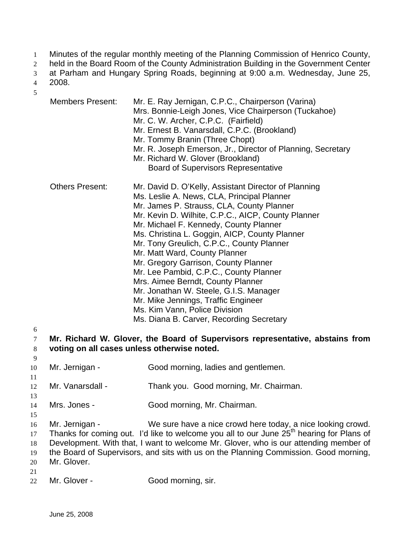- Minutes of the regular monthly meeting of the Planning Commission of Henrico County, 1
- held in the Board Room of the County Administration Building in the Government Center 2
- at Parham and Hungary Spring Roads, beginning at 9:00 a.m. Wednesday, June 25, 3
- 2008. 4

| 5<br>6<br>7<br>8                                         | <b>Members Present:</b>                                                                                                      | Mr. E. Ray Jernigan, C.P.C., Chairperson (Varina)<br>Mrs. Bonnie-Leigh Jones, Vice Chairperson (Tuckahoe)<br>Mr. C. W. Archer, C.P.C. (Fairfield)<br>Mr. Ernest B. Vanarsdall, C.P.C. (Brookland)<br>Mr. Tommy Branin (Three Chopt)<br>Mr. R. Joseph Emerson, Jr., Director of Planning, Secretary<br>Mr. Richard W. Glover (Brookland)<br><b>Board of Supervisors Representative</b>                                                                                                                                                                                                                                                                               |  |
|----------------------------------------------------------|------------------------------------------------------------------------------------------------------------------------------|---------------------------------------------------------------------------------------------------------------------------------------------------------------------------------------------------------------------------------------------------------------------------------------------------------------------------------------------------------------------------------------------------------------------------------------------------------------------------------------------------------------------------------------------------------------------------------------------------------------------------------------------------------------------|--|
|                                                          | <b>Others Present:</b>                                                                                                       | Mr. David D. O'Kelly, Assistant Director of Planning<br>Ms. Leslie A. News, CLA, Principal Planner<br>Mr. James P. Strauss, CLA, County Planner<br>Mr. Kevin D. Wilhite, C.P.C., AICP, County Planner<br>Mr. Michael F. Kennedy, County Planner<br>Ms. Christina L. Goggin, AICP, County Planner<br>Mr. Tony Greulich, C.P.C., County Planner<br>Mr. Matt Ward, County Planner<br>Mr. Gregory Garrison, County Planner<br>Mr. Lee Pambid, C.P.C., County Planner<br>Mrs. Aimee Berndt, County Planner<br>Mr. Jonathan W. Steele, G.I.S. Manager<br>Mr. Mike Jennings, Traffic Engineer<br>Ms. Kim Vann, Police Division<br>Ms. Diana B. Carver, Recording Secretary |  |
|                                                          | Mr. Richard W. Glover, the Board of Supervisors representative, abstains from<br>voting on all cases unless otherwise noted. |                                                                                                                                                                                                                                                                                                                                                                                                                                                                                                                                                                                                                                                                     |  |
| 9<br>10                                                  | Mr. Jernigan -                                                                                                               | Good morning, ladies and gentlemen.                                                                                                                                                                                                                                                                                                                                                                                                                                                                                                                                                                                                                                 |  |
| 11<br>12<br>13<br>14<br>15<br>16<br>17<br>18<br>19<br>20 | Mr. Vanarsdall -                                                                                                             | Thank you. Good morning, Mr. Chairman.                                                                                                                                                                                                                                                                                                                                                                                                                                                                                                                                                                                                                              |  |
|                                                          | Mrs. Jones -                                                                                                                 | Good morning, Mr. Chairman.                                                                                                                                                                                                                                                                                                                                                                                                                                                                                                                                                                                                                                         |  |
|                                                          | Mr. Jernigan -<br>Mr. Glover.                                                                                                | We sure have a nice crowd here today, a nice looking crowd.<br>Thanks for coming out. I'd like to welcome you all to our June 25 <sup>th</sup> hearing for Plans of<br>Development. With that, I want to welcome Mr. Glover, who is our attending member of<br>the Board of Supervisors, and sits with us on the Planning Commission. Good morning,                                                                                                                                                                                                                                                                                                                 |  |
| 21<br>22                                                 | Mr. Glover -                                                                                                                 | Good morning, sir.                                                                                                                                                                                                                                                                                                                                                                                                                                                                                                                                                                                                                                                  |  |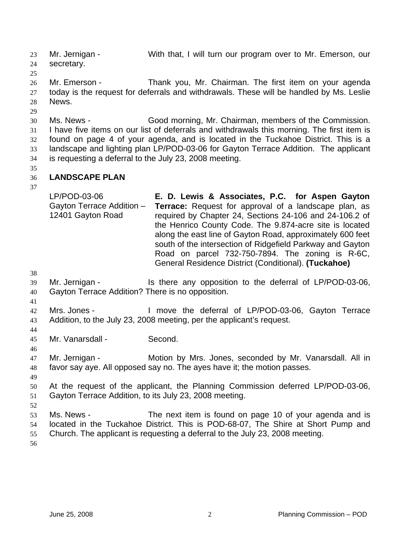Mr. Jernigan - With that, I will turn our program over to Mr. Emerson, our 23

- secretary. 24
- 25

29

26 27 28 Mr. Emerson - Thank you, Mr. Chairman. The first item on your agenda today is the request for deferrals and withdrawals. These will be handled by Ms. Leslie News.

30 31 32 33 34 Ms. News - Good morning, Mr. Chairman, members of the Commission. I have five items on our list of deferrals and withdrawals this morning. The first item is found on page 4 of your agenda, and is located in the Tuckahoe District. This is a landscape and lighting plan LP/POD-03-06 for Gayton Terrace Addition. The applicant is requesting a deferral to the July 23, 2008 meeting.

35

#### 36 **LANDSCAPE PLAN**

37

LP/POD-03-06 Gayton Terrace Addition – 12401 Gayton Road **E. D. Lewis & Associates, P.C. for Aspen Gayton Terrace:** Request for approval of a landscape plan, as required by Chapter 24, Sections 24-106 and 24-106.2 of the Henrico County Code. The 9.874-acre site is located along the east line of Gayton Road, approximately 600 feet south of the intersection of Ridgefield Parkway and Gayton Road on parcel 732-750-7894. The zoning is R-6C, General Residence District (Conditional). **(Tuckahoe)** 

38

41

44

46

- 39 40 Mr. Jernigan - Is there any opposition to the deferral of LP/POD-03-06, Gayton Terrace Addition? There is no opposition.
- 42 43 Mrs. Jones - The Move the deferral of LP/POD-03-06, Gayton Terrace Addition, to the July 23, 2008 meeting, per the applicant's request.
- 45 Mr. Vanarsdall - Second.

47 48 Mr. Jernigan - **Motion by Mrs. Jones, seconded by Mr. Vanarsdall. All in** favor say aye. All opposed say no. The ayes have it; the motion passes.

49

50 51 At the request of the applicant, the Planning Commission deferred LP/POD-03-06, Gayton Terrace Addition, to its July 23, 2008 meeting.

- 52
- 53 54 55 Ms. News - The next item is found on page 10 of your agenda and is located in the Tuckahoe District. This is POD-68-07, The Shire at Short Pump and Church. The applicant is requesting a deferral to the July 23, 2008 meeting.
- 56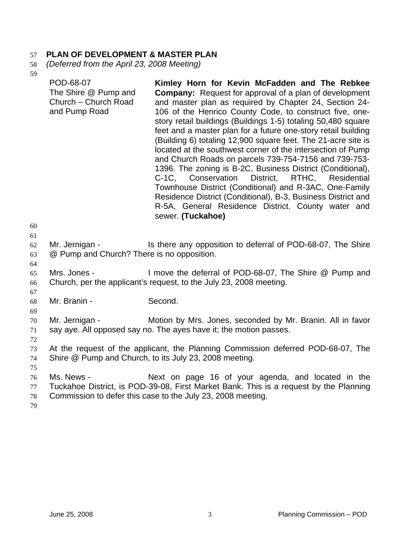# 57 **PLAN OF DEVELOPMENT & MASTER PLAN**

- 58 *(Deferred from the April 23, 2008 Meeting)*
- 59

| JУ<br>60             | POD-68-07<br>The Shire @ Pump and<br>Church - Church Road<br>and Pump Road | Kimley Horn for Kevin McFadden and The Rebkee<br><b>Company:</b> Request for approval of a plan of development<br>and master plan as required by Chapter 24, Section 24-<br>106 of the Henrico County Code, to construct five, one-<br>story retail buildings (Buildings 1-5) totaling 50,480 square<br>feet and a master plan for a future one-story retail building<br>(Building 6) totaling 12,900 square feet. The 21-acre site is<br>located at the southwest corner of the intersection of Pump<br>and Church Roads on parcels 739-754-7156 and 739-753-<br>1396. The zoning is B-2C, Business District (Conditional),<br>C-1C, Conservation District, RTHC, Residential<br>Townhouse District (Conditional) and R-3AC, One-Family<br>Residence District (Conditional), B-3, Business District and<br>R-5A, General Residence District. County water and<br>sewer. (Tuckahoe) |
|----------------------|----------------------------------------------------------------------------|-------------------------------------------------------------------------------------------------------------------------------------------------------------------------------------------------------------------------------------------------------------------------------------------------------------------------------------------------------------------------------------------------------------------------------------------------------------------------------------------------------------------------------------------------------------------------------------------------------------------------------------------------------------------------------------------------------------------------------------------------------------------------------------------------------------------------------------------------------------------------------------|
| 61<br>62<br>63<br>64 | Mr. Jernigan -<br>@ Pump and Church? There is no opposition.               | Is there any opposition to deferral of POD-68-07, The Shire                                                                                                                                                                                                                                                                                                                                                                                                                                                                                                                                                                                                                                                                                                                                                                                                                         |
| 65<br>66<br>67       | Mrs. Jones -                                                               | I move the deferral of POD-68-07, The Shire @ Pump and<br>Church, per the applicant's request, to the July 23, 2008 meeting.                                                                                                                                                                                                                                                                                                                                                                                                                                                                                                                                                                                                                                                                                                                                                        |
| 68<br>69             | Mr. Branin -                                                               | Second.                                                                                                                                                                                                                                                                                                                                                                                                                                                                                                                                                                                                                                                                                                                                                                                                                                                                             |
| 70<br>71<br>72       | Mr. Jernigan -                                                             | Motion by Mrs. Jones, seconded by Mr. Branin. All in favor<br>say aye. All opposed say no. The ayes have it; the motion passes.                                                                                                                                                                                                                                                                                                                                                                                                                                                                                                                                                                                                                                                                                                                                                     |
| 73<br>74<br>75       |                                                                            | At the request of the applicant, the Planning Commission deferred POD-68-07, The<br>Shire @ Pump and Church, to its July 23, 2008 meeting.                                                                                                                                                                                                                                                                                                                                                                                                                                                                                                                                                                                                                                                                                                                                          |
| 76<br>77<br>78<br>79 | Ms. News -                                                                 | Next on page 16 of your agenda, and located in the<br>Tuckahoe District, is POD-39-08, First Market Bank. This is a request by the Planning<br>Commission to defer this case to the July 23, 2008 meeting.                                                                                                                                                                                                                                                                                                                                                                                                                                                                                                                                                                                                                                                                          |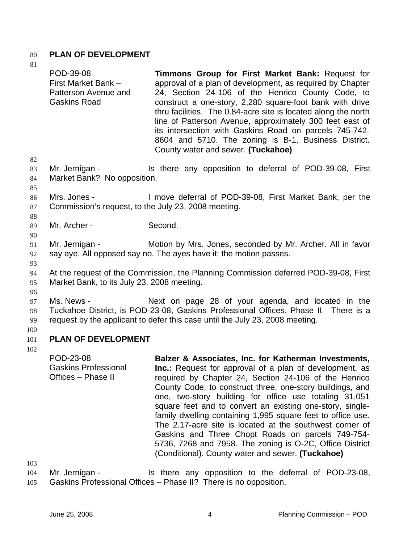## 80 **PLAN OF DEVELOPMENT**

| 81                   |                                                                                                                                                                                                                                         |                                                                                                                                                                                                                                                                                                                                                                                                                                                                                                                                                                                                                                                               |  |  |
|----------------------|-----------------------------------------------------------------------------------------------------------------------------------------------------------------------------------------------------------------------------------------|---------------------------------------------------------------------------------------------------------------------------------------------------------------------------------------------------------------------------------------------------------------------------------------------------------------------------------------------------------------------------------------------------------------------------------------------------------------------------------------------------------------------------------------------------------------------------------------------------------------------------------------------------------------|--|--|
|                      | POD-39-08<br>First Market Bank -<br>Patterson Avenue and<br><b>Gaskins Road</b>                                                                                                                                                         | Timmons Group for First Market Bank: Request for<br>approval of a plan of development, as required by Chapter<br>24, Section 24-106 of the Henrico County Code, to<br>construct a one-story, 2,280 square-foot bank with drive<br>thru facilities. The 0.84-acre site is located along the north<br>line of Patterson Avenue, approximately 300 feet east of<br>its intersection with Gaskins Road on parcels 745-742-<br>8604 and 5710. The zoning is B-1, Business District.<br>County water and sewer. (Tuckahoe)                                                                                                                                          |  |  |
| 82<br>83<br>84<br>85 | Mr. Jernigan -<br>Market Bank? No opposition.                                                                                                                                                                                           | Is there any opposition to deferral of POD-39-08, First                                                                                                                                                                                                                                                                                                                                                                                                                                                                                                                                                                                                       |  |  |
| 86<br>87<br>88       | Mrs. Jones -<br>Commission's request, to the July 23, 2008 meeting.                                                                                                                                                                     | I move deferral of POD-39-08, First Market Bank, per the                                                                                                                                                                                                                                                                                                                                                                                                                                                                                                                                                                                                      |  |  |
| 89                   | Mr. Archer -                                                                                                                                                                                                                            | Second.                                                                                                                                                                                                                                                                                                                                                                                                                                                                                                                                                                                                                                                       |  |  |
| 90<br>91<br>92       | Mr. Jernigan -<br>Motion by Mrs. Jones, seconded by Mr. Archer. All in favor<br>say aye. All opposed say no. The ayes have it; the motion passes.                                                                                       |                                                                                                                                                                                                                                                                                                                                                                                                                                                                                                                                                                                                                                                               |  |  |
| 93<br>94<br>95       | At the request of the Commission, the Planning Commission deferred POD-39-08, First<br>Market Bank, to its July 23, 2008 meeting.                                                                                                       |                                                                                                                                                                                                                                                                                                                                                                                                                                                                                                                                                                                                                                                               |  |  |
| 96<br>97<br>98<br>99 | Ms. News -<br>Next on page 28 of your agenda, and located in the<br>Tuckahoe District, is POD-23-08, Gaskins Professional Offices, Phase II. There is a<br>request by the applicant to defer this case until the July 23, 2008 meeting. |                                                                                                                                                                                                                                                                                                                                                                                                                                                                                                                                                                                                                                                               |  |  |
| 100<br>101           | <b>PLAN OF DEVELOPMENT</b>                                                                                                                                                                                                              |                                                                                                                                                                                                                                                                                                                                                                                                                                                                                                                                                                                                                                                               |  |  |
| 102                  | POD-23-08<br><b>Gaskins Professional</b><br>Offices - Phase II                                                                                                                                                                          | Balzer & Associates, Inc. for Katherman Investments,<br>Inc.: Request for approval of a plan of development, as<br>required by Chapter 24, Section 24-106 of the Henrico<br>County Code, to construct three, one-story buildings, and<br>one, two-story building for office use totaling 31,051<br>square feet and to convert an existing one-story, single-<br>family dwelling containing 1,995 square feet to office use.<br>The 2.17-acre site is located at the southwest corner of<br>Gaskins and Three Chopt Roads on parcels 749-754-<br>5736, 7268 and 7958. The zoning is O-2C, Office District<br>(Conditional). County water and sewer. (Tuckahoe) |  |  |
| 103                  |                                                                                                                                                                                                                                         |                                                                                                                                                                                                                                                                                                                                                                                                                                                                                                                                                                                                                                                               |  |  |

104 105 Mr. Jernigan - The Is there any opposition to the deferral of POD-23-08, Gaskins Professional Offices – Phase II? There is no opposition.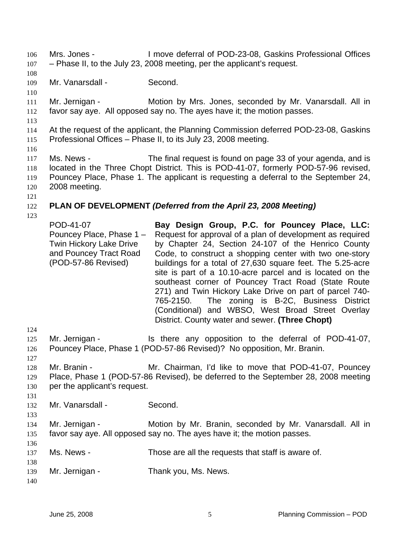Mrs. Jones - I move deferral of POD-23-08, Gaskins Professional Offices – Phase II, to the July 23, 2008 meeting, per the applicant's request. 106 107 108 109 110 111 112 113 114 115 116 117 118 119 120 121 122 123 124 125 126 127 128 129 130 131 132 133 134 135 136 137 138 139 140 Mr. Vanarsdall - Second. Mr. Jernigan - **Motion by Mrs. Jones, seconded by Mr. Vanarsdall. All in** favor say aye. All opposed say no. The ayes have it; the motion passes. At the request of the applicant, the Planning Commission deferred POD-23-08, Gaskins Professional Offices – Phase II, to its July 23, 2008 meeting. Ms. News - The final request is found on page 33 of your agenda, and is located in the Three Chopt District. This is POD-41-07, formerly POD-57-96 revised, Pouncey Place, Phase 1. The applicant is requesting a deferral to the September 24, 2008 meeting. **PLAN OF DEVELOPMENT** *(Deferred from the April 23, 2008 Meeting)* POD-41-07 Pouncey Place, Phase 1 – Twin Hickory Lake Drive and Pouncey Tract Road (POD-57-86 Revised) **Bay Design Group, P.C. for Pouncey Place, LLC:**  Request for approval of a plan of development as required by Chapter 24, Section 24-107 of the Henrico County Code, to construct a shopping center with two one-story buildings for a total of 27,630 square feet. The 5.25-acre site is part of a 10.10-acre parcel and is located on the southeast corner of Pouncey Tract Road (State Route 271) and Twin Hickory Lake Drive on part of parcel 740- 765-2150. The zoning is B-2C, Business District (Conditional) and WBSO, West Broad Street Overlay District. County water and sewer. **(Three Chopt)**  Mr. Jernigan - Is there any opposition to the deferral of POD-41-07, Pouncey Place, Phase 1 (POD-57-86 Revised)? No opposition, Mr. Branin. Mr. Branin - Mr. Chairman, I'd like to move that POD-41-07, Pouncey Place, Phase 1 (POD-57-86 Revised), be deferred to the September 28, 2008 meeting per the applicant's request. Mr. Vanarsdall - Second. Mr. Jernigan - Motion by Mr. Branin, seconded by Mr. Vanarsdall. All in favor say aye. All opposed say no. The ayes have it; the motion passes. Ms. News - Those are all the requests that staff is aware of. Mr. Jernigan - Thank you, Ms. News.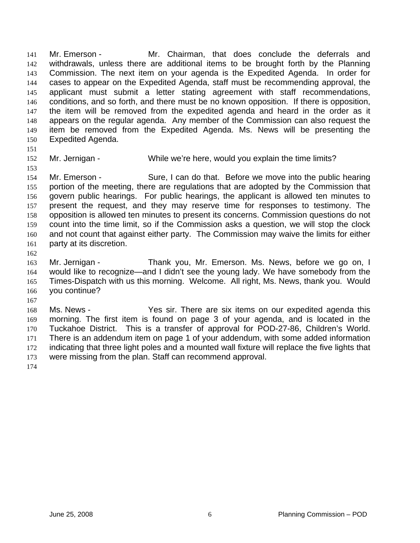Mr. Emerson - The Mr. Chairman, that does conclude the deferrals and withdrawals, unless there are additional items to be brought forth by the Planning Commission. The next item on your agenda is the Expedited Agenda. In order for cases to appear on the Expedited Agenda, staff must be recommending approval, the applicant must submit a letter stating agreement with staff recommendations, conditions, and so forth, and there must be no known opposition. If there is opposition, the item will be removed from the expedited agenda and heard in the order as it appears on the regular agenda. Any member of the Commission can also request the item be removed from the Expedited Agenda. Ms. News will be presenting the Expedited Agenda. 141 142 143 144 145 146 147 148 149 150

151

### 152

Mr. Jernigan - While we're here, would you explain the time limits?

153

154 155 156 157 158 159 160 161 Mr. Emerson - Sure, I can do that. Before we move into the public hearing portion of the meeting, there are regulations that are adopted by the Commission that govern public hearings. For public hearings, the applicant is allowed ten minutes to present the request, and they may reserve time for responses to testimony. The opposition is allowed ten minutes to present its concerns. Commission questions do not count into the time limit, so if the Commission asks a question, we will stop the clock and not count that against either party. The Commission may waive the limits for either party at its discretion.

162

163 164 165 166 Mr. Jernigan - Thank you, Mr. Emerson. Ms. News, before we go on, I would like to recognize—and I didn't see the young lady. We have somebody from the Times-Dispatch with us this morning. Welcome. All right, Ms. News, thank you. Would you continue?

167

168 169 170 171 172 173 Ms. News - There are six items on our expedited agenda this morning. The first item is found on page 3 of your agenda, and is located in the Tuckahoe District. This is a transfer of approval for POD-27-86, Children's World. There is an addendum item on page 1 of your addendum, with some added information indicating that three light poles and a mounted wall fixture will replace the five lights that were missing from the plan. Staff can recommend approval.

174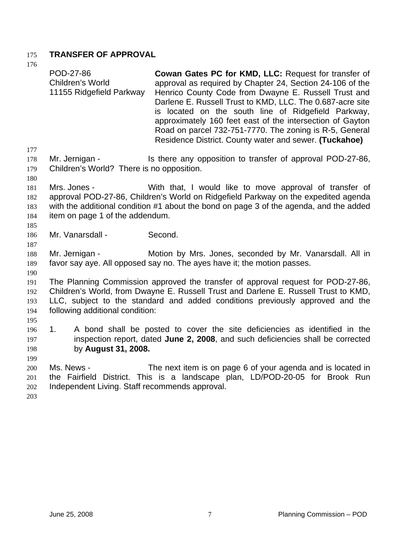# 175 **TRANSFER OF APPROVAL**

176

|                                 | POD-27-86<br>Children's World<br>11155 Ridgefield Parkway                                                                                                                                                                                                                                   | Cowan Gates PC for KMD, LLC: Request for transfer of<br>approval as required by Chapter 24, Section 24-106 of the<br>Henrico County Code from Dwayne E. Russell Trust and<br>Darlene E. Russell Trust to KMD, LLC. The 0.687-acre site<br>is located on the south line of Ridgefield Parkway,<br>approximately 160 feet east of the intersection of Gayton<br>Road on parcel 732-751-7770. The zoning is R-5, General<br>Residence District. County water and sewer. (Tuckahoe) |  |
|---------------------------------|---------------------------------------------------------------------------------------------------------------------------------------------------------------------------------------------------------------------------------------------------------------------------------------------|---------------------------------------------------------------------------------------------------------------------------------------------------------------------------------------------------------------------------------------------------------------------------------------------------------------------------------------------------------------------------------------------------------------------------------------------------------------------------------|--|
| 177<br>178<br>179<br>180        | Mr. Jernigan -<br>Children's World? There is no opposition.                                                                                                                                                                                                                                 | Is there any opposition to transfer of approval POD-27-86,                                                                                                                                                                                                                                                                                                                                                                                                                      |  |
| 181<br>182<br>183<br>184<br>185 | Mrs. Jones -<br>item on page 1 of the addendum.                                                                                                                                                                                                                                             | With that, I would like to move approval of transfer of<br>approval POD-27-86, Children's World on Ridgefield Parkway on the expedited agenda<br>with the additional condition #1 about the bond on page 3 of the agenda, and the added                                                                                                                                                                                                                                         |  |
| 186<br>187                      | Mr. Vanarsdall -                                                                                                                                                                                                                                                                            | Second.                                                                                                                                                                                                                                                                                                                                                                                                                                                                         |  |
| 188<br>189                      | Mr. Jernigan -                                                                                                                                                                                                                                                                              | Motion by Mrs. Jones, seconded by Mr. Vanarsdall. All in<br>favor say aye. All opposed say no. The ayes have it; the motion passes.                                                                                                                                                                                                                                                                                                                                             |  |
| 190<br>191<br>192<br>193<br>194 | The Planning Commission approved the transfer of approval request for POD-27-86,<br>Children's World, from Dwayne E. Russell Trust and Darlene E. Russell Trust to KMD,<br>LLC, subject to the standard and added conditions previously approved and the<br>following additional condition: |                                                                                                                                                                                                                                                                                                                                                                                                                                                                                 |  |
| 195<br>196<br>197<br>198<br>199 | 1.<br>by August 31, 2008.                                                                                                                                                                                                                                                                   | A bond shall be posted to cover the site deficiencies as identified in the<br>inspection report, dated June 2, 2008, and such deficiencies shall be corrected                                                                                                                                                                                                                                                                                                                   |  |
| 200<br>201<br>202<br>203        | Ms. News -<br>Independent Living. Staff recommends approval.                                                                                                                                                                                                                                | The next item is on page 6 of your agenda and is located in<br>the Fairfield District. This is a landscape plan, LD/POD-20-05 for Brook Run                                                                                                                                                                                                                                                                                                                                     |  |
|                                 |                                                                                                                                                                                                                                                                                             |                                                                                                                                                                                                                                                                                                                                                                                                                                                                                 |  |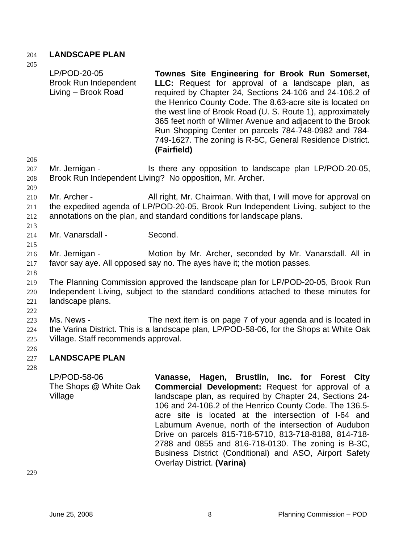### 204 **LANDSCAPE PLAN**

| 205                      |                                                                     |                                                                                                                                                                                                                                                                                                                                                                                                                                                                                             |
|--------------------------|---------------------------------------------------------------------|---------------------------------------------------------------------------------------------------------------------------------------------------------------------------------------------------------------------------------------------------------------------------------------------------------------------------------------------------------------------------------------------------------------------------------------------------------------------------------------------|
|                          | LP/POD-20-05<br><b>Brook Run Independent</b><br>Living - Brook Road | Townes Site Engineering for Brook Run Somerset,<br>LLC: Request for approval of a landscape plan, as<br>required by Chapter 24, Sections 24-106 and 24-106.2 of<br>the Henrico County Code. The 8.63-acre site is located on<br>the west line of Brook Road (U. S. Route 1), approximately<br>365 feet north of Wilmer Avenue and adjacent to the Brook<br>Run Shopping Center on parcels 784-748-0982 and 784-<br>749-1627. The zoning is R-5C, General Residence District.<br>(Fairfield) |
| 206<br>207<br>208<br>209 | Mr. Jernigan -                                                      | Is there any opposition to landscape plan LP/POD-20-05,<br>Brook Run Independent Living? No opposition, Mr. Archer.                                                                                                                                                                                                                                                                                                                                                                         |
| 210<br>211<br>212<br>213 | Mr. Archer -                                                        | All right, Mr. Chairman. With that, I will move for approval on<br>the expedited agenda of LP/POD-20-05, Brook Run Independent Living, subject to the<br>annotations on the plan, and standard conditions for landscape plans.                                                                                                                                                                                                                                                              |
| 214<br>215               | Mr. Vanarsdall -                                                    | Second.                                                                                                                                                                                                                                                                                                                                                                                                                                                                                     |
| 216<br>217<br>218        | Mr. Jernigan -                                                      | Motion by Mr. Archer, seconded by Mr. Vanarsdall. All in<br>favor say aye. All opposed say no. The ayes have it; the motion passes.                                                                                                                                                                                                                                                                                                                                                         |
| 219<br>220<br>221<br>222 | landscape plans.                                                    | The Planning Commission approved the landscape plan for LP/POD-20-05, Brook Run<br>Independent Living, subject to the standard conditions attached to these minutes for                                                                                                                                                                                                                                                                                                                     |
| 223<br>224<br>225<br>226 | Ms. News -<br>Village. Staff recommends approval.                   | The next item is on page 7 of your agenda and is located in<br>the Varina District. This is a landscape plan, LP/POD-58-06, for the Shops at White Oak                                                                                                                                                                                                                                                                                                                                      |
| 227<br>228               | <b>LANDSCAPE PLAN</b>                                               |                                                                                                                                                                                                                                                                                                                                                                                                                                                                                             |
|                          | LP/POD-58-06<br>The Shops @ White Oak<br>Village                    | Hagen, Brustlin, Inc. for Forest City<br>Vanasse,<br>Commercial Development: Request for approval of a<br>landscape plan, as required by Chapter 24, Sections 24-                                                                                                                                                                                                                                                                                                                           |

Overlay District. **(Varina)**

106 and 24-106.2 of the Henrico County Code. The 136.5 acre site is located at the intersection of I-64 and Laburnum Avenue, north of the intersection of Audubon Drive on parcels 815-718-5710, 813-718-8188, 814-718- 2788 and 0855 and 816-718-0130. The zoning is B-3C, Business District (Conditional) and ASO, Airport Safety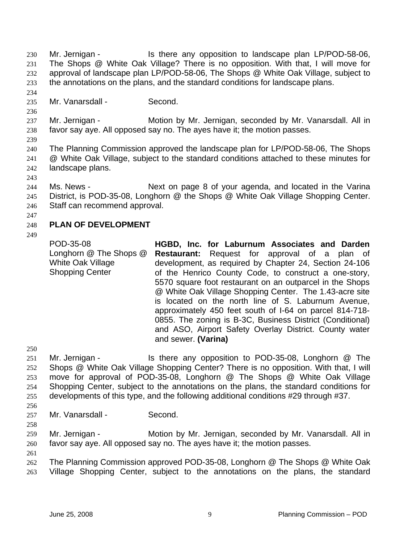Mr. Jernigan - The Is there any opposition to landscape plan LP/POD-58-06, The Shops @ White Oak Village? There is no opposition. With that, I will move for approval of landscape plan LP/POD-58-06, The Shops @ White Oak Village, subject to the annotations on the plans, and the standard conditions for landscape plans. 230 231 232 233

234 235

236

Mr. Vanarsdall - Second.

237 238 Mr. Jernigan - **Motion by Mr. Jernigan, seconded by Mr. Vanarsdall.** All in favor say aye. All opposed say no. The ayes have it; the motion passes.

239

240 241 242 The Planning Commission approved the landscape plan for LP/POD-58-06, The Shops @ White Oak Village, subject to the standard conditions attached to these minutes for landscape plans.

243

244 245 246 Ms. News - Next on page 8 of your agenda, and located in the Varina District, is POD-35-08, Longhorn @ the Shops @ White Oak Village Shopping Center. Staff can recommend approval.

247

#### 248 **PLAN OF DEVELOPMENT**

249

POD-35-08 Longhorn @ The Shops @ White Oak Village Shopping Center **HGBD, Inc. for Laburnum Associates and Darden Restaurant:** Request for approval of a plan of development, as required by Chapter 24, Section 24-106 of the Henrico County Code, to construct a one-story, 5570 square foot restaurant on an outparcel in the Shops @ White Oak Village Shopping Center. The 1.43-acre site is located on the north line of S. Laburnum Avenue, approximately 450 feet south of I-64 on parcel 814-718- 0855. The zoning is B-3C, Business District (Conditional) and ASO, Airport Safety Overlay District. County water and sewer. **(Varina)** 

250

251 252 253 254 255 Mr. Jernigan - Is there any opposition to POD-35-08, Longhorn @ The Shops @ White Oak Village Shopping Center? There is no opposition. With that, I will move for approval of POD-35-08, Longhorn @ The Shops @ White Oak Village Shopping Center, subject to the annotations on the plans, the standard conditions for developments of this type, and the following additional conditions #29 through #37.

256

257 Mr. Vanarsdall - Second.

- 258 259 260 Mr. Jernigan - **Motion by Mr. Jernigan, seconded by Mr. Vanarsdall.** All in favor say aye. All opposed say no. The ayes have it; the motion passes.
- 261

262 263 The Planning Commission approved POD-35-08, Longhorn @ The Shops @ White Oak Village Shopping Center, subject to the annotations on the plans, the standard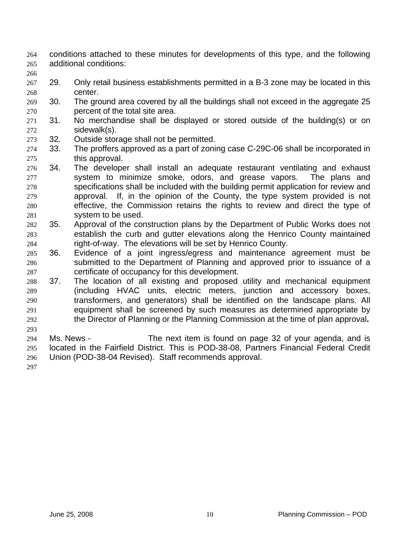- conditions attached to these minutes for developments of this type, and the following additional conditions: 264 265
- 267 268 29. Only retail business establishments permitted in a B-3 zone may be located in this center.
- 269 270 30. The ground area covered by all the buildings shall not exceed in the aggregate 25 percent of the total site area.
- 271 272 31. No merchandise shall be displayed or stored outside of the building(s) or on sidewalk(s).
- 273 32. Outside storage shall not be permitted.
- 274 275 33. The proffers approved as a part of zoning case C-29C-06 shall be incorporated in this approval.
- 276 277 278 279 280 281 34. The developer shall install an adequate restaurant ventilating and exhaust system to minimize smoke, odors, and grease vapors. The plans and specifications shall be included with the building permit application for review and approval. If, in the opinion of the County, the type system provided is not effective, the Commission retains the rights to review and direct the type of system to be used.
- 282 283 284 35. Approval of the construction plans by the Department of Public Works does not establish the curb and gutter elevations along the Henrico County maintained right-of-way. The elevations will be set by Henrico County.
- 285 286 287 36. Evidence of a joint ingress/egress and maintenance agreement must be submitted to the Department of Planning and approved prior to issuance of a certificate of occupancy for this development.
- 288 289 290 291 292 37. The location of all existing and proposed utility and mechanical equipment (including HVAC units, electric meters, junction and accessory boxes, transformers, and generators) shall be identified on the landscape plans. All equipment shall be screened by such measures as determined appropriate by the Director of Planning or the Planning Commission at the time of plan approval**.**
- 294 295 296 Ms. News - The next item is found on page 32 of your agenda, and is located in the Fairfield District. This is POD-38-08, Partners Financial Federal Credit Union (POD-38-04 Revised). Staff recommends approval.
- 297

293

266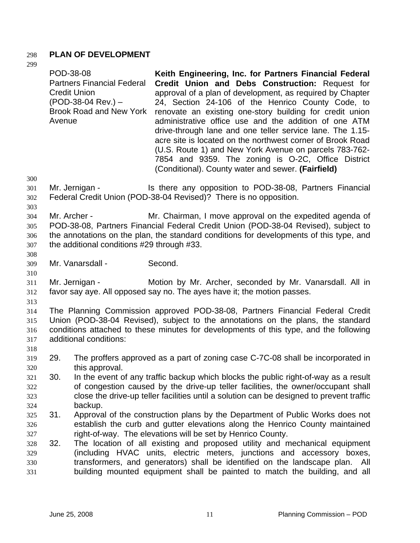### 298 **PLAN OF DEVELOPMENT**

299

320

| 299                             | Avenue | POD-38-08<br><b>Partners Financial Federal</b><br><b>Credit Union</b><br>(POD-38-04 Rev.) -<br><b>Brook Road and New York</b> | Keith Engineering, Inc. for Partners Financial Federal<br>Credit Union and Debs Construction: Request for<br>approval of a plan of development, as required by Chapter<br>24, Section 24-106 of the Henrico County Code, to<br>renovate an existing one-story building for credit union<br>administrative office use and the addition of one ATM<br>drive-through lane and one teller service lane. The 1.15-<br>acre site is located on the northwest corner of Brook Road<br>(U.S. Route 1) and New York Avenue on parcels 783-762-<br>7854 and 9359. The zoning is O-2C, Office District<br>(Conditional). County water and sewer. (Fairfield) |
|---------------------------------|--------|-------------------------------------------------------------------------------------------------------------------------------|---------------------------------------------------------------------------------------------------------------------------------------------------------------------------------------------------------------------------------------------------------------------------------------------------------------------------------------------------------------------------------------------------------------------------------------------------------------------------------------------------------------------------------------------------------------------------------------------------------------------------------------------------|
| 300                             |        |                                                                                                                               |                                                                                                                                                                                                                                                                                                                                                                                                                                                                                                                                                                                                                                                   |
| 301                             |        | Mr. Jernigan -                                                                                                                | Is there any opposition to POD-38-08, Partners Financial                                                                                                                                                                                                                                                                                                                                                                                                                                                                                                                                                                                          |
| 302                             |        |                                                                                                                               | Federal Credit Union (POD-38-04 Revised)? There is no opposition.                                                                                                                                                                                                                                                                                                                                                                                                                                                                                                                                                                                 |
| 303                             |        |                                                                                                                               |                                                                                                                                                                                                                                                                                                                                                                                                                                                                                                                                                                                                                                                   |
| 304<br>305<br>306<br>307<br>308 |        | Mr. Archer -<br>the additional conditions #29 through #33.                                                                    | Mr. Chairman, I move approval on the expedited agenda of<br>POD-38-08, Partners Financial Federal Credit Union (POD-38-04 Revised), subject to<br>the annotations on the plan, the standard conditions for developments of this type, and                                                                                                                                                                                                                                                                                                                                                                                                         |
| 309<br>310                      |        | Mr. Vanarsdall -                                                                                                              | Second.                                                                                                                                                                                                                                                                                                                                                                                                                                                                                                                                                                                                                                           |
| 311<br>312<br>313               |        | Mr. Jernigan -                                                                                                                | Motion by Mr. Archer, seconded by Mr. Vanarsdall. All in<br>favor say aye. All opposed say no. The ayes have it; the motion passes.                                                                                                                                                                                                                                                                                                                                                                                                                                                                                                               |
| 314                             |        |                                                                                                                               | The Planning Commission approved POD-38-08, Partners Financial Federal Credit                                                                                                                                                                                                                                                                                                                                                                                                                                                                                                                                                                     |
| 315                             |        |                                                                                                                               | Union (POD-38-04 Revised), subject to the annotations on the plans, the standard                                                                                                                                                                                                                                                                                                                                                                                                                                                                                                                                                                  |
| 316                             |        |                                                                                                                               | conditions attached to these minutes for developments of this type, and the following                                                                                                                                                                                                                                                                                                                                                                                                                                                                                                                                                             |
| 317                             |        | additional conditions:                                                                                                        |                                                                                                                                                                                                                                                                                                                                                                                                                                                                                                                                                                                                                                                   |
| 318                             |        |                                                                                                                               |                                                                                                                                                                                                                                                                                                                                                                                                                                                                                                                                                                                                                                                   |
| 319                             | 29.    |                                                                                                                               | The proffers approved as a part of zoning case C-7C-08 shall be incorporated in                                                                                                                                                                                                                                                                                                                                                                                                                                                                                                                                                                   |
| 320                             |        | this approval.                                                                                                                |                                                                                                                                                                                                                                                                                                                                                                                                                                                                                                                                                                                                                                                   |
| 321                             | 30.    |                                                                                                                               | In the event of any traffic backup which blocks the public right-of-way as a result                                                                                                                                                                                                                                                                                                                                                                                                                                                                                                                                                               |
| 222                             |        |                                                                                                                               | of connection caused by the drive-un teller facilities the owner/occupant shall                                                                                                                                                                                                                                                                                                                                                                                                                                                                                                                                                                   |

- 322 323 324 of congestion caused by the drive-up teller facilities, the owner/occupant shall close the drive-up teller facilities until a solution can be designed to prevent traffic backup.
- 326 327 325 31. Approval of the construction plans by the Department of Public Works does not establish the curb and gutter elevations along the Henrico County maintained right-of-way. The elevations will be set by Henrico County.
- 329 330 331 328 32. The location of all existing and proposed utility and mechanical equipment (including HVAC units, electric meters, junctions and accessory boxes, transformers, and generators) shall be identified on the landscape plan. All building mounted equipment shall be painted to match the building, and all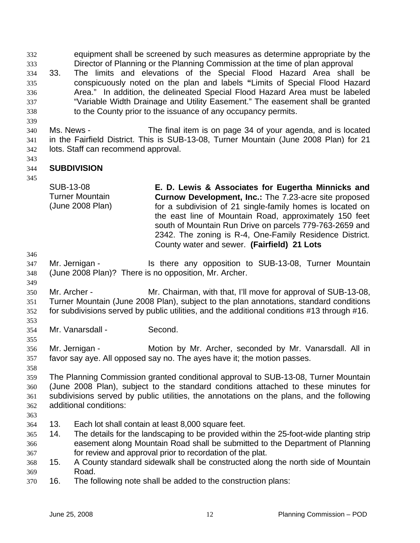equipment shall be screened by such measures as determine appropriate by the Director of Planning or the Planning Commission at the time of plan approval 332 333

- 334 335 336 337 338 33. The limits and elevations of the Special Flood Hazard Area shall be conspicuously noted on the plan and labels **"**Limits of Special Flood Hazard Area." In addition, the delineated Special Flood Hazard Area must be labeled "Variable Width Drainage and Utility Easement." The easement shall be granted to the County prior to the issuance of any occupancy permits.
- 340 341 342 Ms. News - The final item is on page 34 of your agenda, and is located in the Fairfield District. This is SUB-13-08, Turner Mountain (June 2008 Plan) for 21 lots. Staff can recommend approval.
- 343 344 **SUBDIVISION**
- 345

339

SUB-13-08 Turner Mountain (June 2008 Plan) **E. D. Lewis & Associates for Eugertha Minnicks and Curnow Development, Inc.:** The 7.23-acre site proposed for a subdivision of 21 single-family homes is located on the east line of Mountain Road, approximately 150 feet south of Mountain Run Drive on parcels 779-763-2659 and 2342. The zoning is R-4, One-Family Residence District. County water and sewer. **(Fairfield) 21 Lots** 

346

349

347 348 Mr. Jernigan - The Is there any opposition to SUB-13-08, Turner Mountain (June 2008 Plan)? There is no opposition, Mr. Archer.

- 350 351 352 Mr. Archer - **Mr. Chairman, with that, I'll move for approval of SUB-13-08,** Turner Mountain (June 2008 Plan), subject to the plan annotations, standard conditions for subdivisions served by public utilities, and the additional conditions #13 through #16.
- 353

354 Mr. Vanarsdall - Second.

355

- 356 357 Mr. Jernigan - **Motion by Mr. Archer, seconded by Mr. Vanarsdall. All in** favor say aye. All opposed say no. The ayes have it; the motion passes.
- 358

359 360 361 362 The Planning Commission granted conditional approval to SUB-13-08, Turner Mountain (June 2008 Plan), subject to the standard conditions attached to these minutes for subdivisions served by public utilities, the annotations on the plans, and the following additional conditions:

- 363
- 364 13. Each lot shall contain at least 8,000 square feet.
- 365 366 367 14. The details for the landscaping to be provided within the 25-foot-wide planting strip easement along Mountain Road shall be submitted to the Department of Planning for review and approval prior to recordation of the plat.
- 368 369 15. A County standard sidewalk shall be constructed along the north side of Mountain Road.
- 370 16. The following note shall be added to the construction plans: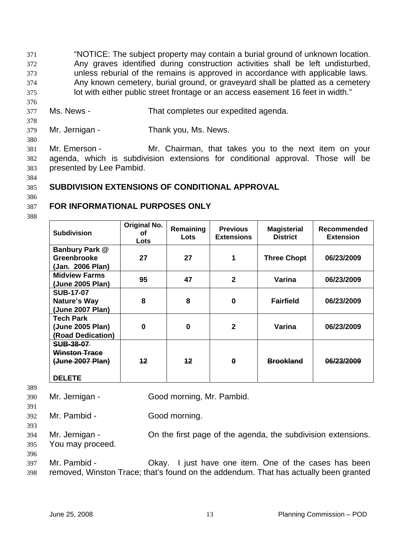"NOTICE: The subject property may contain a burial ground of unknown location. Any graves identified during construction activities shall be left undisturbed, unless reburial of the remains is approved in accordance with applicable laws. Any known cemetery, burial ground, or graveyard shall be platted as a cemetery lot with either public street frontage or an access easement 16 feet in width." 371 372 373 374 375

- 377 Ms. News - That completes our expedited agenda.
- 379 Mr. Jernigan - Thank you, Ms. News.

380

378

376

381 382 383 Mr. Emerson - Mr. Chairman, that takes you to the next item on your agenda, which is subdivision extensions for conditional approval. Those will be presented by Lee Pambid.

384

#### 385 **SUBDIVISION EXTENSIONS OF CONDITIONAL APPROVAL**

386

#### 387 **FOR INFORMATIONAL PURPOSES ONLY**

388

| <b>Subdivision</b>                                           | Original No.<br>οf<br>Lots | Remaining<br>Lots | <b>Previous</b><br><b>Extensions</b> | <b>Magisterial</b><br><b>District</b> | Recommended<br><b>Extension</b> |
|--------------------------------------------------------------|----------------------------|-------------------|--------------------------------------|---------------------------------------|---------------------------------|
| Banbury Park @<br>Greenbrooke<br>(Jan. 2006 Plan)            | 27                         | 27                |                                      | <b>Three Chopt</b>                    | 06/23/2009                      |
| <b>Midview Farms</b><br>(June 2005 Plan)                     | 95                         | 47                | 2                                    | Varina                                | 06/23/2009                      |
| <b>SUB-17-07</b><br><b>Nature's Way</b><br>(June 2007 Plan)  | 8                          | 8                 | 0                                    | <b>Fairfield</b>                      | 06/23/2009                      |
| <b>Tech Park</b><br>(June 2005 Plan)<br>(Road Dedication)    | 0                          | $\bf{0}$          | $\mathbf{2}$                         | Varina                                | 06/23/2009                      |
| <b>SUB-38-07</b><br><b>Winston Trace</b><br>(June 2007 Plan) | 12                         | 12                | 0                                    | <b>Brookland</b>                      | 06/23/2009                      |
| <b>DELETE</b>                                                |                            |                   |                                      |                                       |                                 |

389

391

| 390 | Mr. Jernigan - | Good morning, Mr. Pambid. |
|-----|----------------|---------------------------|
|     |                |                           |

392 Mr. Pambid - Good morning.

393

394 Mr. Jernigan - Christen in the first page of the agenda, the subdivision extensions.

395 You may proceed.

396

397 398 Mr. Pambid - Chay. I just have one item. One of the cases has been removed, Winston Trace; that's found on the addendum. That has actually been granted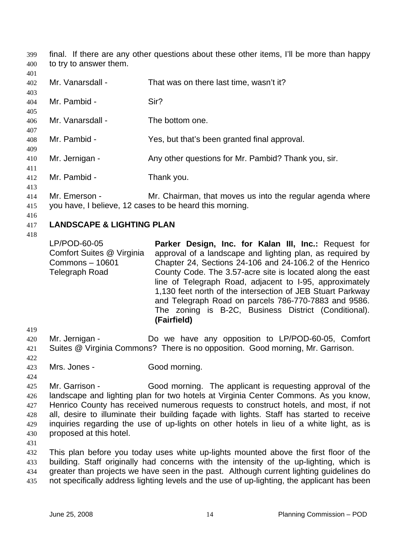final. If there are any other questions about these other items, I'll be more than happy to try to answer them. 399 400

| 40 I       |                  |                                                           |
|------------|------------------|-----------------------------------------------------------|
| 402        | Mr. Vanarsdall - | That was on there last time, wasn't it?                   |
| 403        |                  |                                                           |
| 404<br>405 | Mr. Pambid -     | Sir?                                                      |
| 406        | Mr. Vanarsdall - | The bottom one.                                           |
| 407        |                  |                                                           |
| 408        | Mr. Pambid -     | Yes, but that's been granted final approval.              |
| 409<br>410 | Mr. Jernigan -   | Any other questions for Mr. Pambid? Thank you, sir.       |
| 411        |                  |                                                           |
| 412        | Mr. Pambid -     | Thank you.                                                |
| 413        |                  |                                                           |
| 414        | Mr. Emerson -    | Mr. Chairman, that moves us into the regular agenda where |

- 415 you have, I believe, 12 cases to be heard this morning.
- 416

 $401$ 

#### 417 **LANDSCAPE & LIGHTING PLAN**

418

LP/POD-60-05 Comfort Suites @ Virginia Commons – 10601 Telegraph Road **Parker Design, Inc. for Kalan III, Inc.:** Request for approval of a landscape and lighting plan, as required by Chapter 24, Sections 24-106 and 24-106.2 of the Henrico County Code. The 3.57-acre site is located along the east line of Telegraph Road, adjacent to I-95, approximately 1,130 feet north of the intersection of JEB Stuart Parkway and Telegraph Road on parcels 786-770-7883 and 9586. The zoning is B-2C, Business District (Conditional). **(Fairfield)**

- 419
- 420 421 Mr. Jernigan - The Do we have any opposition to LP/POD-60-05, Comfort Suites @ Virginia Commons? There is no opposition. Good morning, Mr. Garrison.
- 422
- 423 Mrs. Jones - Good morning.

424 425 426 427 428 429 430 Mr. Garrison - Good morning. The applicant is requesting approval of the landscape and lighting plan for two hotels at Virginia Center Commons. As you know, Henrico County has received numerous requests to construct hotels, and most, if not all, desire to illuminate their building façade with lights. Staff has started to receive inquiries regarding the use of up-lights on other hotels in lieu of a white light, as is proposed at this hotel.

431

432 433 434 435 This plan before you today uses white up-lights mounted above the first floor of the building. Staff originally had concerns with the intensity of the up-lighting, which is greater than projects we have seen in the past. Although current lighting guidelines do not specifically address lighting levels and the use of up-lighting, the applicant has been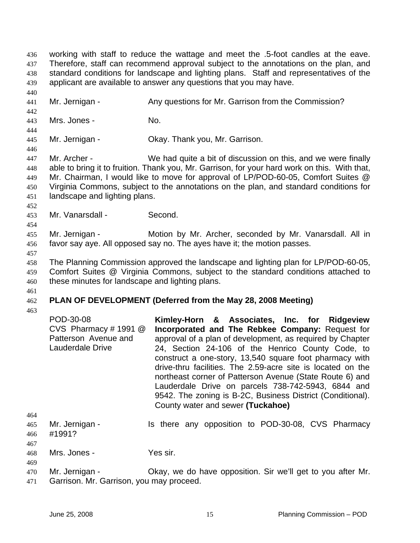working with staff to reduce the wattage and meet the .5-foot candles at the eave. Therefore, staff can recommend approval subject to the annotations on the plan, and standard conditions for landscape and lighting plans. Staff and representatives of the applicant are available to answer any questions that you may have. 436 437 438 439 440

- 441 442 443 444 445 446 447 448 449 450 451 452 453 454 455 456 457 458 459 460 461 462 463 464 465 Mr. Jernigan - Any questions for Mr. Garrison from the Commission? Mrs. Jones - No. Mr. Jernigan - **Okay. Thank you, Mr. Garrison.** Mr. Archer - We had quite a bit of discussion on this, and we were finally able to bring it to fruition. Thank you, Mr. Garrison, for your hard work on this. With that, Mr. Chairman, I would like to move for approval of LP/POD-60-05, Comfort Suites @ Virginia Commons, subject to the annotations on the plan, and standard conditions for landscape and lighting plans. Mr. Vanarsdall - Second. Mr. Jernigan - **Motion by Mr. Archer, seconded by Mr. Vanarsdall. All in** favor say aye. All opposed say no. The ayes have it; the motion passes. The Planning Commission approved the landscape and lighting plan for LP/POD-60-05, Comfort Suites @ Virginia Commons, subject to the standard conditions attached to these minutes for landscape and lighting plans. **PLAN OF DEVELOPMENT (Deferred from the May 28, 2008 Meeting)**  POD-30-08 CVS Pharmacy # 1991 @ Patterson Avenue and Lauderdale Drive **Kimley-Horn & Associates, Inc. for Ridgeview Incorporated and The Rebkee Company:** Request for approval of a plan of development, as required by Chapter 24, Section 24-106 of the Henrico County Code, to construct a one-story, 13,540 square foot pharmacy with drive-thru facilities. The 2.59-acre site is located on the northeast corner of Patterson Avenue (State Route 6) and Lauderdale Drive on parcels 738-742-5943, 6844 and 9542. The zoning is B-2C, Business District (Conditional). County water and sewer **(Tuckahoe)**  Mr. Jernigan - Is there any opposition to POD-30-08, CVS Pharmacy
- 468 Mrs. Jones - Yes sir.
- 470 471 Mr. Jernigan - Ckay, we do have opposition. Sir we'll get to you after Mr. Garrison. Mr. Garrison, you may proceed.

#1991?

466 467

469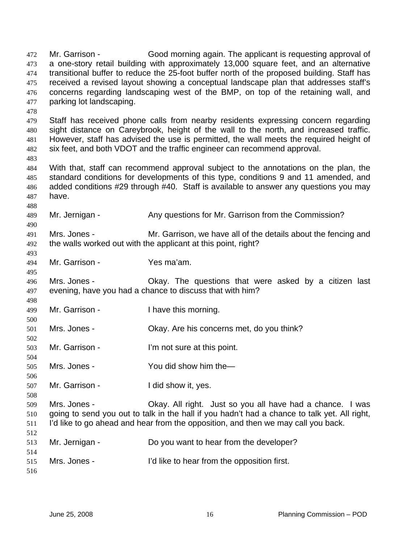Mr. Garrison - Good morning again. The applicant is requesting approval of a one-story retail building with approximately 13,000 square feet, and an alternative transitional buffer to reduce the 25-foot buffer north of the proposed building. Staff has received a revised layout showing a conceptual landscape plan that addresses staff's concerns regarding landscaping west of the BMP, on top of the retaining wall, and parking lot landscaping. 472 473 474 475 476 477 478 479 480 481 482 483 484 485 486 487 488 489 490 491 492 493 494 495 496 497 498 499 500 501 502 503 504 505 506 507 508 509 510 511 512 513 514 515 516 Staff has received phone calls from nearby residents expressing concern regarding sight distance on Careybrook, height of the wall to the north, and increased traffic. However, staff has advised the use is permitted, the wall meets the required height of six feet, and both VDOT and the traffic engineer can recommend approval. With that, staff can recommend approval subject to the annotations on the plan, the standard conditions for developments of this type, conditions 9 and 11 amended, and added conditions #29 through #40. Staff is available to answer any questions you may have. Mr. Jernigan - The Any questions for Mr. Garrison from the Commission? Mrs. Jones - Mr. Garrison, we have all of the details about the fencing and the walls worked out with the applicant at this point, right? Mr. Garrison - The Yes ma'am. Mrs. Jones - Chay. The questions that were asked by a citizen last evening, have you had a chance to discuss that with him? Mr. Garrison - Thave this morning. Mrs. Jones - Ckay. Are his concerns met, do you think? Mr. Garrison - T'm not sure at this point. Mrs. Jones - The Mrs. You did show him the Mr. Garrison - The I did show it, yes. Mrs. Jones - Ckay. All right. Just so you all have had a chance. I was going to send you out to talk in the hall if you hadn't had a chance to talk yet. All right, I'd like to go ahead and hear from the opposition, and then we may call you back. Mr. Jernigan - Do you want to hear from the developer? Mrs. Jones - I'd like to hear from the opposition first.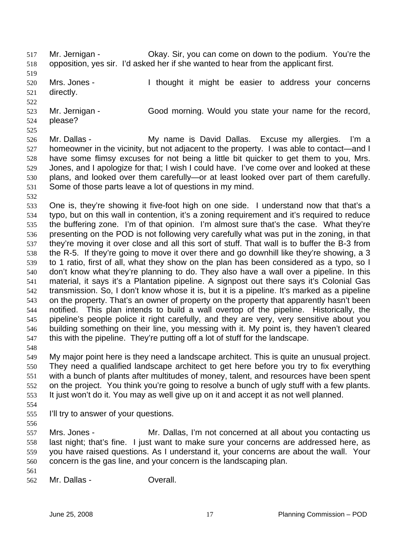- 517
- Mr. Jernigan Okay. Sir, you can come on down to the podium. You're the opposition, yes sir. I'd asked her if she wanted to hear from the applicant first. 518
- 519
- 520 521 Mrs. Jones - I thought it might be easier to address your concerns directly.
- 522
- 523 524 Mr. Jernigan - Good morning. Would you state your name for the record, please?
- 525
- 526 527 528 529 530 531 Mr. Dallas - My name is David Dallas. Excuse my allergies. I'm a homeowner in the vicinity, but not adjacent to the property. I was able to contact—and I have some flimsy excuses for not being a little bit quicker to get them to you, Mrs. Jones, and I apologize for that; I wish I could have. I've come over and looked at these plans, and looked over them carefully—or at least looked over part of them carefully. Some of those parts leave a lot of questions in my mind.
- 532

533 534 535 536 537 538 539 540 541 542 543 544 545 546 547 548 One is, they're showing it five-foot high on one side. I understand now that that's a typo, but on this wall in contention, it's a zoning requirement and it's required to reduce the buffering zone. I'm of that opinion. I'm almost sure that's the case. What they're presenting on the POD is not following very carefully what was put in the zoning, in that they're moving it over close and all this sort of stuff. That wall is to buffer the B-3 from the R-5. If they're going to move it over there and go downhill like they're showing, a 3 to 1 ratio, first of all, what they show on the plan has been considered as a typo, so I don't know what they're planning to do. They also have a wall over a pipeline. In this material, it says it's a Plantation pipeline. A signpost out there says it's Colonial Gas transmission. So, I don't know whose it is, but it is a pipeline. It's marked as a pipeline on the property. That's an owner of property on the property that apparently hasn't been notified. This plan intends to build a wall overtop of the pipeline. Historically, the pipeline's people police it right carefully, and they are very, very sensitive about you building something on their line, you messing with it. My point is, they haven't cleared this with the pipeline. They're putting off a lot of stuff for the landscape.

- 549 550 551 552 553 My major point here is they need a landscape architect. This is quite an unusual project. They need a qualified landscape architect to get here before you try to fix everything with a bunch of plants after multitudes of money, talent, and resources have been spent on the project. You think you're going to resolve a bunch of ugly stuff with a few plants. It just won't do it. You may as well give up on it and accept it as not well planned.
- 554
- 555 I'll try to answer of your questions.
- 556
- 557 558 559 560 Mrs. Jones - **Mr.** Dallas, I'm not concerned at all about you contacting us last night; that's fine. I just want to make sure your concerns are addressed here, as you have raised questions. As I understand it, your concerns are about the wall. Your concern is the gas line, and your concern is the landscaping plan.
- 561
- 562 Mr. Dallas - Overall.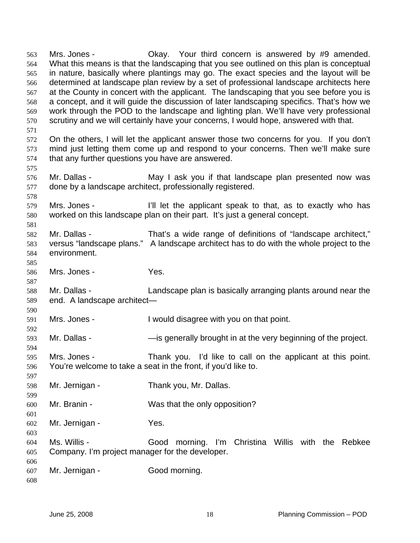Mrs. Jones - Ckay. Your third concern is answered by #9 amended. What this means is that the landscaping that you see outlined on this plan is conceptual in nature, basically where plantings may go. The exact species and the layout will be determined at landscape plan review by a set of professional landscape architects here at the County in concert with the applicant. The landscaping that you see before you is a concept, and it will guide the discussion of later landscaping specifics. That's how we work through the POD to the landscape and lighting plan. We'll have very professional scrutiny and we will certainly have your concerns, I would hope, answered with that. 563 564 565 566 567 568 569 570 571 572 573 574 575 576 577 578 579 580 581 582 583 584 585 586 587 588 589 590 591 592 593 594 595 596 597 598 599 600 601 602 603 604 605 606 607 608 On the others, I will let the applicant answer those two concerns for you. If you don't mind just letting them come up and respond to your concerns. Then we'll make sure that any further questions you have are answered. Mr. Dallas - **May I ask you if that landscape plan presented now was** done by a landscape architect, professionally registered. Mrs. Jones - I'll let the applicant speak to that, as to exactly who has worked on this landscape plan on their part. It's just a general concept. Mr. Dallas - That's a wide range of definitions of "landscape architect," versus "landscape plans." A landscape architect has to do with the whole project to the environment. Mrs. Jones - Yes. Mr. Dallas - Landscape plan is basically arranging plants around near the end. A landscape architect— Mrs. Jones - I would disagree with you on that point. Mr. Dallas - The state of the very beginning of the project. Mrs. Jones - Thank you. I'd like to call on the applicant at this point. You're welcome to take a seat in the front, if you'd like to. Mr. Jernigan - Thank you, Mr. Dallas. Mr. Branin - Was that the only opposition? Mr. Jernigan - Yes. Ms. Willis - Good morning. I'm Christina Willis with the Rebkee Company. I'm project manager for the developer. Mr. Jernigan - Good morning.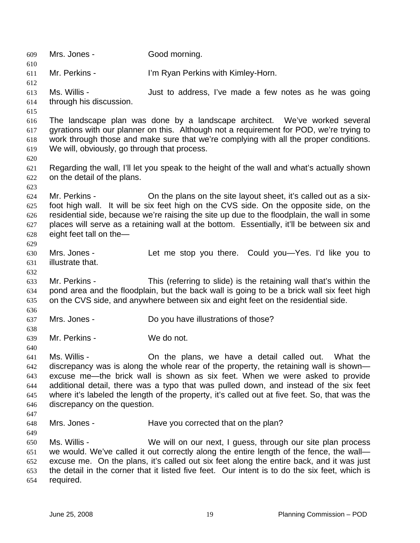| 609<br>610                                    | Mrs. Jones -                                 | Good morning.                                                                                                                                                                                                                                                                                                                                                                                                          |
|-----------------------------------------------|----------------------------------------------|------------------------------------------------------------------------------------------------------------------------------------------------------------------------------------------------------------------------------------------------------------------------------------------------------------------------------------------------------------------------------------------------------------------------|
| 611<br>612                                    | Mr. Perkins -                                | I'm Ryan Perkins with Kimley-Horn.                                                                                                                                                                                                                                                                                                                                                                                     |
| 613<br>614<br>615                             | Ms. Willis -<br>through his discussion.      | Just to address, I've made a few notes as he was going                                                                                                                                                                                                                                                                                                                                                                 |
| 616<br>617<br>618<br>619<br>620               | We will, obviously, go through that process. | The landscape plan was done by a landscape architect. We've worked several<br>gyrations with our planner on this. Although not a requirement for POD, we're trying to<br>work through those and make sure that we're complying with all the proper conditions.                                                                                                                                                         |
| 621<br>622<br>623                             | on the detail of the plans.                  | Regarding the wall, I'll let you speak to the height of the wall and what's actually shown                                                                                                                                                                                                                                                                                                                             |
| 624<br>625<br>626<br>627<br>628<br>629        | Mr. Perkins -<br>eight feet tall on the-     | On the plans on the site layout sheet, it's called out as a six-<br>foot high wall. It will be six feet high on the CVS side. On the opposite side, on the<br>residential side, because we're raising the site up due to the floodplain, the wall in some<br>places will serve as a retaining wall at the bottom. Essentially, it'll be between six and                                                                |
| 630<br>631<br>632                             | Mrs. Jones -<br>illustrate that.             | Let me stop you there. Could you-Yes. I'd like you to                                                                                                                                                                                                                                                                                                                                                                  |
| 633<br>634<br>635<br>636                      | Mr. Perkins -                                | This (referring to slide) is the retaining wall that's within the<br>pond area and the floodplain, but the back wall is going to be a brick wall six feet high<br>on the CVS side, and anywhere between six and eight feet on the residential side.                                                                                                                                                                    |
| 637<br>638                                    | Mrs. Jones -                                 | Do you have illustrations of those?                                                                                                                                                                                                                                                                                                                                                                                    |
| 639<br>640                                    | Mr. Perkins -                                | We do not.                                                                                                                                                                                                                                                                                                                                                                                                             |
| 641<br>642<br>643<br>644<br>645<br>646<br>647 | Ms. Willis -<br>discrepancy on the question. | On the plans, we have a detail called out. What the<br>discrepancy was is along the whole rear of the property, the retaining wall is shown—<br>excuse me—the brick wall is shown as six feet. When we were asked to provide<br>additional detail, there was a typo that was pulled down, and instead of the six feet<br>where it's labeled the length of the property, it's called out at five feet. So, that was the |
| 648<br>649                                    | Mrs. Jones -                                 | Have you corrected that on the plan?                                                                                                                                                                                                                                                                                                                                                                                   |
| 650<br>651<br>652<br>653<br>654               | Ms. Willis -<br>required.                    | We will on our next, I guess, through our site plan process<br>we would. We've called it out correctly along the entire length of the fence, the wall-<br>excuse me. On the plans, it's called out six feet along the entire back, and it was just<br>the detail in the corner that it listed five feet. Our intent is to do the six feet, which is                                                                    |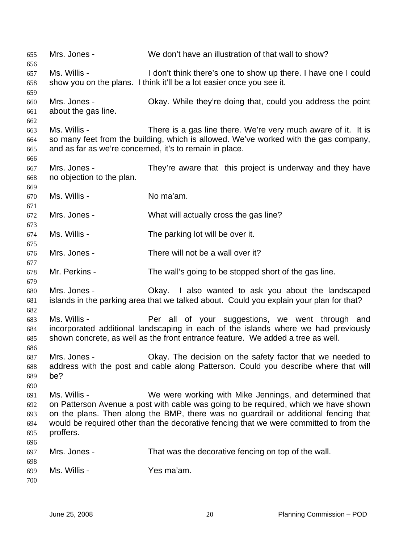| 655<br>656                             | Mrs. Jones -                              | We don't have an illustration of that wall to show?                                                                                                                                                                                                                                                                             |
|----------------------------------------|-------------------------------------------|---------------------------------------------------------------------------------------------------------------------------------------------------------------------------------------------------------------------------------------------------------------------------------------------------------------------------------|
| 657<br>658<br>659                      | Ms. Willis -                              | I don't think there's one to show up there. I have one I could<br>show you on the plans. I think it'll be a lot easier once you see it.                                                                                                                                                                                         |
| 660<br>661<br>662                      | Mrs. Jones -<br>about the gas line.       | Okay. While they're doing that, could you address the point                                                                                                                                                                                                                                                                     |
| 663<br>664<br>665<br>666               | Ms. Willis -                              | There is a gas line there. We're very much aware of it. It is<br>so many feet from the building, which is allowed. We've worked with the gas company,<br>and as far as we're concerned, it's to remain in place.                                                                                                                |
| 667<br>668<br>669                      | Mrs. Jones -<br>no objection to the plan. | They're aware that this project is underway and they have                                                                                                                                                                                                                                                                       |
| 670<br>671                             | Ms. Willis -                              | No ma'am.                                                                                                                                                                                                                                                                                                                       |
| 672<br>673                             | Mrs. Jones -                              | What will actually cross the gas line?                                                                                                                                                                                                                                                                                          |
| 674<br>675                             | Ms. Willis -                              | The parking lot will be over it.                                                                                                                                                                                                                                                                                                |
| 676                                    | Mrs. Jones -                              | There will not be a wall over it?                                                                                                                                                                                                                                                                                               |
| 677<br>678<br>679                      | Mr. Perkins -                             | The wall's going to be stopped short of the gas line.                                                                                                                                                                                                                                                                           |
| 680<br>681<br>682                      | Mrs. Jones -                              | Okay. I also wanted to ask you about the landscaped<br>islands in the parking area that we talked about. Could you explain your plan for that?                                                                                                                                                                                  |
| 683<br>684<br>685<br>686               | Ms. Willis -                              | Per all of your suggestions, we went through and<br>incorporated additional landscaping in each of the islands where we had previously<br>shown concrete, as well as the front entrance feature. We added a tree as well.                                                                                                       |
| 687<br>688<br>689<br>690               | Mrs. Jones -<br>be?                       | Okay. The decision on the safety factor that we needed to<br>address with the post and cable along Patterson. Could you describe where that will                                                                                                                                                                                |
| 691<br>692<br>693<br>694<br>695<br>696 | Ms. Willis -<br>proffers.                 | We were working with Mike Jennings, and determined that<br>on Patterson Avenue a post with cable was going to be required, which we have shown<br>on the plans. Then along the BMP, there was no guardrail or additional fencing that<br>would be required other than the decorative fencing that we were committed to from the |
| 697<br>698                             | Mrs. Jones -                              | That was the decorative fencing on top of the wall.                                                                                                                                                                                                                                                                             |
| 699<br>700                             | Ms. Willis -                              | Yes ma'am.                                                                                                                                                                                                                                                                                                                      |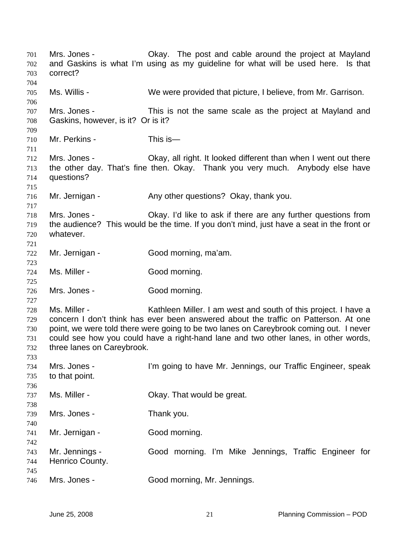Mrs. Jones - Okay. The post and cable around the project at Mayland and Gaskins is what I'm using as my guideline for what will be used here. Is that correct? 701 702 703 704 705 706 707 708 709 710 711 712 713 714 715 716 717 718 719 720 721 722 723 724 725 726 727 728 729 730 731 732 733 734 735 736 737 738 739 740 741 742 743 744 745 746 Ms. Willis - We were provided that picture, I believe, from Mr. Garrison. Mrs. Jones - This is not the same scale as the project at Mayland and Gaskins, however, is it? Or is it? Mr. Perkins - This is-Mrs. Jones - Ckay, all right. It looked different than when I went out there the other day. That's fine then. Okay. Thank you very much. Anybody else have questions? Mr. Jernigan - Any other questions? Okay, thank you. Mrs. Jones - Okay. I'd like to ask if there are any further questions from the audience? This would be the time. If you don't mind, just have a seat in the front or whatever. Mr. Jernigan - Good morning, ma'am. Ms. Miller - Good morning. Mrs. Jones - Good morning. Ms. Miller - Kathleen Miller. I am west and south of this project. I have a concern I don't think has ever been answered about the traffic on Patterson. At one point, we were told there were going to be two lanes on Careybrook coming out. I never could see how you could have a right-hand lane and two other lanes, in other words, three lanes on Careybrook. Mrs. Jones - I'm going to have Mr. Jennings, our Traffic Engineer, speak to that point. Ms. Miller - Chav. That would be great. Mrs. Jones - Thank you. Mr. Jernigan - Good morning. Mr. Jennings - Good morning. I'm Mike Jennings, Traffic Engineer for Henrico County. Mrs. Jones - Good morning, Mr. Jennings.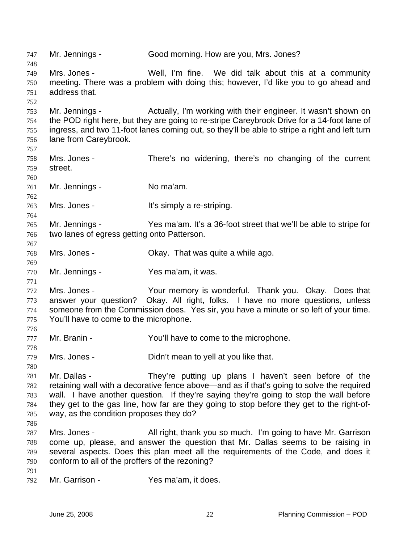| 747<br>748                             | Mr. Jennings -                                                                  | Good morning. How are you, Mrs. Jones?                                                                                                                                                                                                                                                                                                    |
|----------------------------------------|---------------------------------------------------------------------------------|-------------------------------------------------------------------------------------------------------------------------------------------------------------------------------------------------------------------------------------------------------------------------------------------------------------------------------------------|
| 749<br>750<br>751                      | Mrs. Jones -<br>address that.                                                   | Well, I'm fine. We did talk about this at a community<br>meeting. There was a problem with doing this; however, I'd like you to go ahead and                                                                                                                                                                                              |
| 752<br>753<br>754<br>755<br>756        | Mr. Jennings -<br>lane from Careybrook.                                         | Actually, I'm working with their engineer. It wasn't shown on<br>the POD right here, but they are going to re-stripe Careybrook Drive for a 14-foot lane of<br>ingress, and two 11-foot lanes coming out, so they'll be able to stripe a right and left turn                                                                              |
| 757<br>758<br>759<br>760               | Mrs. Jones -<br>street.                                                         | There's no widening, there's no changing of the current                                                                                                                                                                                                                                                                                   |
| 761<br>762                             | Mr. Jennings -                                                                  | No ma'am.                                                                                                                                                                                                                                                                                                                                 |
| 763<br>764                             | Mrs. Jones -                                                                    | It's simply a re-striping.                                                                                                                                                                                                                                                                                                                |
| 765<br>766<br>767                      | Mr. Jennings -<br>two lanes of egress getting onto Patterson.                   | Yes ma'am. It's a 36-foot street that we'll be able to stripe for                                                                                                                                                                                                                                                                         |
| 768<br>769                             | Mrs. Jones -                                                                    | Okay. That was quite a while ago.                                                                                                                                                                                                                                                                                                         |
| 770<br>771                             | Mr. Jennings -                                                                  | Yes ma'am, it was.                                                                                                                                                                                                                                                                                                                        |
| 772<br>773<br>774<br>775               | Mrs. Jones -<br>answer your question?<br>You'll have to come to the microphone. | Your memory is wonderful. Thank you. Okay. Does that<br>Okay. All right, folks. I have no more questions, unless<br>someone from the Commission does. Yes sir, you have a minute or so left of your time.                                                                                                                                 |
| 776<br>777<br>778                      | Mr. Branin -                                                                    | You'll have to come to the microphone.                                                                                                                                                                                                                                                                                                    |
| 779<br>780                             | Mrs. Jones -                                                                    | Didn't mean to yell at you like that.                                                                                                                                                                                                                                                                                                     |
| 781<br>782<br>783<br>784<br>785        | Mr. Dallas -<br>way, as the condition proposes they do?                         | They're putting up plans I haven't seen before of the<br>retaining wall with a decorative fence above—and as if that's going to solve the required<br>wall. I have another question. If they're saying they're going to stop the wall before<br>they get to the gas line, how far are they going to stop before they get to the right-of- |
| 786<br>787<br>788<br>789<br>790<br>791 | Mrs. Jones -<br>conform to all of the proffers of the rezoning?                 | All right, thank you so much. I'm going to have Mr. Garrison<br>come up, please, and answer the question that Mr. Dallas seems to be raising in<br>several aspects. Does this plan meet all the requirements of the Code, and does it                                                                                                     |
| 792                                    | Mr. Garrison -                                                                  | Yes ma'am, it does.                                                                                                                                                                                                                                                                                                                       |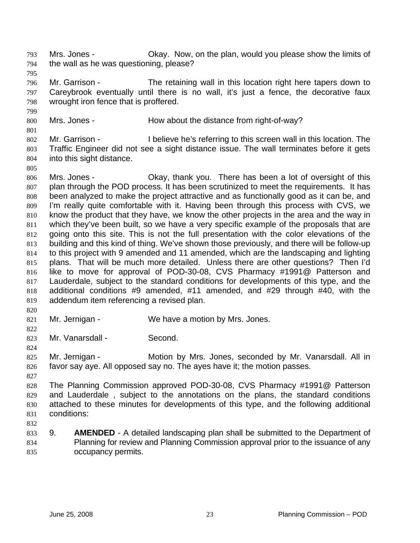- Mrs. Jones Ckay. Now, on the plan, would you please show the limits of the wall as he was questioning, please? 793 794
- 795

799

805

796 797 798 Mr. Garrison - The retaining wall in this location right here tapers down to Careybrook eventually until there is no wall, it's just a fence, the decorative faux wrought iron fence that is proffered.

800 Mrs. Jones - The How about the distance from right-of-way?

801 802 803 804 Mr. Garrison - I believe he's referring to this screen wall in this location. The Traffic Engineer did not see a sight distance issue. The wall terminates before it gets into this sight distance.

- 806 807 808 809 810 811 812 813 814 815 816 817 818 819 Mrs. Jones - Ckay, thank you. There has been a lot of oversight of this plan through the POD process. It has been scrutinized to meet the requirements. It has been analyzed to make the project attractive and as functionally good as it can be, and I'm really quite comfortable with it. Having been through this process with CVS, we know the product that they have, we know the other projects in the area and the way in which they've been built, so we have a very specific example of the proposals that are going onto this site. This is not the full presentation with the color elevations of the building and this kind of thing. We've shown those previously, and there will be follow-up to this project with 9 amended and 11 amended, which are the landscaping and lighting plans. That will be much more detailed. Unless there are other questions? Then I'd like to move for approval of POD-30-08, CVS Pharmacy #1991@ Patterson and Lauderdale, subject to the standard conditions for developments of this type, and the additional conditions #9 amended, #11 amended, and #29 through #40, with the addendum item referencing a revised plan.
- 820

822

824

- 821 Mr. Jernigan - We have a motion by Mrs. Jones.
- 823 Mr. Vanarsdall - Second.

825 826 Mr. Jernigan - **Motion by Mrs. Jones, seconded by Mr. Vanarsdall. All in** favor say aye. All opposed say no. The ayes have it; the motion passes.

827

828 829 830 831 The Planning Commission approved POD-30-08, CVS Pharmacy #1991@ Patterson and Lauderdale , subject to the annotations on the plans, the standard conditions attached to these minutes for developments of this type, and the following additional conditions:

- 832
- 833 834 835 9. **AMENDED** - A detailed landscaping plan shall be submitted to the Department of Planning for review and Planning Commission approval prior to the issuance of any occupancy permits.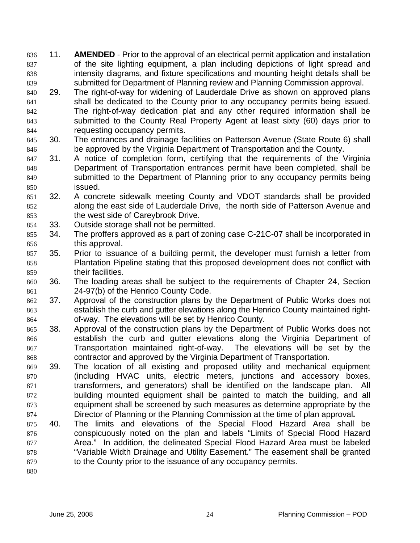11. **AMENDED** - Prior to the approval of an electrical permit application and installation of the site lighting equipment, a plan including depictions of light spread and intensity diagrams, and fixture specifications and mounting height details shall be submitted for Department of Planning review and Planning Commission approval. 836 837 838 839

- 840 841 842 843 844 29. The right-of-way for widening of Lauderdale Drive as shown on approved plans shall be dedicated to the County prior to any occupancy permits being issued. The right-of-way dedication plat and any other required information shall be submitted to the County Real Property Agent at least sixty (60) days prior to requesting occupancy permits.
- 845 846 30. The entrances and drainage facilities on Patterson Avenue (State Route 6) shall be approved by the Virginia Department of Transportation and the County.
- 847 848 849 850 31. A notice of completion form, certifying that the requirements of the Virginia Department of Transportation entrances permit have been completed, shall be submitted to the Department of Planning prior to any occupancy permits being issued.
- 851 852 853 32. A concrete sidewalk meeting County and VDOT standards shall be provided along the east side of Lauderdale Drive, the north side of Patterson Avenue and the west side of Careybrook Drive.
- 854 33. Outside storage shall not be permitted.
- 855 856 34. The proffers approved as a part of zoning case C-21C-07 shall be incorporated in this approval.
- 857 858 859 35. Prior to issuance of a building permit, the developer must furnish a letter from Plantation Pipeline stating that this proposed development does not conflict with their facilities.
- 860 861 36. The loading areas shall be subject to the requirements of Chapter 24, Section 24-97(b) of the Henrico County Code.
- 862 863 864 37. Approval of the construction plans by the Department of Public Works does not establish the curb and gutter elevations along the Henrico County maintained rightof-way. The elevations will be set by Henrico County.
- 865 866 867 868 38. Approval of the construction plans by the Department of Public Works does not establish the curb and gutter elevations along the Virginia Department of Transportation maintained right-of-way. The elevations will be set by the contractor and approved by the Virginia Department of Transportation.
- 869 870 871 872 873 874 39. The location of all existing and proposed utility and mechanical equipment (including HVAC units, electric meters, junctions and accessory boxes, transformers, and generators) shall be identified on the landscape plan. All building mounted equipment shall be painted to match the building, and all equipment shall be screened by such measures as determine appropriate by the Director of Planning or the Planning Commission at the time of plan approval**.**
- 875 876 877 878 879 40. The limits and elevations of the Special Flood Hazard Area shall be conspicuously noted on the plan and labels "Limits of Special Flood Hazard Area." In addition, the delineated Special Flood Hazard Area must be labeled "Variable Width Drainage and Utility Easement." The easement shall be granted to the County prior to the issuance of any occupancy permits.
- 880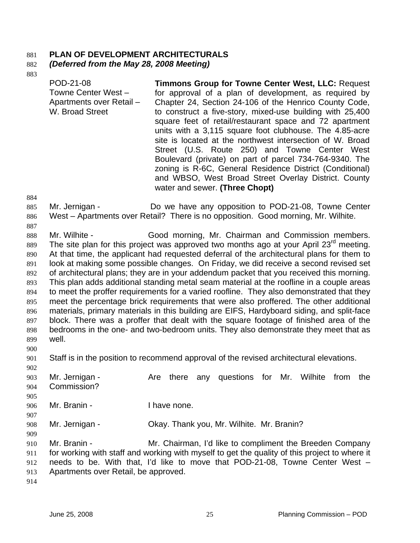### 881 **PLAN OF DEVELOPMENT ARCHITECTURALS**

#### 882 *(Deferred from the May 28, 2008 Meeting)*

883

884

| POD-21-08                | <b>Timmons Group for Towne Center West, LLC: Request</b>  |
|--------------------------|-----------------------------------------------------------|
| Towne Center West -      | for approval of a plan of development, as required by     |
| Apartments over Retail - | Chapter 24, Section 24-106 of the Henrico County Code,    |
| W. Broad Street          | to construct a five-story, mixed-use building with 25,400 |
|                          | square feet of retail/restaurant space and 72 apartment   |
|                          | units with a 3,115 square foot clubhouse. The 4.85-acre   |
|                          | site is located at the northwest intersection of W. Broad |
|                          | Street (U.S. Route 250) and Towne Center West             |
|                          | Boulevard (private) on part of parcel 734-764-9340. The   |
|                          | zoning is R-6C, General Residence District (Conditional)  |
|                          | and WBSO, West Broad Street Overlay District. County      |
|                          | water and sewer. (Three Chopt)                            |

885 886 Mr. Jernigan - **Do** we have any opposition to POD-21-08, Towne Center West – Apartments over Retail? There is no opposition. Good morning, Mr. Wilhite.

887 888 889 890 891 892 893 894 895 896 897 898 899 Mr. Wilhite - Good morning, Mr. Chairman and Commission members. The site plan for this project was approved two months ago at your April  $23<sup>rd</sup>$  meeting. At that time, the applicant had requested deferral of the architectural plans for them to look at making some possible changes. On Friday, we did receive a second revised set of architectural plans; they are in your addendum packet that you received this morning. This plan adds additional standing metal seam material at the roofline in a couple areas to meet the proffer requirements for a varied roofline. They also demonstrated that they meet the percentage brick requirements that were also proffered. The other additional materials, primary materials in this building are EIFS, Hardyboard siding, and split-face block. There was a proffer that dealt with the square footage of finished area of the bedrooms in the one- and two-bedroom units. They also demonstrate they meet that as well.

900

902

901 Staff is in the position to recommend approval of the revised architectural elevations.

903 904 905 906 907 908 909 Mr. Jernigan - The Are there any questions for Mr. Wilhite from the Commission? Mr. Branin - Thave none. Mr. Jernigan - **CKay. Thank you, Mr. Wilhite. Mr. Branin**?

910 911 912 913 Mr. Branin - Mr. Chairman, I'd like to compliment the Breeden Company for working with staff and working with myself to get the quality of this project to where it needs to be. With that, I'd like to move that POD-21-08, Towne Center West – Apartments over Retail, be approved.

914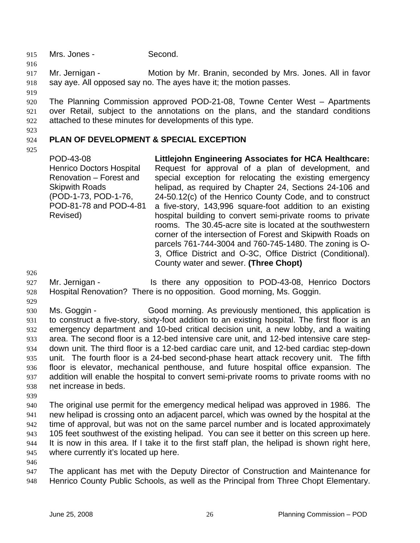915 Mrs. Jones - Second.

917 918 Mr. Jernigan - **Motion by Mr. Branin, seconded by Mrs. Jones. All in favor** say aye. All opposed say no. The ayes have it; the motion passes.

919

916

920 921 922 The Planning Commission approved POD-21-08, Towne Center West – Apartments over Retail, subject to the annotations on the plans, and the standard conditions attached to these minutes for developments of this type.

923

#### 924 **PLAN OF DEVELOPMENT & SPECIAL EXCEPTION**

925

POD-43-08 Henrico Doctors Hospital Renovation – Forest and Skipwith Roads (POD-1-73, POD-1-76, POD-81-78 and POD-4-81 Revised) **Littlejohn Engineering Associates for HCA Healthcare:**  Request for approval of a plan of development, and special exception for relocating the existing emergency helipad, as required by Chapter 24, Sections 24-106 and 24-50.12(c) of the Henrico County Code, and to construct a five-story, 143,996 square-foot addition to an existing hospital building to convert semi-private rooms to private rooms. The 30.45-acre site is located at the southwestern corner of the intersection of Forest and Skipwith Roads on parcels 761-744-3004 and 760-745-1480. The zoning is O-3, Office District and O-3C, Office District (Conditional). County water and sewer. **(Three Chopt)** 

926

- 927 928 Mr. Jernigan - Is there any opposition to POD-43-08, Henrico Doctors Hospital Renovation? There is no opposition. Good morning, Ms. Goggin.
- 929

930 931 932 933 934 935 936 937 938 Ms. Goggin - Good morning. As previously mentioned, this application is to construct a five-story, sixty-foot addition to an existing hospital. The first floor is an emergency department and 10-bed critical decision unit, a new lobby, and a waiting area. The second floor is a 12-bed intensive care unit, and 12-bed intensive care stepdown unit. The third floor is a 12-bed cardiac care unit, and 12-bed cardiac step-down unit. The fourth floor is a 24-bed second-phase heart attack recovery unit. The fifth floor is elevator, mechanical penthouse, and future hospital office expansion. The addition will enable the hospital to convert semi-private rooms to private rooms with no net increase in beds.

939

940 941 942 943 944 945 The original use permit for the emergency medical helipad was approved in 1986. The new helipad is crossing onto an adjacent parcel, which was owned by the hospital at the time of approval, but was not on the same parcel number and is located approximately 105 feet southwest of the existing helipad. You can see it better on this screen up here. It is now in this area. If I take it to the first staff plan, the helipad is shown right here, where currently it's located up here.

946

947 948 The applicant has met with the Deputy Director of Construction and Maintenance for Henrico County Public Schools, as well as the Principal from Three Chopt Elementary.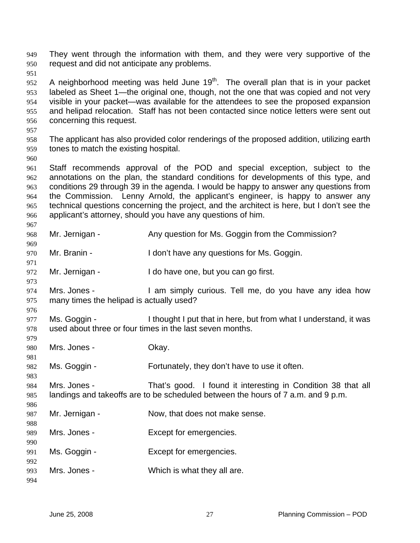They went through the information with them, and they were very supportive of the request and did not anticipate any problems. 949 950

951

952 953 954 955 956 A neighborhood meeting was held June  $19<sup>th</sup>$ . The overall plan that is in your packet labeled as Sheet 1—the original one, though, not the one that was copied and not very visible in your packet—was available for the attendees to see the proposed expansion and helipad relocation. Staff has not been contacted since notice letters were sent out concerning this request.

957

958 959 The applicant has also provided color renderings of the proposed addition, utilizing earth tones to match the existing hospital.

960

967

969

971

973

976

979

961 962 963 964 965 966 Staff recommends approval of the POD and special exception, subject to the annotations on the plan, the standard conditions for developments of this type, and conditions 29 through 39 in the agenda. I would be happy to answer any questions from the Commission. Lenny Arnold, the applicant's engineer, is happy to answer any technical questions concerning the project, and the architect is here, but I don't see the applicant's attorney, should you have any questions of him.

- 968 Mr. Jernigan - Any question for Ms. Goggin from the Commission?
- 970 Mr. Branin - The Muslim Con't have any questions for Ms. Goggin.
- 972 Mr. Jernigan - I do have one, but you can go first.
- 974 975 Mrs. Jones - I am simply curious. Tell me, do you have any idea how many times the helipad is actually used?
- 977 978 Ms. Goggin - I thought I put that in here, but from what I understand, it was used about three or four times in the last seven months.
- 980 981 982 983 984 985 986 987 988 989 990 991 992 993 994 Mrs. Jones - Chay. Ms. Goggin - Fortunately, they don't have to use it often. Mrs. Jones - That's good. I found it interesting in Condition 38 that all landings and takeoffs are to be scheduled between the hours of 7 a.m. and 9 p.m. Mr. Jernigan - Now, that does not make sense. Mrs. Jones - Except for emergencies. Ms. Goggin - Except for emergencies. Mrs. Jones - Which is what they all are.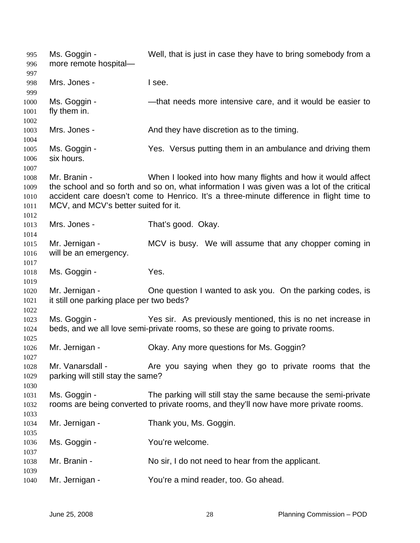Ms. Goggin - Well, that is just in case they have to bring somebody from a more remote hospital— Mrs. Jones - The Rise of the Isee. Ms. Goggin - — —that needs more intensive care, and it would be easier to fly them in. Mrs. Jones - And they have discretion as to the timing. Ms. Goggin - Yes. Versus putting them in an ambulance and driving them six hours. Mr. Branin - When I looked into how many flights and how it would affect the school and so forth and so on, what information I was given was a lot of the critical accident care doesn't come to Henrico. It's a three-minute difference in flight time to MCV, and MCV's better suited for it. Mrs. Jones - That's good. Okay. Mr. Jernigan - **MCV** is busy. We will assume that any chopper coming in will be an emergency. Ms. Goggin - Yes. Mr. Jernigan - Che question I wanted to ask you. On the parking codes, is it still one parking place per two beds? Ms. Goggin - Yes sir. As previously mentioned, this is no net increase in beds, and we all love semi-private rooms, so these are going to private rooms. Mr. Jernigan - Ckay. Any more questions for Ms. Goggin? Mr. Vanarsdall - The you saying when they go to private rooms that the parking will still stay the same? Ms. Goggin - The parking will still stay the same because the semi-private rooms are being converted to private rooms, and they'll now have more private rooms. Mr. Jernigan - Thank you, Ms. Goggin. Ms. Goggin - You're welcome. Mr. Branin - No sir, I do not need to hear from the applicant. Mr. Jernigan - You're a mind reader, too. Go ahead.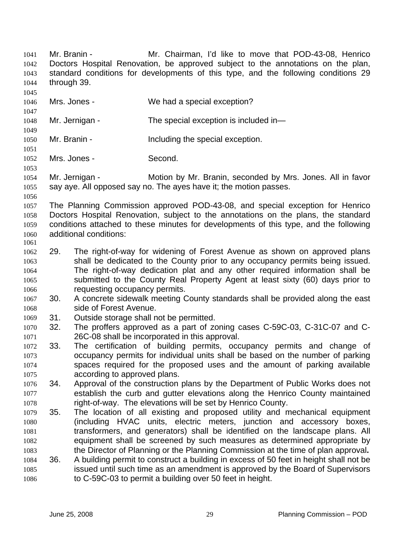Mr. Branin - Mr. Chairman, I'd like to move that POD-43-08, Henrico Doctors Hospital Renovation, be approved subject to the annotations on the plan, standard conditions for developments of this type, and the following conditions 29 through 39. 1041 1042 1043 1044 1045

- 1046 Mrs. Jones - We had a special exception?
- 1048 Mr. Jernigan - The special exception is included in-
- 1050 Mr. Branin - The Including the special exception.
- 1052 Mrs. Jones - Second.

1054 1055 Mr. Jernigan - Motion by Mr. Branin, seconded by Mrs. Jones. All in favor say aye. All opposed say no. The ayes have it; the motion passes.

1056

1047

1049

1051

1053

1057 1058 1059 1060 1061 The Planning Commission approved POD-43-08, and special exception for Henrico Doctors Hospital Renovation, subject to the annotations on the plans, the standard conditions attached to these minutes for developments of this type, and the following additional conditions:

- 1063 1064 1065 1066 1062 29. The right-of-way for widening of Forest Avenue as shown on approved plans shall be dedicated to the County prior to any occupancy permits being issued. The right-of-way dedication plat and any other required information shall be submitted to the County Real Property Agent at least sixty (60) days prior to requesting occupancy permits.
- 1067 1068 30. A concrete sidewalk meeting County standards shall be provided along the east side of Forest Avenue.
- 1069 31. Outside storage shall not be permitted.
- 1070 1071 32. The proffers approved as a part of zoning cases C-59C-03, C-31C-07 and C-26C-08 shall be incorporated in this approval.
- 1072 1073 1074 1075 33. The certification of building permits, occupancy permits and change of occupancy permits for individual units shall be based on the number of parking spaces required for the proposed uses and the amount of parking available according to approved plans.
- 1076 1077 1078 34. Approval of the construction plans by the Department of Public Works does not establish the curb and gutter elevations along the Henrico County maintained right-of-way. The elevations will be set by Henrico County.
- 1079 1080 1081 1082 1083 35. The location of all existing and proposed utility and mechanical equipment (including HVAC units, electric meters, junction and accessory boxes, transformers, and generators) shall be identified on the landscape plans. All equipment shall be screened by such measures as determined appropriate by the Director of Planning or the Planning Commission at the time of plan approval**.**
- 1084 1085 1086 36. A building permit to construct a building in excess of 50 feet in height shall not be issued until such time as an amendment is approved by the Board of Supervisors to C-59C-03 to permit a building over 50 feet in height.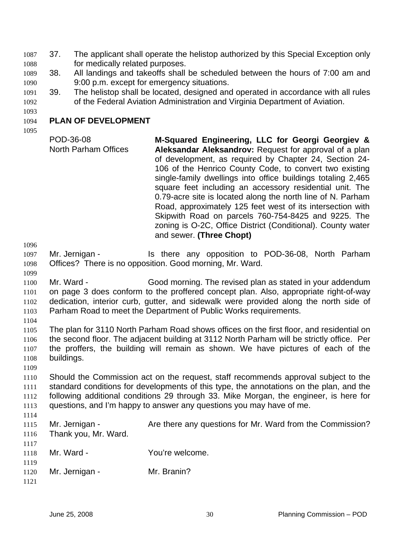- 37. The applicant shall operate the helistop authorized by this Special Exception only for medically related purposes. 1087 1088
- 1089 1090 38. All landings and takeoffs shall be scheduled between the hours of 7:00 am and 9:00 p.m. except for emergency situations.
- 1091 1092 39. The helistop shall be located, designed and operated in accordance with all rules of the Federal Aviation Administration and Virginia Department of Aviation.

#### 1094 **PLAN OF DEVELOPMENT**

1095

1093

POD-36-08 North Parham Offices **M-Squared Engineering, LLC for Georgi Georgiev & Aleksandar Aleksandrov:** Request for approval of a plan of development, as required by Chapter 24, Section 24- 106 of the Henrico County Code, to convert two existing single-family dwellings into office buildings totaling 2,465 square feet including an accessory residential unit. The 0.79-acre site is located along the north line of N. Parham Road, approximately 125 feet west of its intersection with Skipwith Road on parcels 760-754-8425 and 9225. The zoning is O-2C, Office District (Conditional). County water and sewer. **(Three Chopt)** 

1096

1097 1098 Mr. Jernigan - The Is there any opposition to POD-36-08, North Parham Offices? There is no opposition. Good morning, Mr. Ward.

1099

1100 1101 1102 1103 Mr. Ward - Good morning. The revised plan as stated in your addendum on page 3 does conform to the proffered concept plan. Also, appropriate right-of-way dedication, interior curb, gutter, and sidewalk were provided along the north side of Parham Road to meet the Department of Public Works requirements.

1104

1105 1106 1107 1108 The plan for 3110 North Parham Road shows offices on the first floor, and residential on the second floor. The adjacent building at 3112 North Parham will be strictly office. Per the proffers, the building will remain as shown. We have pictures of each of the buildings.

- 1109 1110 1111 1112 1113 Should the Commission act on the request, staff recommends approval subject to the standard conditions for developments of this type, the annotations on the plan, and the following additional conditions 29 through 33. Mike Morgan, the engineer, is here for questions, and I'm happy to answer any questions you may have of me.
- 1114
- 1115 1116 1117 Mr. Jernigan - Are there any questions for Mr. Ward from the Commission? Thank you, Mr. Ward.

| 1118 | Mr. Ward - | You're welcome. |
|------|------------|-----------------|
| 1119 |            |                 |

| .    |                |             |
|------|----------------|-------------|
| 1120 | Mr. Jernigan - | Mr. Branin? |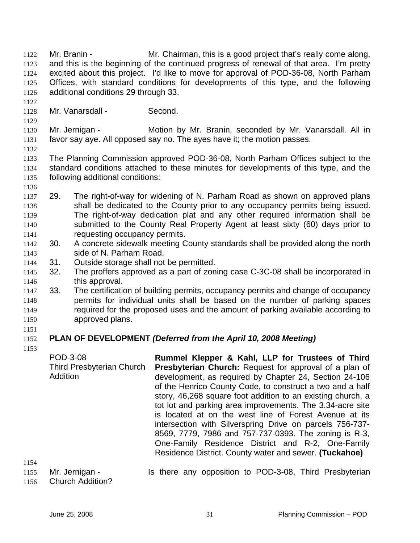Mr. Branin - **Mr.** Chairman, this is a good project that's really come along, and this is the beginning of the continued progress of renewal of that area. I'm pretty excited about this project. I'd like to move for approval of POD-36-08, North Parham Offices, with standard conditions for developments of this type, and the following additional conditions 29 through 33. 1122 1123 1124 1125 1126

1127 1128

1129

Mr. Vanarsdall - Second.

1130 1131 Mr. Jernigan - **Motion by Mr. Branin, seconded by Mr. Vanarsdall. All in** favor say aye. All opposed say no. The ayes have it; the motion passes.

1132

1133 1134 1135 The Planning Commission approved POD-36-08, North Parham Offices subject to the standard conditions attached to these minutes for developments of this type, and the following additional conditions:

- 1136
- 1138 1139 1140 1141 1137 29. The right-of-way for widening of N. Parham Road as shown on approved plans shall be dedicated to the County prior to any occupancy permits being issued. The right-of-way dedication plat and any other required information shall be submitted to the County Real Property Agent at least sixty (60) days prior to requesting occupancy permits.
- 1143 1142 30. A concrete sidewalk meeting County standards shall be provided along the north side of N. Parham Road.
- 1144 31. Outside storage shall not be permitted.
- 1146 1145 32. The proffers approved as a part of zoning case C-3C-08 shall be incorporated in this approval.
- 1148 1149 1150 1147 33. The certification of building permits, occupancy permits and change of occupancy permits for individual units shall be based on the number of parking spaces required for the proposed uses and the amount of parking available according to approved plans.
- 1151

1153

#### 1152 **PLAN OF DEVELOPMENT** *(Deferred from the April 10, 2008 Meeting)*

POD-3-08 Third Presbyterian Church Addition **Rummel Klepper & Kahl, LLP for Trustees of Third Presbyterian Church:** Request for approval of a plan of development, as required by Chapter 24, Section 24-106 of the Henrico County Code, to construct a two and a half story, 46,268 square foot addition to an existing church, a tot lot and parking area improvements. The 3.34-acre site is located at on the west line of Forest Avenue at its intersection with Silverspring Drive on parcels 756-737- 8569, 7779, 7986 and 757-737-0393. The zoning is R-3, One-Family Residence District and R-2, One-Family Residence District. County water and sewer. **(Tuckahoe)** 

1154

1155 Mr. Jernigan - Is there any opposition to POD-3-08, Third Presbyterian

1156 Church Addition?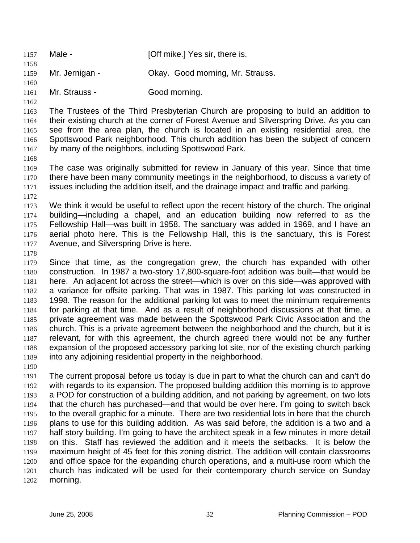1157 Male - [Off mike.] Yes sir, there is. 1158 1159 1160 1161 1162 1163 1164 1165 1166 1167 1168 1169 1170 1171 1172 1173 1174 1175 1176 1177 1178 1179 1180 1181 1182 1183 1184 1185 1186 1187 1188 1189 1190 1191 1192 1193 1194 1195 1196 1197 1198 1199 1200 1201 1202 Mr. Jernigan - **Okay. Good morning, Mr. Strauss.** Mr. Strauss - Good morning. The Trustees of the Third Presbyterian Church are proposing to build an addition to their existing church at the corner of Forest Avenue and Silverspring Drive. As you can see from the area plan, the church is located in an existing residential area, the Spottswood Park neighborhood. This church addition has been the subject of concern by many of the neighbors, including Spottswood Park. The case was originally submitted for review in January of this year. Since that time there have been many community meetings in the neighborhood, to discuss a variety of issues including the addition itself, and the drainage impact and traffic and parking. We think it would be useful to reflect upon the recent history of the church. The original building—including a chapel, and an education building now referred to as the Fellowship Hall—was built in 1958. The sanctuary was added in 1969, and I have an aerial photo here. This is the Fellowship Hall, this is the sanctuary, this is Forest Avenue, and Silverspring Drive is here. Since that time, as the congregation grew, the church has expanded with other construction. In 1987 a two-story 17,800-square-foot addition was built—that would be here. An adjacent lot across the street—which is over on this side—was approved with a variance for offsite parking. That was in 1987. This parking lot was constructed in 1998. The reason for the additional parking lot was to meet the minimum requirements for parking at that time. And as a result of neighborhood discussions at that time, a private agreement was made between the Spottswood Park Civic Association and the church. This is a private agreement between the neighborhood and the church, but it is relevant, for with this agreement, the church agreed there would not be any further expansion of the proposed accessory parking lot site, nor of the existing church parking into any adjoining residential property in the neighborhood. The current proposal before us today is due in part to what the church can and can't do with regards to its expansion. The proposed building addition this morning is to approve a POD for construction of a building addition, and not parking by agreement, on two lots that the church has purchased—and that would be over here. I'm going to switch back to the overall graphic for a minute. There are two residential lots in here that the church plans to use for this building addition. As was said before, the addition is a two and a half story building. I'm going to have the architect speak in a few minutes in more detail on this. Staff has reviewed the addition and it meets the setbacks. It is below the maximum height of 45 feet for this zoning district. The addition will contain classrooms and office space for the expanding church operations, and a multi-use room which the church has indicated will be used for their contemporary church service on Sunday morning.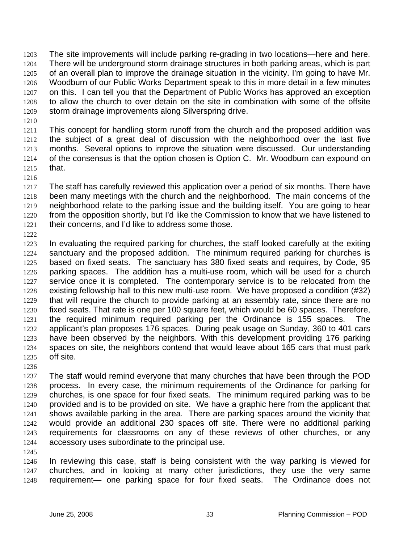The site improvements will include parking re-grading in two locations—here and here. There will be underground storm drainage structures in both parking areas, which is part of an overall plan to improve the drainage situation in the vicinity. I'm going to have Mr. Woodburn of our Public Works Department speak to this in more detail in a few minutes on this. I can tell you that the Department of Public Works has approved an exception to allow the church to over detain on the site in combination with some of the offsite storm drainage improvements along Silverspring drive. 1203 1204 1205 1206 1207 1208 1209

1210

1211 1212 1213 1214 1215 This concept for handling storm runoff from the church and the proposed addition was the subject of a great deal of discussion with the neighborhood over the last five months. Several options to improve the situation were discussed. Our understanding of the consensus is that the option chosen is Option C. Mr. Woodburn can expound on that.

1216

1217 1218 1219 1220 1221 The staff has carefully reviewed this application over a period of six months. There have been many meetings with the church and the neighborhood. The main concerns of the neighborhood relate to the parking issue and the building itself. You are going to hear from the opposition shortly, but I'd like the Commission to know that we have listened to their concerns, and I'd like to address some those.

1222

1223 1224 1225 1226 1227 1228 1229 1230 1231 1232 1233 1234 1235 In evaluating the required parking for churches, the staff looked carefully at the exiting sanctuary and the proposed addition. The minimum required parking for churches is based on fixed seats. The sanctuary has 380 fixed seats and requires, by Code, 95 parking spaces. The addition has a multi-use room, which will be used for a church service once it is completed. The contemporary service is to be relocated from the existing fellowship hall to this new multi-use room. We have proposed a condition (#32) that will require the church to provide parking at an assembly rate, since there are no fixed seats. That rate is one per 100 square feet, which would be 60 spaces. Therefore, the required minimum required parking per the Ordinance is 155 spaces. The applicant's plan proposes 176 spaces. During peak usage on Sunday, 360 to 401 cars have been observed by the neighbors. With this development providing 176 parking spaces on site, the neighbors contend that would leave about 165 cars that must park off site.

1236

1237 1238 1239 1240 1241 1242 1243 1244 The staff would remind everyone that many churches that have been through the POD process. In every case, the minimum requirements of the Ordinance for parking for churches, is one space for four fixed seats. The minimum required parking was to be provided and is to be provided on site. We have a graphic here from the applicant that shows available parking in the area. There are parking spaces around the vicinity that would provide an additional 230 spaces off site. There were no additional parking requirements for classrooms on any of these reviews of other churches, or any accessory uses subordinate to the principal use.

1245

1246 1247 1248 In reviewing this case, staff is being consistent with the way parking is viewed for churches, and in looking at many other jurisdictions, they use the very same requirement— one parking space for four fixed seats. The Ordinance does not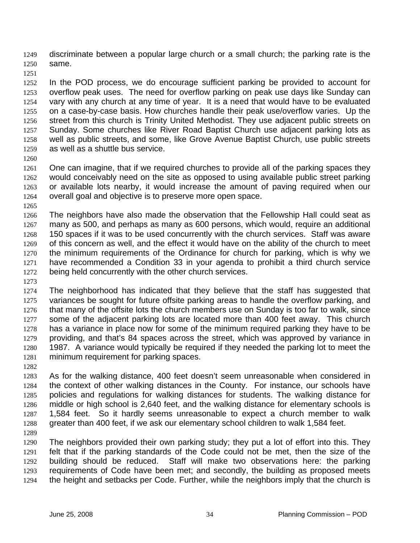discriminate between a popular large church or a small church; the parking rate is the same. 1249 1250

1251

1252 1253 1254 1255 1256 1257 1258 1259 In the POD process, we do encourage sufficient parking be provided to account for overflow peak uses. The need for overflow parking on peak use days like Sunday can vary with any church at any time of year. It is a need that would have to be evaluated on a case-by-case basis. How churches handle their peak use/overflow varies. Up the street from this church is Trinity United Methodist. They use adjacent public streets on Sunday. Some churches like River Road Baptist Church use adjacent parking lots as well as public streets, and some, like Grove Avenue Baptist Church, use public streets as well as a shuttle bus service.

1260

1261 1262 1263 1264 One can imagine, that if we required churches to provide all of the parking spaces they would conceivably need on the site as opposed to using available public street parking or available lots nearby, it would increase the amount of paving required when our overall goal and objective is to preserve more open space.

1265

1266 1267 1268 1269 1270 1271 1272 The neighbors have also made the observation that the Fellowship Hall could seat as many as 500, and perhaps as many as 600 persons, which would, require an additional 150 spaces if it was to be used concurrently with the church services. Staff was aware of this concern as well, and the effect it would have on the ability of the church to meet the minimum requirements of the Ordinance for church for parking, which is why we have recommended a Condition 33 in your agenda to prohibit a third church service being held concurrently with the other church services.

1273

1274 1275 1276 1277 1278 1279 1280 1281 The neighborhood has indicated that they believe that the staff has suggested that variances be sought for future offsite parking areas to handle the overflow parking, and that many of the offsite lots the church members use on Sunday is too far to walk, since some of the adjacent parking lots are located more than 400 feet away. This church has a variance in place now for some of the minimum required parking they have to be providing, and that's 84 spaces across the street, which was approved by variance in 1987. A variance would typically be required if they needed the parking lot to meet the minimum requirement for parking spaces.

1282

1283 1284 1285 1286 1287 1288 As for the walking distance, 400 feet doesn't seem unreasonable when considered in the context of other walking distances in the County. For instance, our schools have policies and regulations for walking distances for students. The walking distance for middle or high school is 2,640 feet, and the walking distance for elementary schools is 1,584 feet. So it hardly seems unreasonable to expect a church member to walk greater than 400 feet, if we ask our elementary school children to walk 1,584 feet.

1289

1290 1291 1292 1293 1294 The neighbors provided their own parking study; they put a lot of effort into this. They felt that if the parking standards of the Code could not be met, then the size of the building should be reduced. Staff will make two observations here: the parking requirements of Code have been met; and secondly, the building as proposed meets the height and setbacks per Code. Further, while the neighbors imply that the church is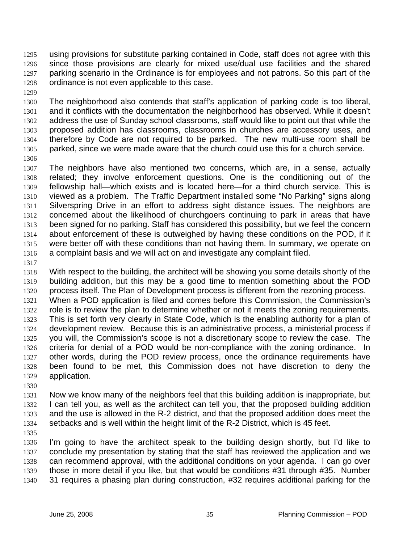using provisions for substitute parking contained in Code, staff does not agree with this since those provisions are clearly for mixed use/dual use facilities and the shared parking scenario in the Ordinance is for employees and not patrons. So this part of the ordinance is not even applicable to this case. 1295 1296 1297 1298

1299

1300 1301 1302 1303 1304 1305 The neighborhood also contends that staff's application of parking code is too liberal, and it conflicts with the documentation the neighborhood has observed. While it doesn't address the use of Sunday school classrooms, staff would like to point out that while the proposed addition has classrooms, classrooms in churches are accessory uses, and therefore by Code are not required to be parked. The new multi-use room shall be parked, since we were made aware that the church could use this for a church service.

1306

1307 1308 1309 1310 1311 1312 1313 1314 1315 1316 The neighbors have also mentioned two concerns, which are, in a sense, actually related; they involve enforcement questions. One is the conditioning out of the fellowship hall—which exists and is located here—for a third church service. This is viewed as a problem. The Traffic Department installed some "No Parking" signs along Silverspring Drive in an effort to address sight distance issues. The neighbors are concerned about the likelihood of churchgoers continuing to park in areas that have been signed for no parking. Staff has considered this possibility, but we feel the concern about enforcement of these is outweighed by having these conditions on the POD, if it were better off with these conditions than not having them. In summary, we operate on a complaint basis and we will act on and investigate any complaint filed.

1317

1318 1319 1320 With respect to the building, the architect will be showing you some details shortly of the building addition, but this may be a good time to mention something about the POD process itself. The Plan of Development process is different from the rezoning process.

1321 1322 1323 1324 1325 1326 1327 1328 1329 When a POD application is filed and comes before this Commission, the Commission's role is to review the plan to determine whether or not it meets the zoning requirements. This is set forth very clearly in State Code, which is the enabling authority for a plan of development review. Because this is an administrative process, a ministerial process if you will, the Commission's scope is not a discretionary scope to review the case. The criteria for denial of a POD would be non-compliance with the zoning ordinance. In other words, during the POD review process, once the ordinance requirements have been found to be met, this Commission does not have discretion to deny the application.

1330

1331 1332 1333 1334 Now we know many of the neighbors feel that this building addition is inappropriate, but I can tell you, as well as the architect can tell you, that the proposed building addition and the use is allowed in the R-2 district, and that the proposed addition does meet the setbacks and is well within the height limit of the R-2 District, which is 45 feet.

1335

1336 1337 1338 1339 1340 I'm going to have the architect speak to the building design shortly, but I'd like to conclude my presentation by stating that the staff has reviewed the application and we can recommend approval, with the additional conditions on your agenda. I can go over those in more detail if you like, but that would be conditions #31 through #35. Number 31 requires a phasing plan during construction, #32 requires additional parking for the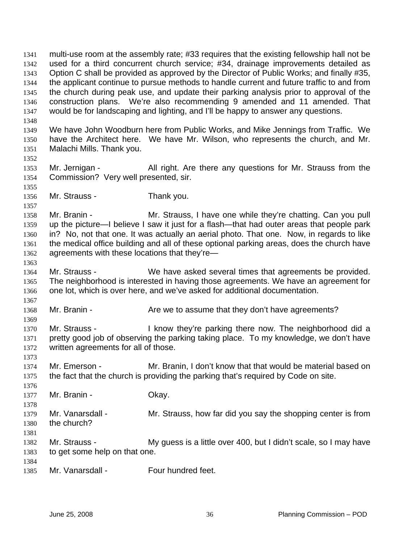multi-use room at the assembly rate; #33 requires that the existing fellowship hall not be used for a third concurrent church service; #34, drainage improvements detailed as Option C shall be provided as approved by the Director of Public Works; and finally #35, the applicant continue to pursue methods to handle current and future traffic to and from the church during peak use, and update their parking analysis prior to approval of the construction plans. We're also recommending 9 amended and 11 amended. That would be for landscaping and lighting, and I'll be happy to answer any questions. 1341 1342 1343 1344 1345 1346 1347 1348 1349 1350 1351 1352 1353 1354 1355 1356 1357 1358 1359 1360 1361 1362 1363 1364 1365 1366 1367 1368 1369 1370 1371 1372 1373 1374 1375 1376 1377 1378 1379 1380 1381 1382 1383 1384 1385 We have John Woodburn here from Public Works, and Mike Jennings from Traffic. We have the Architect here. We have Mr. Wilson, who represents the church, and Mr. Malachi Mills. Thank you. Mr. Jernigan - All right. Are there any questions for Mr. Strauss from the Commission? Very well presented, sir. Mr. Strauss - Thank you. Mr. Branin - The Mr. Strauss, I have one while they're chatting. Can you pull up the picture—I believe I saw it just for a flash—that had outer areas that people park in? No, not that one. It was actually an aerial photo. That one. Now, in regards to like the medical office building and all of these optional parking areas, does the church have agreements with these locations that they're— Mr. Strauss - We have asked several times that agreements be provided. The neighborhood is interested in having those agreements. We have an agreement for one lot, which is over here, and we've asked for additional documentation. Mr. Branin - The Mr. Branin - Are we to assume that they don't have agreements? Mr. Strauss - I know they're parking there now. The neighborhood did a pretty good job of observing the parking taking place. To my knowledge, we don't have written agreements for all of those. Mr. Emerson - Mr. Branin, I don't know that that would be material based on the fact that the church is providing the parking that's required by Code on site. Mr. Branin - Chay. Mr. Vanarsdall - Mr. Strauss, how far did you say the shopping center is from the church? Mr. Strauss - My quess is a little over 400, but I didn't scale, so I may have to get some help on that one. Mr. Vanarsdall - Four hundred feet.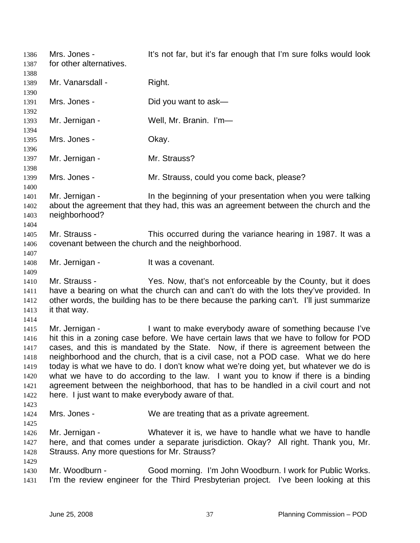Mrs. Jones - It's not far, but it's far enough that I'm sure folks would look for other alternatives. 1386 1387 1388 1389 1390 1391 1392 1393 1394 1395 1396 1397 1398 1399 1400 1401 1402 1403 1404 1405 1406 1407 1408 1409 1410 1411 1412 1413 1414 1415 1416 1417 1418 1419 1420 1421 1422 1423 1424 1425 1426 1427 1428 1429 1430 1431 Mr. Vanarsdall - Right. Mrs. Jones - Did you want to ask— Mr. Jernigan - Well, Mr. Branin. I'm-Mrs. Jones - Ckay. Mr. Jernigan - Mr. Strauss? Mrs. Jones - Mr. Strauss, could you come back, please? Mr. Jernigan - In the beginning of your presentation when you were talking about the agreement that they had, this was an agreement between the church and the neighborhood? Mr. Strauss - This occurred during the variance hearing in 1987. It was a covenant between the church and the neighborhood. Mr. Jernigan - It was a covenant. Mr. Strauss - Yes. Now, that's not enforceable by the County, but it does have a bearing on what the church can and can't do with the lots they've provided. In other words, the building has to be there because the parking can't. I'll just summarize it that way. Mr. Jernigan - I want to make everybody aware of something because I've hit this in a zoning case before. We have certain laws that we have to follow for POD cases, and this is mandated by the State. Now, if there is agreement between the neighborhood and the church, that is a civil case, not a POD case. What we do here today is what we have to do. I don't know what we're doing yet, but whatever we do is what we have to do according to the law. I want you to know if there is a binding agreement between the neighborhood, that has to be handled in a civil court and not here. I just want to make everybody aware of that. Mrs. Jones - We are treating that as a private agreement. Mr. Jernigan - Whatever it is, we have to handle what we have to handle here, and that comes under a separate jurisdiction. Okay? All right. Thank you, Mr. Strauss. Any more questions for Mr. Strauss? Mr. Woodburn - Good morning. I'm John Woodburn. I work for Public Works. I'm the review engineer for the Third Presbyterian project. I've been looking at this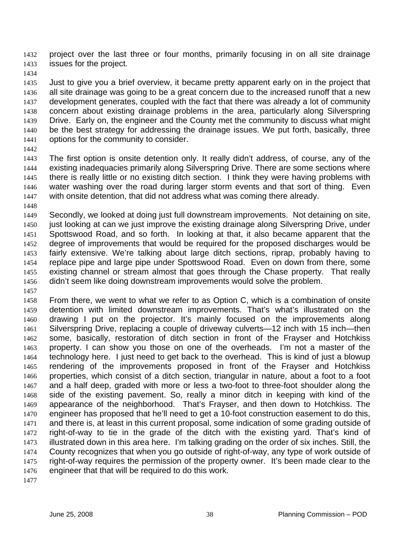project over the last three or four months, primarily focusing in on all site drainage issues for the project. 1432 1433

1434

1435 1436 1437 1438 1439 1440 1441 Just to give you a brief overview, it became pretty apparent early on in the project that all site drainage was going to be a great concern due to the increased runoff that a new development generates, coupled with the fact that there was already a lot of community concern about existing drainage problems in the area, particularly along Silverspring Drive. Early on, the engineer and the County met the community to discuss what might be the best strategy for addressing the drainage issues. We put forth, basically, three options for the community to consider.

1442

1443 1444 1445 1446 1447 The first option is onsite detention only. It really didn't address, of course, any of the existing inadequacies primarily along Silverspring Drive. There are some sections where there is really little or no existing ditch section. I think they were having problems with water washing over the road during larger storm events and that sort of thing. Even with onsite detention, that did not address what was coming there already.

1448

1449 1450 1451 1452 1453 1454 1455 1456 Secondly, we looked at doing just full downstream improvements. Not detaining on site, just looking at can we just improve the existing drainage along Silverspring Drive, under Spottswood Road, and so forth. In looking at that, it also became apparent that the degree of improvements that would be required for the proposed discharges would be fairly extensive. We're talking about large ditch sections, riprap, probably having to replace pipe and large pipe under Spottswood Road. Even on down from there, some existing channel or stream almost that goes through the Chase property. That really didn't seem like doing downstream improvements would solve the problem.

1457

1458 1459 1460 1461 1462 1463 1464 1465 1466 1467 1468 1469 1470 1471 1472 1473 1474 1475 1476 From there, we went to what we refer to as Option C, which is a combination of onsite detention with limited downstream improvements. That's what's illustrated on the drawing I put on the projector. It's mainly focused on the improvements along Silverspring Drive, replacing a couple of driveway culverts—12 inch with 15 inch—then some, basically, restoration of ditch section in front of the Frayser and Hotchkiss property. I can show you those on one of the overheads. I'm not a master of the technology here. I just need to get back to the overhead. This is kind of just a blowup rendering of the improvements proposed in front of the Frayser and Hotchkiss properties, which consist of a ditch section, triangular in nature, about a foot to a foot and a half deep, graded with more or less a two-foot to three-foot shoulder along the side of the existing pavement. So, really a minor ditch in keeping with kind of the appearance of the neighborhood. That's Frayser, and then down to Hotchkiss. The engineer has proposed that he'll need to get a 10-foot construction easement to do this, and there is, at least in this current proposal, some indication of some grading outside of right-of-way to tie in the grade of the ditch with the existing yard. That's kind of illustrated down in this area here. I'm talking grading on the order of six inches. Still, the County recognizes that when you go outside of right-of-way, any type of work outside of right-of-way requires the permission of the property owner. It's been made clear to the engineer that that will be required to do this work.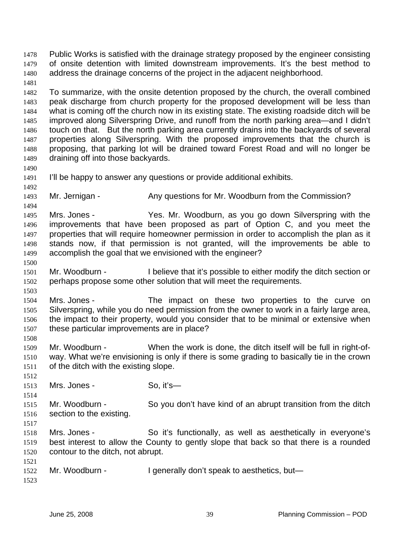Public Works is satisfied with the drainage strategy proposed by the engineer consisting of onsite detention with limited downstream improvements. It's the best method to address the drainage concerns of the project in the adjacent neighborhood. 1478 1479 1480

1482 1483 1484 1485 1486 1487 1488 1489 To summarize, with the onsite detention proposed by the church, the overall combined peak discharge from church property for the proposed development will be less than what is coming off the church now in its existing state. The existing roadside ditch will be improved along Silverspring Drive, and runoff from the north parking area—and I didn't touch on that. But the north parking area currently drains into the backyards of several properties along Silverspring. With the proposed improvements that the church is proposing, that parking lot will be drained toward Forest Road and will no longer be draining off into those backyards.

- 1491 I'll be happy to answer any questions or provide additional exhibits.
- 1493 Mr. Jernigan - Any questions for Mr. Woodburn from the Commission?

1495 1496 1497 1498 1499 Mrs. Jones - The Yes. Mr. Woodburn, as you go down Silverspring with the improvements that have been proposed as part of Option C, and you meet the properties that will require homeowner permission in order to accomplish the plan as it stands now, if that permission is not granted, will the improvements be able to accomplish the goal that we envisioned with the engineer?

- 1501 1502 Mr. Woodburn - I believe that it's possible to either modify the ditch section or perhaps propose some other solution that will meet the requirements.
- 1504 1505 1506 1507 Mrs. Jones - The impact on these two properties to the curve on Silverspring, while you do need permission from the owner to work in a fairly large area, the impact to their property, would you consider that to be minimal or extensive when these particular improvements are in place?
- 1509 1510 1511 Mr. Woodburn - When the work is done, the ditch itself will be full in right-ofway. What we're envisioning is only if there is some grading to basically tie in the crown of the ditch with the existing slope.
- 1513 Mrs. Jones - So, it's—
- 1515 1516 Mr. Woodburn - So you don't have kind of an abrupt transition from the ditch section to the existing.
- 1518 1519 1520 Mrs. Jones - So it's functionally, as well as aesthetically in everyone's best interest to allow the County to gently slope that back so that there is a rounded contour to the ditch, not abrupt.
- 1522 Mr. Woodburn - I generally don't speak to aesthetics, but—
- 1523

1521

1481

1490

1492

1494

1500

1503

1508

1512

1514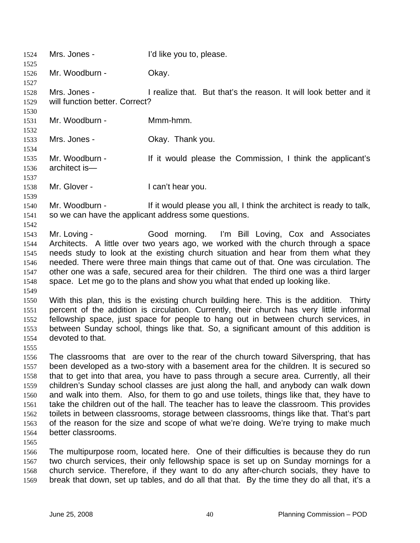| 1524<br>1525                                                                 | Mrs. Jones -                                   | I'd like you to, please.                                                                                                                                                                                                                                                                                                                                                                                                                                                                                                                                                                                                                                                                                                                    |
|------------------------------------------------------------------------------|------------------------------------------------|---------------------------------------------------------------------------------------------------------------------------------------------------------------------------------------------------------------------------------------------------------------------------------------------------------------------------------------------------------------------------------------------------------------------------------------------------------------------------------------------------------------------------------------------------------------------------------------------------------------------------------------------------------------------------------------------------------------------------------------------|
| 1526<br>1527                                                                 | Mr. Woodburn -                                 | Okay.                                                                                                                                                                                                                                                                                                                                                                                                                                                                                                                                                                                                                                                                                                                                       |
| 1528<br>1529<br>1530                                                         | Mrs. Jones -<br>will function better. Correct? | I realize that. But that's the reason. It will look better and it                                                                                                                                                                                                                                                                                                                                                                                                                                                                                                                                                                                                                                                                           |
| 1531<br>1532                                                                 | Mr. Woodburn -                                 | Mmm-hmm.                                                                                                                                                                                                                                                                                                                                                                                                                                                                                                                                                                                                                                                                                                                                    |
| 1533<br>1534                                                                 | Mrs. Jones -                                   | Okay. Thank you.                                                                                                                                                                                                                                                                                                                                                                                                                                                                                                                                                                                                                                                                                                                            |
| 1535<br>1536<br>1537                                                         | Mr. Woodburn -<br>architect is-                | If it would please the Commission, I think the applicant's                                                                                                                                                                                                                                                                                                                                                                                                                                                                                                                                                                                                                                                                                  |
| 1538<br>1539                                                                 | Mr. Glover -                                   | I can't hear you.                                                                                                                                                                                                                                                                                                                                                                                                                                                                                                                                                                                                                                                                                                                           |
| 1540<br>1541<br>1542                                                         | Mr. Woodburn -                                 | If it would please you all, I think the architect is ready to talk,<br>so we can have the applicant address some questions.                                                                                                                                                                                                                                                                                                                                                                                                                                                                                                                                                                                                                 |
| 1543<br>1544<br>1545<br>1546<br>1547<br>1548<br>1549<br>1550                 | Mr. Loving -                                   | Good morning. I'm Bill Loving, Cox and Associates<br>Architects. A little over two years ago, we worked with the church through a space<br>needs study to look at the existing church situation and hear from them what they<br>needed. There were three main things that came out of that. One was circulation. The<br>other one was a safe, secured area for their children. The third one was a third larger<br>space. Let me go to the plans and show you what that ended up looking like.<br>With this plan, this is the existing church building here. This is the addition. Thirty<br>percent of the addition is circulation. Currently, their church has very little informal                                                       |
| 1551<br>1552<br>1553<br>1554<br>1555                                         | devoted to that.                               | fellowship space, just space for people to hang out in between church services, in<br>between Sunday school, things like that. So, a significant amount of this addition is                                                                                                                                                                                                                                                                                                                                                                                                                                                                                                                                                                 |
| 1556<br>1557<br>1558<br>1559<br>1560<br>1561<br>1562<br>1563<br>1564<br>1565 | better classrooms.                             | The classrooms that are over to the rear of the church toward Silverspring, that has<br>been developed as a two-story with a basement area for the children. It is secured so<br>that to get into that area, you have to pass through a secure area. Currently, all their<br>children's Sunday school classes are just along the hall, and anybody can walk down<br>and walk into them. Also, for them to go and use toilets, things like that, they have to<br>take the children out of the hall. The teacher has to leave the classroom. This provides<br>toilets in between classrooms, storage between classrooms, things like that. That's part<br>of the reason for the size and scope of what we're doing. We're trying to make much |
| 1566<br>1567<br>1568<br>1569                                                 |                                                | The multipurpose room, located here. One of their difficulties is because they do run<br>two church services, their only fellowship space is set up on Sunday mornings for a<br>church service. Therefore, if they want to do any after-church socials, they have to<br>break that down, set up tables, and do all that that. By the time they do all that, it's a                                                                                                                                                                                                                                                                                                                                                                          |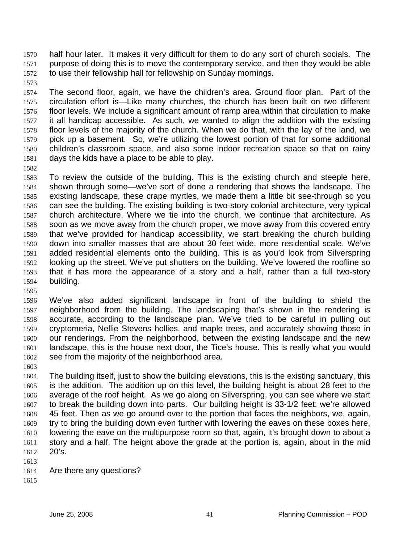half hour later. It makes it very difficult for them to do any sort of church socials. The purpose of doing this is to move the contemporary service, and then they would be able to use their fellowship hall for fellowship on Sunday mornings. 1570 1571 1572

1573

1574 1575 1576 1577 1578 1579 1580 1581 The second floor, again, we have the children's area. Ground floor plan. Part of the circulation effort is—Like many churches, the church has been built on two different floor levels. We include a significant amount of ramp area within that circulation to make it all handicap accessible. As such, we wanted to align the addition with the existing floor levels of the majority of the church. When we do that, with the lay of the land, we pick up a basement. So, we're utilizing the lowest portion of that for some additional children's classroom space, and also some indoor recreation space so that on rainy days the kids have a place to be able to play.

1582

1583 1584 1585 1586 1587 1588 1589 1590 1591 1592 1593 1594 To review the outside of the building. This is the existing church and steeple here, shown through some—we've sort of done a rendering that shows the landscape. The existing landscape, these crape myrtles, we made them a little bit see-through so you can see the building. The existing building is two-story colonial architecture, very typical church architecture. Where we tie into the church, we continue that architecture. As soon as we move away from the church proper, we move away from this covered entry that we've provided for handicap accessibility, we start breaking the church building down into smaller masses that are about 30 feet wide, more residential scale. We've added residential elements onto the building. This is as you'd look from Silverspring looking up the street. We've put shutters on the building. We've lowered the roofline so that it has more the appearance of a story and a half, rather than a full two-story building.

1595

1596 1597 1598 1599 1600 1601 1602 We've also added significant landscape in front of the building to shield the neighborhood from the building. The landscaping that's shown in the rendering is accurate, according to the landscape plan. We've tried to be careful in pulling out cryptomeria, Nellie Stevens hollies, and maple trees, and accurately showing those in our renderings. From the neighborhood, between the existing landscape and the new landscape, this is the house next door, the Tice's house. This is really what you would see from the majority of the neighborhood area.

1603

1604 1605 1606 1607 1608 1609 1610 1611 1612 The building itself, just to show the building elevations, this is the existing sanctuary, this is the addition. The addition up on this level, the building height is about 28 feet to the average of the roof height. As we go along on Silverspring, you can see where we start to break the building down into parts. Our building height is 33-1/2 feet; we're allowed 45 feet. Then as we go around over to the portion that faces the neighbors, we, again, try to bring the building down even further with lowering the eaves on these boxes here, lowering the eave on the multipurpose room so that, again, it's brought down to about a story and a half. The height above the grade at the portion is, again, about in the mid 20's.

- 1613
- 1614 Are there any questions?
- 1615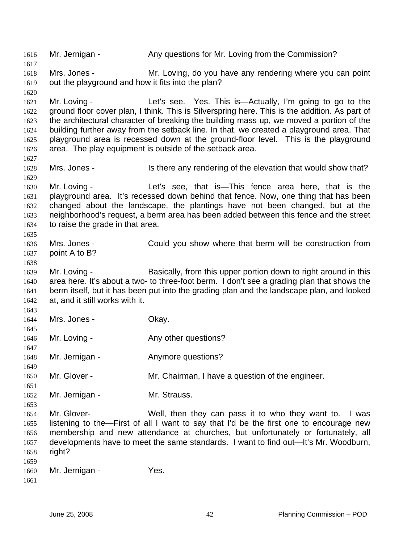1616 Mr. Jernigan - Any questions for Mr. Loving from the Commission? 1617 1618 1619 1620 1621 1622 1623 1624 1625 1626 1627 1628 1629 1630 1631 1632 1633 1634 1635 1636 1637 1638 1639 1640 1641 1642 1643 1644 1645 1646 1647 1648 1649 1650 1651 1652 1653 1654 1655 1656 1657 1658 1659 1660 1661 Mrs. Jones - Mr. Loving, do you have any rendering where you can point out the playground and how it fits into the plan? Mr. Loving - Let's see. Yes. This is—Actually, I'm going to go to the ground floor cover plan, I think. This is Silverspring here. This is the addition. As part of the architectural character of breaking the building mass up, we moved a portion of the building further away from the setback line. In that, we created a playground area. That playground area is recessed down at the ground-floor level. This is the playground area. The play equipment is outside of the setback area. Mrs. Jones - Is there any rendering of the elevation that would show that? Mr. Loving - Let's see, that is—This fence area here, that is the playground area. It's recessed down behind that fence. Now, one thing that has been changed about the landscape, the plantings have not been changed, but at the neighborhood's request, a berm area has been added between this fence and the street to raise the grade in that area. Mrs. Jones - Could you show where that berm will be construction from point A to B? Mr. Loving - Basically, from this upper portion down to right around in this area here. It's about a two- to three-foot berm. I don't see a grading plan that shows the berm itself, but it has been put into the grading plan and the landscape plan, and looked at, and it still works with it. Mrs. Jones - Ckay. Mr. Loving - The Any other questions? Mr. Jernigan - **Anymore questions?** Mr. Glover - Mr. Chairman, I have a question of the engineer. Mr. Jernigan - Mr. Strauss. Mr. Glover- Well, then they can pass it to who they want to. I was listening to the—First of all I want to say that I'd be the first one to encourage new membership and new attendance at churches, but unfortunately or fortunately, all developments have to meet the same standards. I want to find out—It's Mr. Woodburn, right? Mr. Jernigan - Yes.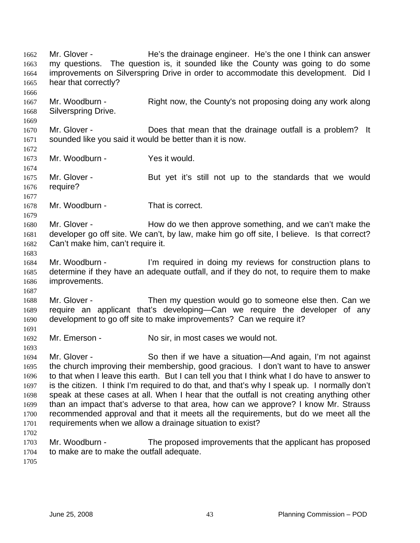Mr. Glover - He's the drainage engineer. He's the one I think can answer my questions. The question is, it sounded like the County was going to do some improvements on Silverspring Drive in order to accommodate this development. Did I hear that correctly? 1662 1663 1664 1665 1666 1667 1668 1669 1670 1671 1672 1673 1674 1675 1676 1677 1678 1679 1680 1681 1682 1683 1684 1685 1686 1687 1688 1689 1690 1691 1692 1693 1694 1695 1696 1697 1698 1699 1700 1701 1702 1703 1704 1705 Mr. Woodburn - Right now, the County's not proposing doing any work along Silverspring Drive. Mr. Glover - Does that mean that the drainage outfall is a problem? It sounded like you said it would be better than it is now. Mr. Woodburn - Yes it would. Mr. Glover - But yet it's still not up to the standards that we would require? Mr. Woodburn - That is correct. Mr. Glover - **How do we then approve something, and we can't make the** developer go off site. We can't, by law, make him go off site, I believe. Is that correct? Can't make him, can't require it. Mr. Woodburn - I'm required in doing my reviews for construction plans to determine if they have an adequate outfall, and if they do not, to require them to make improvements. Mr. Glover - Then my question would go to someone else then. Can we require an applicant that's developing—Can we require the developer of any development to go off site to make improvements? Can we require it? Mr. Emerson - No sir, in most cases we would not. Mr. Glover - So then if we have a situation—And again, I'm not against the church improving their membership, good gracious. I don't want to have to answer to that when I leave this earth. But I can tell you that I think what I do have to answer to is the citizen. I think I'm required to do that, and that's why I speak up. I normally don't speak at these cases at all. When I hear that the outfall is not creating anything other than an impact that's adverse to that area, how can we approve? I know Mr. Strauss recommended approval and that it meets all the requirements, but do we meet all the requirements when we allow a drainage situation to exist? Mr. Woodburn - The proposed improvements that the applicant has proposed to make are to make the outfall adequate.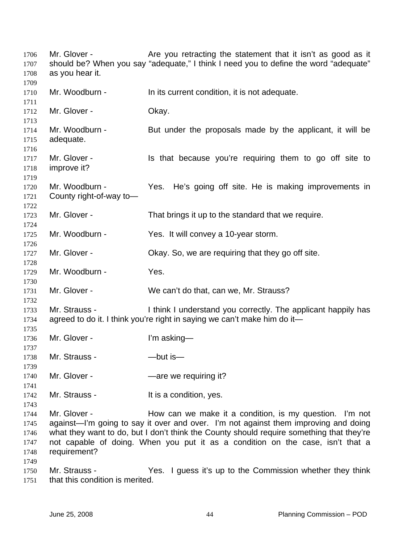Mr. Glover - The Statement that it isn't as good as it should be? When you say "adequate," I think I need you to define the word "adequate" as you hear it. Mr. Woodburn - In its current condition, it is not adequate. Mr. Glover - Chay. Mr. Woodburn - But under the proposals made by the applicant, it will be adequate. Mr. Glover - Is that because you're requiring them to go off site to improve it? Mr. Woodburn - Yes. He's going off site. He is making improvements in County right-of-way to— Mr. Glover - That brings it up to the standard that we require. Mr. Woodburn - Yes. It will convey a 10-year storm. Mr. Glover - Ckay. So, we are requiring that they go off site. Mr. Woodburn - Yes. Mr. Glover - We can't do that, can we, Mr. Strauss? Mr. Strauss - I think I understand you correctly. The applicant happily has agreed to do it. I think you're right in saying we can't make him do it— Mr. Glover - I'm asking— Mr. Strauss - **-**but is-Mr. Glover - The South Clouse Harace we requiring it? Mr. Strauss - The Music Strauss - The It is a condition, yes. Mr. Glover - The How can we make it a condition, is my question. I'm not against—I'm going to say it over and over. I'm not against them improving and doing what they want to do, but I don't think the County should require something that they're not capable of doing. When you put it as a condition on the case, isn't that a requirement? Mr. Strauss - Yes. I guess it's up to the Commission whether they think that this condition is merited.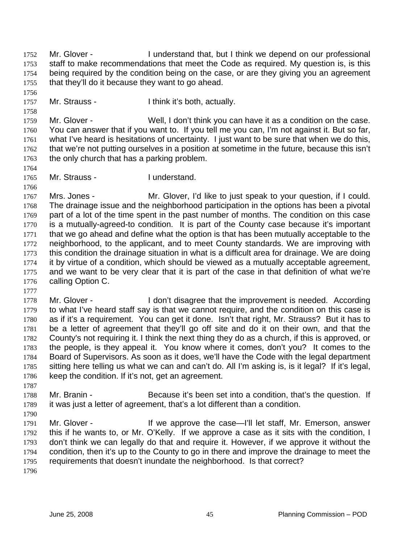Mr. Glover - I understand that, but I think we depend on our professional staff to make recommendations that meet the Code as required. My question is, is this being required by the condition being on the case, or are they giving you an agreement that they'll do it because they want to go ahead. 1752 1753 1754 1755

1757 Mr. Strauss - Ithink it's both, actually.

1759 1760 1761 1762 1763 Mr. Glover - Well, I don't think you can have it as a condition on the case. You can answer that if you want to. If you tell me you can, I'm not against it. But so far, what I've heard is hesitations of uncertainty. I just want to be sure that when we do this, that we're not putting ourselves in a position at sometime in the future, because this isn't the only church that has a parking problem.

1764 1765

1766

1777

1756

1758

Mr. Strauss - The Understand.

1767 1768 1769 1770 1771 1772 1773 1774 1775 1776 Mrs. Jones - Mr. Glover, I'd like to just speak to your question, if I could. The drainage issue and the neighborhood participation in the options has been a pivotal part of a lot of the time spent in the past number of months. The condition on this case is a mutually-agreed-to condition. It is part of the County case because it's important that we go ahead and define what the option is that has been mutually acceptable to the neighborhood, to the applicant, and to meet County standards. We are improving with this condition the drainage situation in what is a difficult area for drainage. We are doing it by virtue of a condition, which should be viewed as a mutually acceptable agreement, and we want to be very clear that it is part of the case in that definition of what we're calling Option C.

1778 1779 1780 1781 1782 1783 1784 1785 1786 Mr. Glover - The Indon't disagree that the improvement is needed. According to what I've heard staff say is that we cannot require, and the condition on this case is as if it's a requirement. You can get it done. Isn't that right, Mr. Strauss? But it has to be a letter of agreement that they'll go off site and do it on their own, and that the County's not requiring it. I think the next thing they do as a church, if this is approved, or the people, is they appeal it. You know where it comes, don't you? It comes to the Board of Supervisors. As soon as it does, we'll have the Code with the legal department sitting here telling us what we can and can't do. All I'm asking is, is it legal? If it's legal, keep the condition. If it's not, get an agreement.

- 1788 1789 Mr. Branin - Because it's been set into a condition, that's the question. If it was just a letter of agreement, that's a lot different than a condition.
- 1790

1787

1791 1792 1793 1794 1795 Mr. Glover - The Mustage of the case—I'll let staff, Mr. Emerson, answer this if he wants to, or Mr. O'Kelly. If we approve a case as it sits with the condition, I don't think we can legally do that and require it. However, if we approve it without the condition, then it's up to the County to go in there and improve the drainage to meet the requirements that doesn't inundate the neighborhood. Is that correct?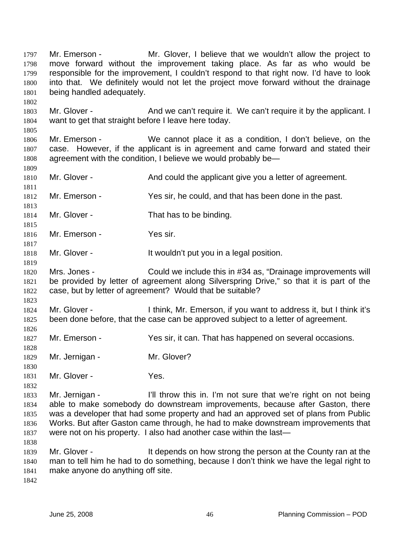move forward without the improvement taking place. As far as who would be responsible for the improvement, I couldn't respond to that right now. I'd have to look into that. We definitely would not let the project move forward without the drainage being handled adequately. 1798 1799 1800 1801 1802 1803 1804 1805 1806 1807 1808 1809 1810 1811 1812 1813 1814 1815 1816 1817 1818 1819 1820 1821 1822 1823 1824 1825 1826 1827 1828 1829 1830 1831 1832 1833 1834 1835 1836 1837 1838 1839 1840 1841 1842 Mr. Glover - And we can't require it. We can't require it by the applicant. I want to get that straight before I leave here today. Mr. Emerson - We cannot place it as a condition, I don't believe, on the case. However, if the applicant is in agreement and came forward and stated their agreement with the condition, I believe we would probably be— Mr. Glover - And could the applicant give you a letter of agreement. Mr. Emerson - Yes sir, he could, and that has been done in the past. Mr. Glover - That has to be binding. Mr. Emerson - Yes sir. Mr. Glover - It wouldn't put you in a legal position. Mrs. Jones - Could we include this in #34 as, "Drainage improvements will be provided by letter of agreement along Silverspring Drive," so that it is part of the case, but by letter of agreement? Would that be suitable? Mr. Glover - Ithink, Mr. Emerson, if you want to address it, but I think it's been done before, that the case can be approved subject to a letter of agreement. Mr. Emerson - Yes sir, it can. That has happened on several occasions. Mr. Jernigan - Mr. Glover? Mr. Glover - Yes. Mr. Jernigan - I'll throw this in. I'm not sure that we're right on not being able to make somebody do downstream improvements, because after Gaston, there was a developer that had some property and had an approved set of plans from Public Works. But after Gaston came through, he had to make downstream improvements that were not on his property. I also had another case within the last— Mr. Glover - The strong the person at the County ran at the Indian strong the person at the County ran at the man to tell him he had to do something, because I don't think we have the legal right to make anyone do anything off site.

Mr. Emerson - Mr. Glover, I believe that we wouldn't allow the project to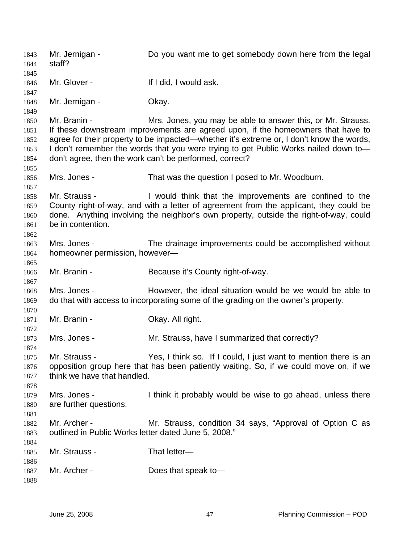Mr. Jernigan - Do you want me to get somebody down here from the legal staff? 1843 1844 1845 1846 1847 1848 1849 1850 1851 1852 1853 1854 1855 1856 1857 1858 1859 1860 1861 1862 1863 1864 1865 1866 1867 1868 1869 1870 1871 1872 1873 1874 1875 1876 1877 1878 1879 1880 1881 1882 1883 1884 1885 1886 1887 1888 Mr. Glover - The Muslim Collection of It I did, I would ask. Mr. Jernigan - Ckay. Mr. Branin - The Mrs. Jones, you may be able to answer this, or Mr. Strauss. If these downstream improvements are agreed upon, if the homeowners that have to agree for their property to be impacted—whether it's extreme or, I don't know the words, I don't remember the words that you were trying to get Public Works nailed down to don't agree, then the work can't be performed, correct? Mrs. Jones - That was the question I posed to Mr. Woodburn. Mr. Strauss - I would think that the improvements are confined to the County right-of-way, and with a letter of agreement from the applicant, they could be done. Anything involving the neighbor's own property, outside the right-of-way, could be in contention. Mrs. Jones - The drainage improvements could be accomplished without homeowner permission, however— Mr. Branin - Because it's County right-of-way. Mrs. Jones - **However, the ideal situation would be we would be able to** do that with access to incorporating some of the grading on the owner's property. Mr. Branin - **Canada Contact Contact Contact Contact Contact Contact Contact Contact Contact Contact Contact Contact Contact Contact Contact Contact Contact Contact Contact Contact Contact Contact Contact Contact Contact C** Mrs. Jones - Mr. Strauss, have I summarized that correctly? Mr. Strauss - Yes, I think so. If I could, I just want to mention there is an opposition group here that has been patiently waiting. So, if we could move on, if we think we have that handled. Mrs. Jones - I think it probably would be wise to go ahead, unless there are further questions. Mr. Archer - Mr. Strauss, condition 34 says, "Approval of Option C as outlined in Public Works letter dated June 5, 2008." Mr. Strauss - That letter-Mr. Archer - Does that speak to-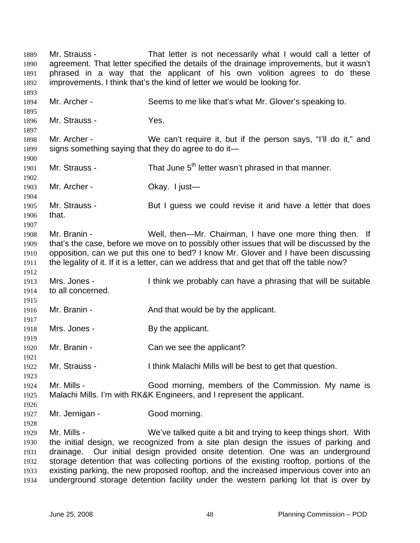Mr. Strauss - That letter is not necessarily what I would call a letter of agreement. That letter specified the details of the drainage improvements, but it wasn't phrased in a way that the applicant of his own volition agrees to do these improvements. I think that's the kind of letter we would be looking for. 1889 1890 1891 1892 1893 1894 1895 1896 1897 1898 1899 1900 1901 1902 1903 1904 1905 1906 1907 1908 1909 1910 1911 1912 1913 1914 1915 1916 1917 1918 1919 1920 1921 1922 1923 1924 1925 1926 1927 1928 1929 1930 1931 1932 1933 1934 Mr. Archer - Seems to me like that's what Mr. Glover's speaking to. Mr. Strauss - Yes. Mr. Archer - We can't require it, but if the person says, "I'll do it," and signs something saying that they do agree to do it— Mr. Strauss - That June  $5<sup>th</sup>$  letter wasn't phrased in that manner. Mr. Archer - **Okay.** I just— Mr. Strauss - But I guess we could revise it and have a letter that does that. Mr. Branin - Well, then—Mr. Chairman, I have one more thing then. If that's the case, before we move on to possibly other issues that will be discussed by the opposition, can we put this one to bed? I know Mr. Glover and I have been discussing the legality of it. If it is a letter, can we address that and get that off the table now? Mrs. Jones - Think we probably can have a phrasing that will be suitable to all concerned. Mr. Branin - The And that would be by the applicant. Mrs. Jones - By the applicant. Mr. Branin - Can we see the applicant? Mr. Strauss - I think Malachi Mills will be best to get that question. Mr. Mills - Good morning, members of the Commission. My name is Malachi Mills. I'm with RK&K Engineers, and I represent the applicant. Mr. Jernigan - Good morning. Mr. Mills - We've talked quite a bit and trying to keep things short. With the initial design, we recognized from a site plan design the issues of parking and drainage. Our initial design provided onsite detention. One was an underground storage detention that was collecting portions of the existing rooftop, portions of the existing parking, the new proposed rooftop, and the increased impervious cover into an underground storage detention facility under the western parking lot that is over by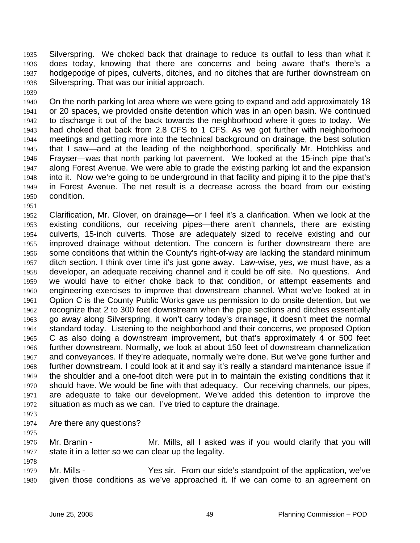Silverspring. We choked back that drainage to reduce its outfall to less than what it does today, knowing that there are concerns and being aware that's there's a hodgepodge of pipes, culverts, ditches, and no ditches that are further downstream on Silverspring. That was our initial approach. 1935 1936 1937 1938

1939

1940 1941 1942 1943 1944 1945 1946 1947 1948 1949 1950 On the north parking lot area where we were going to expand and add approximately 18 or 20 spaces, we provided onsite detention which was in an open basin. We continued to discharge it out of the back towards the neighborhood where it goes to today. We had choked that back from 2.8 CFS to 1 CFS. As we got further with neighborhood meetings and getting more into the technical background on drainage, the best solution that I saw—and at the leading of the neighborhood, specifically Mr. Hotchkiss and Frayser—was that north parking lot pavement. We looked at the 15-inch pipe that's along Forest Avenue. We were able to grade the existing parking lot and the expansion into it. Now we're going to be underground in that facility and piping it to the pipe that's in Forest Avenue. The net result is a decrease across the board from our existing condition.

1951

1952 1953 1954 1955 1956 1957 1958 1959 1960 1961 1962 1963 1964 1965 1966 1967 1968 1969 1970 1971 1972 Clarification, Mr. Glover, on drainage—or I feel it's a clarification. When we look at the existing conditions, our receiving pipes—there aren't channels, there are existing culverts, 15-inch culverts. Those are adequately sized to receive existing and our improved drainage without detention. The concern is further downstream there are some conditions that within the County's right-of-way are lacking the standard minimum ditch section. I think over time it's just gone away. Law-wise, yes, we must have, as a developer, an adequate receiving channel and it could be off site. No questions. And we would have to either choke back to that condition, or attempt easements and engineering exercises to improve that downstream channel. What we've looked at in Option C is the County Public Works gave us permission to do onsite detention, but we recognize that 2 to 300 feet downstream when the pipe sections and ditches essentially go away along Silverspring, it won't carry today's drainage, it doesn't meet the normal standard today. Listening to the neighborhood and their concerns, we proposed Option C as also doing a downstream improvement, but that's approximately 4 or 500 feet further downstream. Normally, we look at about 150 feet of downstream channelization and conveyances. If they're adequate, normally we're done. But we've gone further and further downstream. I could look at it and say it's really a standard maintenance issue if the shoulder and a one-foot ditch were put in to maintain the existing conditions that it should have. We would be fine with that adequacy. Our receiving channels, our pipes, are adequate to take our development. We've added this detention to improve the situation as much as we can. I've tried to capture the drainage.

- 1973
- 1974 Are there any questions?
- 1975

1978

1976 1977 Mr. Branin - The Mr. Mills, all I asked was if you would clarify that you will state it in a letter so we can clear up the legality.

1979 1980 Mr. Mills - Yes sir. From our side's standpoint of the application, we've given those conditions as we've approached it. If we can come to an agreement on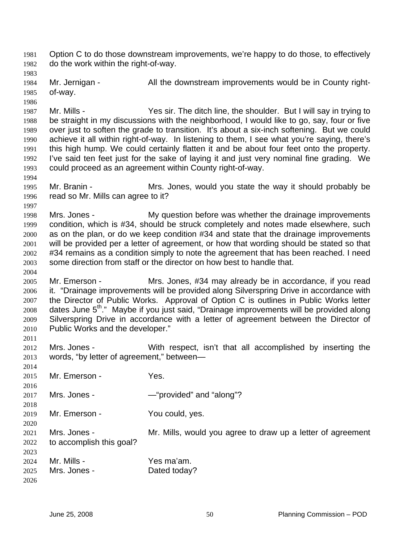Option C to do those downstream improvements, we're happy to do those, to effectively do the work within the right-of-way. 1981 1982

1984 1985 Mr. Jernigan - The All the downstream improvements would be in County rightof-way.

1987 1988 1989 1990 1991 1992 1993 Mr. Mills - Yes sir. The ditch line, the shoulder. But I will say in trying to be straight in my discussions with the neighborhood, I would like to go, say, four or five over just to soften the grade to transition. It's about a six-inch softening. But we could achieve it all within right-of-way. In listening to them, I see what you're saying, there's this high hump. We could certainly flatten it and be about four feet onto the property. I've said ten feet just for the sake of laying it and just very nominal fine grading. We could proceed as an agreement within County right-of-way.

- 1995 1996 Mr. Branin - Mrs. Jones, would you state the way it should probably be read so Mr. Mills can agree to it?
- 1998 1999 2000 2001 2002 2003 Mrs. Jones - My question before was whether the drainage improvements condition, which is #34, should be struck completely and notes made elsewhere, such as on the plan, or do we keep condition #34 and state that the drainage improvements will be provided per a letter of agreement, or how that wording should be stated so that #34 remains as a condition simply to note the agreement that has been reached. I need some direction from staff or the director on how best to handle that.
- 2005 2006 2007 2008 2009 2010 Mr. Emerson - Mrs. Jones, #34 may already be in accordance, if you read it. "Drainage improvements will be provided along Silverspring Drive in accordance with the Director of Public Works. Approval of Option C is outlines in Public Works letter dates June 5<sup>th</sup>." Maybe if you just said, "Drainage improvements will be provided along Silverspring Drive in accordance with a letter of agreement between the Director of Public Works and the developer."
- 2012 2013 Mrs. Jones - With respect, isn't that all accomplished by inserting the words, "by letter of agreement," between—
- 2015 Mr. Emerson - Yes.

1983

1986

1994

1997

2004

2011

2014

2016

2018

2020

- 2017 Mrs. Jones - **—**"provided" and "along"?
- 2019 Mr. Emerson - You could, yes.
- 2021 2022 Mrs. Jones - The Mr. Mills, would you agree to draw up a letter of agreement to accomplish this goal?

| ----- |              |              |
|-------|--------------|--------------|
| 2024  | Mr. Mills -  | Yes ma'am.   |
| 2025  | Mrs. Jones - | Dated today? |
| 2026  |              |              |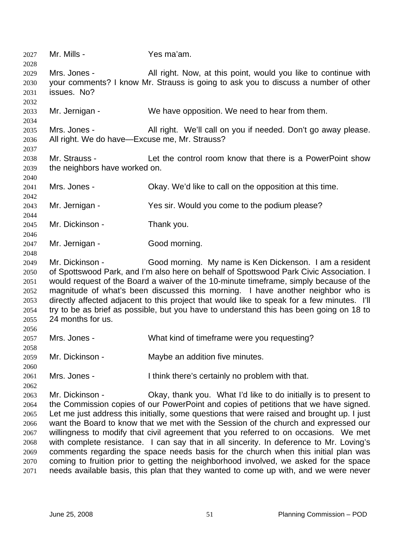| 2028                                                                 |                                                                                                                                                                                                                                                                                                                                                                                                                                                                                                                                                                  | Yes ma'am.                                                                                                                                                                                                                                                                                                                                                                                                                                                                                                                                                                                                                                                                                                                                                                                             |
|----------------------------------------------------------------------|------------------------------------------------------------------------------------------------------------------------------------------------------------------------------------------------------------------------------------------------------------------------------------------------------------------------------------------------------------------------------------------------------------------------------------------------------------------------------------------------------------------------------------------------------------------|--------------------------------------------------------------------------------------------------------------------------------------------------------------------------------------------------------------------------------------------------------------------------------------------------------------------------------------------------------------------------------------------------------------------------------------------------------------------------------------------------------------------------------------------------------------------------------------------------------------------------------------------------------------------------------------------------------------------------------------------------------------------------------------------------------|
| 2029<br>2030<br>2031<br>2032                                         | Mrs. Jones -<br>issues. No?                                                                                                                                                                                                                                                                                                                                                                                                                                                                                                                                      | All right. Now, at this point, would you like to continue with<br>your comments? I know Mr. Strauss is going to ask you to discuss a number of other                                                                                                                                                                                                                                                                                                                                                                                                                                                                                                                                                                                                                                                   |
| 2033<br>2034                                                         | Mr. Jernigan -                                                                                                                                                                                                                                                                                                                                                                                                                                                                                                                                                   | We have opposition. We need to hear from them.                                                                                                                                                                                                                                                                                                                                                                                                                                                                                                                                                                                                                                                                                                                                                         |
| 2035<br>2036                                                         | Mrs. Jones -<br>All right. We do have—Excuse me, Mr. Strauss?                                                                                                                                                                                                                                                                                                                                                                                                                                                                                                    | All right. We'll call on you if needed. Don't go away please.                                                                                                                                                                                                                                                                                                                                                                                                                                                                                                                                                                                                                                                                                                                                          |
| 2037<br>2038<br>2039<br>2040                                         | Mr. Strauss -<br>the neighbors have worked on.                                                                                                                                                                                                                                                                                                                                                                                                                                                                                                                   | Let the control room know that there is a PowerPoint show                                                                                                                                                                                                                                                                                                                                                                                                                                                                                                                                                                                                                                                                                                                                              |
| 2041<br>2042                                                         | Mrs. Jones -                                                                                                                                                                                                                                                                                                                                                                                                                                                                                                                                                     | Okay. We'd like to call on the opposition at this time.                                                                                                                                                                                                                                                                                                                                                                                                                                                                                                                                                                                                                                                                                                                                                |
| 2043<br>2044                                                         | Mr. Jernigan -                                                                                                                                                                                                                                                                                                                                                                                                                                                                                                                                                   | Yes sir. Would you come to the podium please?                                                                                                                                                                                                                                                                                                                                                                                                                                                                                                                                                                                                                                                                                                                                                          |
| 2045<br>2046                                                         | Mr. Dickinson -                                                                                                                                                                                                                                                                                                                                                                                                                                                                                                                                                  | Thank you.                                                                                                                                                                                                                                                                                                                                                                                                                                                                                                                                                                                                                                                                                                                                                                                             |
| 2047<br>2048                                                         | Mr. Jernigan -                                                                                                                                                                                                                                                                                                                                                                                                                                                                                                                                                   | Good morning.                                                                                                                                                                                                                                                                                                                                                                                                                                                                                                                                                                                                                                                                                                                                                                                          |
| 2049<br>2050<br>2051<br>2052<br>2053<br>2054<br>2055<br>2056         | Good morning. My name is Ken Dickenson. I am a resident<br>Mr. Dickinson -<br>of Spottswood Park, and I'm also here on behalf of Spottswood Park Civic Association. I<br>would request of the Board a waiver of the 10-minute timeframe, simply because of the<br>magnitude of what's been discussed this morning. I have another neighbor who is<br>directly affected adjacent to this project that would like to speak for a few minutes. I'll<br>try to be as brief as possible, but you have to understand this has been going on 18 to<br>24 months for us. |                                                                                                                                                                                                                                                                                                                                                                                                                                                                                                                                                                                                                                                                                                                                                                                                        |
| 2057<br>2058                                                         | Mrs. Jones -                                                                                                                                                                                                                                                                                                                                                                                                                                                                                                                                                     | What kind of timeframe were you requesting?                                                                                                                                                                                                                                                                                                                                                                                                                                                                                                                                                                                                                                                                                                                                                            |
| 2059<br>2060                                                         | Mr. Dickinson -                                                                                                                                                                                                                                                                                                                                                                                                                                                                                                                                                  | Maybe an addition five minutes.                                                                                                                                                                                                                                                                                                                                                                                                                                                                                                                                                                                                                                                                                                                                                                        |
| 2061<br>2062                                                         | Mrs. Jones -                                                                                                                                                                                                                                                                                                                                                                                                                                                                                                                                                     | I think there's certainly no problem with that.                                                                                                                                                                                                                                                                                                                                                                                                                                                                                                                                                                                                                                                                                                                                                        |
| 2063<br>2064<br>2065<br>2066<br>2067<br>2068<br>2069<br>2070<br>2071 | Mr. Dickinson -                                                                                                                                                                                                                                                                                                                                                                                                                                                                                                                                                  | Okay, thank you. What I'd like to do initially is to present to<br>the Commission copies of our PowerPoint and copies of petitions that we have signed.<br>Let me just address this initially, some questions that were raised and brought up. I just<br>want the Board to know that we met with the Session of the church and expressed our<br>willingness to modify that civil agreement that you referred to on occasions. We met<br>with complete resistance. I can say that in all sincerity. In deference to Mr. Loving's<br>comments regarding the space needs basis for the church when this initial plan was<br>coming to fruition prior to getting the neighborhood involved, we asked for the space<br>needs available basis, this plan that they wanted to come up with, and we were never |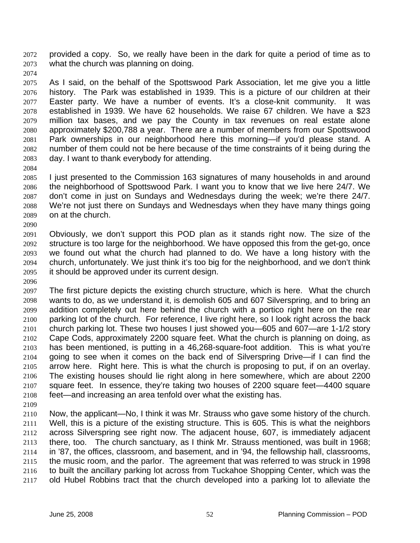provided a copy. So, we really have been in the dark for quite a period of time as to what the church was planning on doing. 2072 2073

2074

2075 2076 2077 2078 2079 2080 2081 2082 2083 As I said, on the behalf of the Spottswood Park Association, let me give you a little history. The Park was established in 1939. This is a picture of our children at their Easter party. We have a number of events. It's a close-knit community. It was established in 1939. We have 62 households. We raise 67 children. We have a \$23 million tax bases, and we pay the County in tax revenues on real estate alone approximately \$200,788 a year. There are a number of members from our Spottswood Park ownerships in our neighborhood here this morning—if you'd please stand. A number of them could not be here because of the time constraints of it being during the day. I want to thank everybody for attending.

2084

2090

2096

2085 2086 2087 2088 2089 I just presented to the Commission 163 signatures of many households in and around the neighborhood of Spottswood Park. I want you to know that we live here 24/7. We don't come in just on Sundays and Wednesdays during the week; we're there 24/7. We're not just there on Sundays and Wednesdays when they have many things going on at the church.

2091 2092 2093 2094 2095 Obviously, we don't support this POD plan as it stands right now. The size of the structure is too large for the neighborhood. We have opposed this from the get-go, once we found out what the church had planned to do. We have a long history with the church, unfortunately. We just think it's too big for the neighborhood, and we don't think it should be approved under its current design.

2097 2098 2099 2100 2101 2102 2103 2104 2105 2106 2107 2108 The first picture depicts the existing church structure, which is here. What the church wants to do, as we understand it, is demolish 605 and 607 Silverspring, and to bring an addition completely out here behind the church with a portico right here on the rear parking lot of the church. For reference, I live right here, so I look right across the back church parking lot. These two houses I just showed you—605 and 607—are 1-1/2 story Cape Cods, approximately 2200 square feet. What the church is planning on doing, as has been mentioned, is putting in a 46,268-square-foot addition. This is what you're going to see when it comes on the back end of Silverspring Drive—if I can find the arrow here. Right here. This is what the church is proposing to put, if on an overlay. The existing houses should lie right along in here somewhere, which are about 2200 square feet. In essence, they're taking two houses of 2200 square feet—4400 square feet—and increasing an area tenfold over what the existing has.

2109

2110 2111 2112 2113 2114 2115 2116 2117 Now, the applicant—No, I think it was Mr. Strauss who gave some history of the church. Well, this is a picture of the existing structure. This is 605. This is what the neighbors across Silverspring see right now. The adjacent house, 607, is immediately adjacent there, too. The church sanctuary, as I think Mr. Strauss mentioned, was built in 1968; in '87, the offices, classroom, and basement, and in '94, the fellowship hall, classrooms, the music room, and the parlor. The agreement that was referred to was struck in 1998 to built the ancillary parking lot across from Tuckahoe Shopping Center, which was the old Hubel Robbins tract that the church developed into a parking lot to alleviate the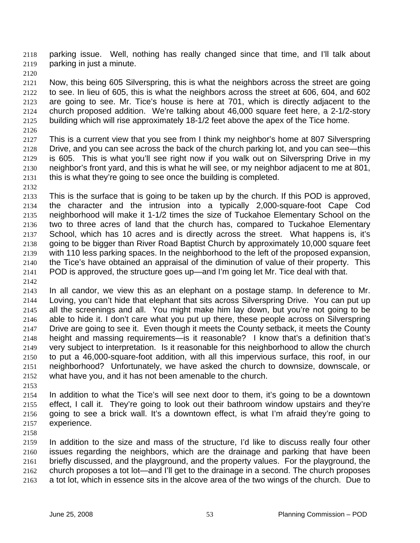parking issue. Well, nothing has really changed since that time, and I'll talk about parking in just a minute. 2118 2119

2120

2121 2122 2123 2124 2125 Now, this being 605 Silverspring, this is what the neighbors across the street are going to see. In lieu of 605, this is what the neighbors across the street at 606, 604, and 602 are going to see. Mr. Tice's house is here at 701, which is directly adjacent to the church proposed addition. We're talking about 46,000 square feet here, a 2-1/2-story building which will rise approximately 18-1/2 feet above the apex of the Tice home.

2126

2127 2128 2129 2130 2131 This is a current view that you see from I think my neighbor's home at 807 Silverspring Drive, and you can see across the back of the church parking lot, and you can see—this is 605. This is what you'll see right now if you walk out on Silverspring Drive in my neighbor's front yard, and this is what he will see, or my neighbor adjacent to me at 801, this is what they're going to see once the building is completed.

2132

2133 2134 2135 2136 2137 2138 2139 2140 2141 This is the surface that is going to be taken up by the church. If this POD is approved, the character and the intrusion into a typically 2,000-square-foot Cape Cod neighborhood will make it 1-1/2 times the size of Tuckahoe Elementary School on the two to three acres of land that the church has, compared to Tuckahoe Elementary School, which has 10 acres and is directly across the street. What happens is, it's going to be bigger than River Road Baptist Church by approximately 10,000 square feet with 110 less parking spaces. In the neighborhood to the left of the proposed expansion, the Tice's have obtained an appraisal of the diminution of value of their property. This POD is approved, the structure goes up—and I'm going let Mr. Tice deal with that.

2142

2143 2144 2145 2146 2147 2148 2149 2150 2151 2152 In all candor, we view this as an elephant on a postage stamp. In deference to Mr. Loving, you can't hide that elephant that sits across Silverspring Drive. You can put up all the screenings and all. You might make him lay down, but you're not going to be able to hide it. I don't care what you put up there, these people across on Silverspring Drive are going to see it. Even though it meets the County setback, it meets the County height and massing requirements—is it reasonable? I know that's a definition that's very subject to interpretation. Is it reasonable for this neighborhood to allow the church to put a 46,000-square-foot addition, with all this impervious surface, this roof, in our neighborhood? Unfortunately, we have asked the church to downsize, downscale, or what have you, and it has not been amenable to the church.

2153

2154 2155 2156 2157 In addition to what the Tice's will see next door to them, it's going to be a downtown effect, I call it. They're going to look out their bathroom window upstairs and they're going to see a brick wall. It's a downtown effect, is what I'm afraid they're going to experience.

2158

2159 2160 2161 2162 2163 In addition to the size and mass of the structure, I'd like to discuss really four other issues regarding the neighbors, which are the drainage and parking that have been briefly discussed, and the playground, and the property values. For the playground, the church proposes a tot lot—and I'll get to the drainage in a second. The church proposes a tot lot, which in essence sits in the alcove area of the two wings of the church. Due to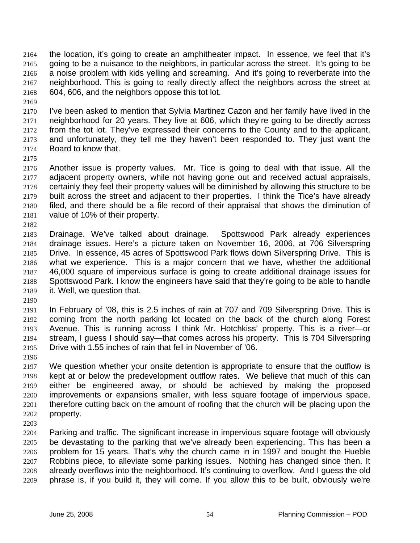the location, it's going to create an amphitheater impact. In essence, we feel that it's going to be a nuisance to the neighbors, in particular across the street. It's going to be a noise problem with kids yelling and screaming. And it's going to reverberate into the neighborhood. This is going to really directly affect the neighbors across the street at 604, 606, and the neighbors oppose this tot lot. 2164 2165 2166 2167 2168

2169

2170 2171 2172 2173 2174 I've been asked to mention that Sylvia Martinez Cazon and her family have lived in the neighborhood for 20 years. They live at 606, which they're going to be directly across from the tot lot. They've expressed their concerns to the County and to the applicant, and unfortunately, they tell me they haven't been responded to. They just want the Board to know that.

2175

2182

2176 2177 2178 2179 2180 2181 Another issue is property values. Mr. Tice is going to deal with that issue. All the adjacent property owners, while not having gone out and received actual appraisals, certainly they feel their property values will be diminished by allowing this structure to be built across the street and adjacent to their properties. I think the Tice's have already filed, and there should be a file record of their appraisal that shows the diminution of value of 10% of their property.

- 2183 2184 2185 2186 2187 2188 2189 Drainage. We've talked about drainage. Spottswood Park already experiences drainage issues. Here's a picture taken on November 16, 2006, at 706 Silverspring Drive. In essence, 45 acres of Spottswood Park flows down Silverspring Drive. This is what we experience. This is a major concern that we have, whether the additional 46,000 square of impervious surface is going to create additional drainage issues for Spottswood Park. I know the engineers have said that they're going to be able to handle it. Well, we question that.
- 2190

2191 2192 2193 2194 2195 In February of '08, this is 2.5 inches of rain at 707 and 709 Silverspring Drive. This is coming from the north parking lot located on the back of the church along Forest Avenue. This is running across I think Mr. Hotchkiss' property. This is a river—or stream, I guess I should say—that comes across his property. This is 704 Silverspring Drive with 1.55 inches of rain that fell in November of '06.

2196

2197 2198 2199 2200 2201 2202 We question whether your onsite detention is appropriate to ensure that the outflow is kept at or below the predevelopment outflow rates. We believe that much of this can either be engineered away, or should be achieved by making the proposed improvements or expansions smaller, with less square footage of impervious space, therefore cutting back on the amount of roofing that the church will be placing upon the property.

2203

2204 2205 2206 2207 2208 2209 Parking and traffic. The significant increase in impervious square footage will obviously be devastating to the parking that we've already been experiencing. This has been a problem for 15 years. That's why the church came in in 1997 and bought the Hueble Robbins piece, to alleviate some parking issues. Nothing has changed since then. It already overflows into the neighborhood. It's continuing to overflow. And I guess the old phrase is, if you build it, they will come. If you allow this to be built, obviously we're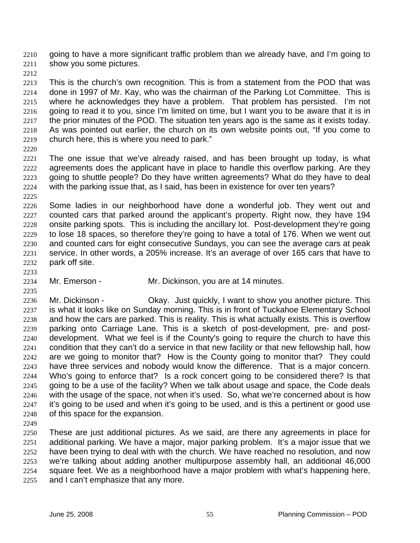going to have a more significant traffic problem than we already have, and I'm going to show you some pictures. 2210 2211

2212

2213 2214 2215 2216 2217 2218 2219 This is the church's own recognition. This is from a statement from the POD that was done in 1997 of Mr. Kay, who was the chairman of the Parking Lot Committee. This is where he acknowledges they have a problem. That problem has persisted. I'm not going to read it to you, since I'm limited on time, but I want you to be aware that it is in the prior minutes of the POD. The situation ten years ago is the same as it exists today. As was pointed out earlier, the church on its own website points out, "If you come to church here, this is where you need to park."

2220

2221 2222 2223 2224 2225 The one issue that we've already raised, and has been brought up today, is what agreements does the applicant have in place to handle this overflow parking. Are they going to shuttle people? Do they have written agreements? What do they have to deal with the parking issue that, as I said, has been in existence for over ten years?

2226 2227 2228 2229 2230 2231 2232 Some ladies in our neighborhood have done a wonderful job. They went out and counted cars that parked around the applicant's property. Right now, they have 194 onsite parking spots. This is including the ancillary lot. Post-development they're going to lose 18 spaces, so therefore they're going to have a total of 176. When we went out and counted cars for eight consecutive Sundays, you can see the average cars at peak service. In other words, a 205% increase. It's an average of over 165 cars that have to park off site.

2233

2235

- 2234
- Mr. Emerson Mr. Dickinson, you are at 14 minutes.

2236 2237 2238 2239 2240 2241 2242 2243 2244 2245 2246 2247 2248 Mr. Dickinson - Okay. Just quickly, I want to show you another picture. This is what it looks like on Sunday morning. This is in front of Tuckahoe Elementary School and how the cars are parked. This is reality. This is what actually exists. This is overflow parking onto Carriage Lane. This is a sketch of post-development, pre- and postdevelopment. What we feel is if the County's going to require the church to have this condition that they can't do a service in that new facility or that new fellowship hall, how are we going to monitor that? How is the County going to monitor that? They could have three services and nobody would know the difference. That is a major concern. Who's going to enforce that? Is a rock concert going to be considered there? Is that going to be a use of the facility? When we talk about usage and space, the Code deals with the usage of the space, not when it's used. So, what we're concerned about is how it's going to be used and when it's going to be used, and is this a pertinent or good use of this space for the expansion.

2249

2250 2251 2252 2253 2254 2255 These are just additional pictures. As we said, are there any agreements in place for additional parking. We have a major, major parking problem. It's a major issue that we have been trying to deal with with the church. We have reached no resolution, and now we're talking about adding another multipurpose assembly hall, an additional 46,000 square feet. We as a neighborhood have a major problem with what's happening here, and I can't emphasize that any more.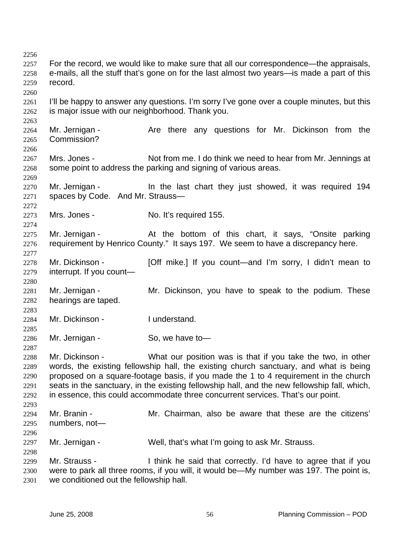| 2256 |                                                  |                                                                                              |
|------|--------------------------------------------------|----------------------------------------------------------------------------------------------|
| 2257 |                                                  | For the record, we would like to make sure that all our correspondence—the appraisals,       |
| 2258 |                                                  | e-mails, all the stuff that's gone on for the last almost two years—is made a part of this   |
| 2259 | record.                                          |                                                                                              |
| 2260 |                                                  |                                                                                              |
| 2261 |                                                  | I'll be happy to answer any questions. I'm sorry I've gone over a couple minutes, but this   |
| 2262 | is major issue with our neighborhood. Thank you. |                                                                                              |
| 2263 |                                                  |                                                                                              |
| 2264 | Mr. Jernigan -                                   | Are there any questions for Mr. Dickinson from the                                           |
| 2265 | Commission?                                      |                                                                                              |
| 2266 |                                                  |                                                                                              |
| 2267 | Mrs. Jones -                                     | Not from me. I do think we need to hear from Mr. Jennings at                                 |
| 2268 |                                                  | some point to address the parking and signing of various areas.                              |
| 2269 |                                                  |                                                                                              |
| 2270 | Mr. Jernigan -                                   | In the last chart they just showed, it was required 194                                      |
| 2271 | spaces by Code. And Mr. Strauss-                 |                                                                                              |
| 2272 |                                                  |                                                                                              |
| 2273 | Mrs. Jones -                                     | No. It's required 155.                                                                       |
| 2274 |                                                  |                                                                                              |
| 2275 | Mr. Jernigan -                                   | At the bottom of this chart, it says, "Onsite parking                                        |
| 2276 |                                                  | requirement by Henrico County." It says 197. We seem to have a discrepancy here.             |
| 2277 |                                                  |                                                                                              |
| 2278 | Mr. Dickinson -                                  | [Off mike.] If you count—and I'm sorry, I didn't mean to                                     |
| 2279 | interrupt. If you count-                         |                                                                                              |
| 2280 |                                                  |                                                                                              |
| 2281 | Mr. Jernigan -                                   | Mr. Dickinson, you have to speak to the podium. These                                        |
| 2282 | hearings are taped.                              |                                                                                              |
| 2283 |                                                  |                                                                                              |
| 2284 | Mr. Dickinson -                                  | I understand.                                                                                |
| 2285 |                                                  |                                                                                              |
| 2286 | Mr. Jernigan -                                   | So, we have to-                                                                              |
| 2287 |                                                  |                                                                                              |
| 2288 | Mr. Dickinson -                                  | What our position was is that if you take the two, in other                                  |
| 2289 |                                                  | words, the existing fellowship hall, the existing church sanctuary, and what is being        |
| 2290 |                                                  | proposed on a square-footage basis, if you made the 1 to 4 requirement in the church         |
| 2291 |                                                  | seats in the sanctuary, in the existing fellowship hall, and the new fellowship fall, which, |
| 2292 |                                                  | in essence, this could accommodate three concurrent services. That's our point.              |
| 2293 |                                                  |                                                                                              |
| 2294 | Mr. Branin -                                     | Mr. Chairman, also be aware that these are the citizens'                                     |
| 2295 | numbers, not-                                    |                                                                                              |
| 2296 |                                                  |                                                                                              |
| 2297 | Mr. Jernigan -                                   | Well, that's what I'm going to ask Mr. Strauss.                                              |
| 2298 |                                                  |                                                                                              |
| 2299 | Mr. Strauss -                                    | I think he said that correctly. I'd have to agree that if you                                |
| 2300 |                                                  | were to park all three rooms, if you will, it would be—My number was 197. The point is,      |
| 2301 | we conditioned out the fellowship hall.          |                                                                                              |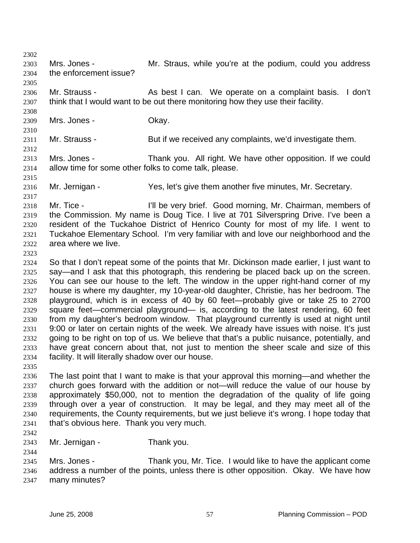2302 2303 2304 2305 2306 2307 2308 2309 2310 2311 2312 2313 2314 2315 2316 2317 2318 2319 2320 2321 2322 2323 2324 2325 2326 2327 2328 2329 2330 2331 2332 2333 2334 2335 2336 2337 2338 2339 2340 2341 2342 2343 2344 2345 2346 2347 Mrs. Jones - The Mr. Straus, while you're at the podium, could you address the enforcement issue? Mr. Strauss - The As best I can. We operate on a complaint basis. I don't think that I would want to be out there monitoring how they use their facility. Mrs. Jones - Chay. Mr. Strauss - But if we received any complaints, we'd investigate them. Mrs. Jones - Thank you. All right. We have other opposition. If we could allow time for some other folks to come talk, please. Mr. Jernigan - Yes, let's give them another five minutes, Mr. Secretary. Mr. Tice - The South Chairman, Mr. Chairman, members of the Commission. My name is Doug Tice. I live at 701 Silverspring Drive. I've been a resident of the Tuckahoe District of Henrico County for most of my life. I went to Tuckahoe Elementary School. I'm very familiar with and love our neighborhood and the area where we live. So that I don't repeat some of the points that Mr. Dickinson made earlier, I just want to say—and I ask that this photograph, this rendering be placed back up on the screen. You can see our house to the left. The window in the upper right-hand corner of my house is where my daughter, my 10-year-old daughter, Christie, has her bedroom. The playground, which is in excess of 40 by 60 feet—probably give or take 25 to 2700 square feet—commercial playground— is, according to the latest rendering, 60 feet from my daughter's bedroom window. That playground currently is used at night until 9:00 or later on certain nights of the week. We already have issues with noise. It's just going to be right on top of us. We believe that that's a public nuisance, potentially, and have great concern about that, not just to mention the sheer scale and size of this facility. It will literally shadow over our house. The last point that I want to make is that your approval this morning—and whether the church goes forward with the addition or not—will reduce the value of our house by approximately \$50,000, not to mention the degradation of the quality of life going through over a year of construction. It may be legal, and they may meet all of the requirements, the County requirements, but we just believe it's wrong. I hope today that that's obvious here. Thank you very much. Mr. Jernigan - Thank you. Mrs. Jones - Thank you, Mr. Tice. I would like to have the applicant come address a number of the points, unless there is other opposition. Okay. We have how many minutes?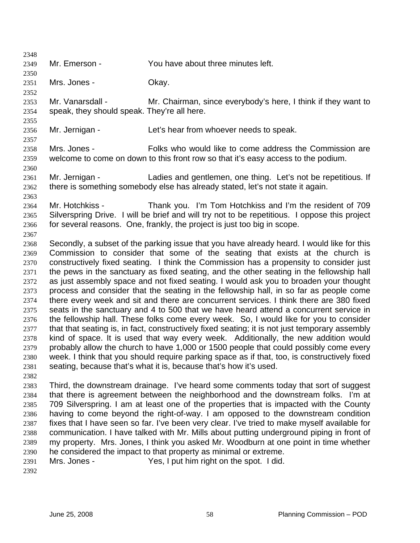| 2348 |                                             |                                                                                                |
|------|---------------------------------------------|------------------------------------------------------------------------------------------------|
| 2349 | Mr. Emerson -                               | You have about three minutes left.                                                             |
| 2350 |                                             |                                                                                                |
| 2351 | Mrs. Jones -                                | Okay.                                                                                          |
| 2352 |                                             |                                                                                                |
| 2353 | Mr. Vanarsdall -                            | Mr. Chairman, since everybody's here, I think if they want to                                  |
| 2354 | speak, they should speak. They're all here. |                                                                                                |
| 2355 |                                             |                                                                                                |
| 2356 | Mr. Jernigan -                              | Let's hear from whoever needs to speak.                                                        |
| 2357 |                                             |                                                                                                |
| 2358 | Mrs. Jones -                                | Folks who would like to come address the Commission are                                        |
| 2359 |                                             | welcome to come on down to this front row so that it's easy access to the podium.              |
| 2360 |                                             |                                                                                                |
| 2361 | Mr. Jernigan -                              | Ladies and gentlemen, one thing. Let's not be repetitious. If                                  |
| 2362 |                                             | there is something somebody else has already stated, let's not state it again.                 |
| 2363 |                                             |                                                                                                |
| 2364 | Mr. Hotchkiss -                             | Thank you. I'm Tom Hotchkiss and I'm the resident of 709                                       |
| 2365 |                                             | Silverspring Drive. I will be brief and will try not to be repetitious. I oppose this project  |
| 2366 |                                             | for several reasons. One, frankly, the project is just too big in scope.                       |
| 2367 |                                             |                                                                                                |
| 2368 |                                             | Secondly, a subset of the parking issue that you have already heard. I would like for this     |
| 2369 |                                             | Commission to consider that some of the seating that exists at the church is                   |
| 2370 |                                             | constructively fixed seating. I think the Commission has a propensity to consider just         |
| 2371 |                                             | the pews in the sanctuary as fixed seating, and the other seating in the fellowship hall       |
| 2372 |                                             | as just assembly space and not fixed seating. I would ask you to broaden your thought          |
| 2373 |                                             | process and consider that the seating in the fellowship hall, in so far as people come         |
| 2374 |                                             | there every week and sit and there are concurrent services. I think there are 380 fixed        |
| 2375 |                                             | seats in the sanctuary and 4 to 500 that we have heard attend a concurrent service in          |
| 2376 |                                             | the fellowship hall. These folks come every week. So, I would like for you to consider         |
| 2377 |                                             | that that seating is, in fact, constructively fixed seating; it is not just temporary assembly |
| 2378 |                                             | kind of space. It is used that way every week. Additionally, the new addition would            |
| 2379 |                                             | probably allow the church to have 1,000 or 1500 people that could possibly come every          |
| 2380 |                                             | week. I think that you should require parking space as if that, too, is constructively fixed   |
| 2381 |                                             | seating, because that's what it is, because that's how it's used.                              |
| 2382 |                                             |                                                                                                |
| 2383 |                                             | Third, the downstream drainage. I've heard some comments today that sort of suggest            |
| 2384 |                                             | that there is agreement between the neighborhood and the downstream folks. I'm at              |
| 2385 |                                             | 709 Silverspring. I am at least one of the properties that is impacted with the County         |
| 2386 |                                             | having to come beyond the right-of-way. I am opposed to the downstream condition               |
| 2387 |                                             | fixes that I have seen so far. I've been very clear. I've tried to make myself available for   |
| 2388 |                                             | communication. I have talked with Mr. Mills about putting underground piping in front of       |
| 2389 |                                             | my property. Mrs. Jones, I think you asked Mr. Woodburn at one point in time whether           |
| 2390 |                                             | he considered the impact to that property as minimal or extreme.                               |
| 2391 | Mrs. Jones -                                | Yes, I put him right on the spot. I did.                                                       |
| 2392 |                                             |                                                                                                |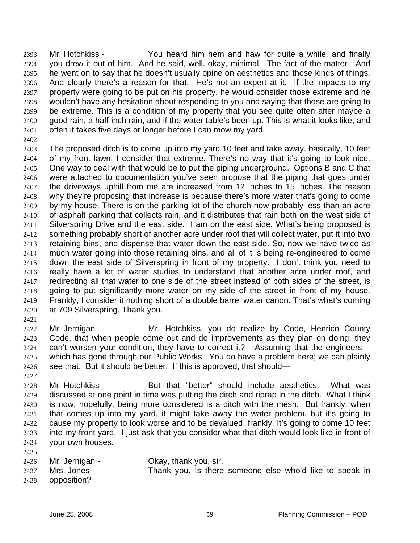Mr. Hotchkiss - You heard him hem and haw for quite a while, and finally you drew it out of him. And he said, well, okay, minimal. The fact of the matter—And he went on to say that he doesn't usually opine on aesthetics and those kinds of things. And clearly there's a reason for that: He's not an expert at it. If the impacts to my property were going to be put on his property, he would consider those extreme and he wouldn't have any hesitation about responding to you and saying that those are going to be extreme. This is a condition of my property that you see quite often after maybe a good rain, a half-inch rain, and if the water table's been up. This is what it looks like, and often it takes five days or longer before I can mow my yard. 2393 2394 2395 2396 2397 2398 2399 2400 2401

2402

2403 2404 2405 2406 2407 2408 2409 2410 2411 2412 2413 2414 2415 2416 2417 2418 2419 2420 The proposed ditch is to come up into my yard 10 feet and take away, basically, 10 feet of my front lawn. I consider that extreme. There's no way that it's going to look nice. One way to deal with that would be to put the piping underground. Options B and C that were attached to documentation you've seen propose that the piping that goes under the driveways uphill from me are increased from 12 inches to 15 inches. The reason why they're proposing that increase is because there's more water that's going to come by my house. There is on the parking lot of the church now probably less than an acre of asphalt parking that collects rain, and it distributes that rain both on the west side of Silverspring Drive and the east side. I am on the east side. What's being proposed is something probably short of another acre under roof that will collect water, put it into two retaining bins, and dispense that water down the east side. So, now we have twice as much water going into those retaining bins, and all of it is being re-engineered to come down the east side of Silverspring in front of my property. I don't think you need to really have a lot of water studies to understand that another acre under roof, and redirecting all that water to one side of the street instead of both sides of the street, is going to put significantly more water on my side of the street in front of my house. Frankly, I consider it nothing short of a double barrel water canon. That's what's coming at 709 Silverspring. Thank you.

2421

2422 2423 2424 2425 2426 Mr. Jernigan - The Mr. Hotchkiss, you do realize by Code, Henrico County Code, that when people come out and do improvements as they plan on doing, they can't worsen your condition, they have to correct it? Assuming that the engineers which has gone through our Public Works. You do have a problem here; we can plainly see that. But it should be better. If this is approved, that should—

2427

2435

2428 2429 2430 2431 2432 2433 2434 Mr. Hotchkiss - But that "better" should include aesthetics. What was discussed at one point in time was putting the ditch and riprap in the ditch. What I think is now, hopefully, being more considered is a ditch with the mesh. But frankly, when that comes up into my yard, it might take away the water problem, but it's going to cause my property to look worse and to be devalued, frankly. It's going to come 10 feet into my front yard. I just ask that you consider what that ditch would look like in front of your own houses.

| 2 T.J.J |                     |                                                         |
|---------|---------------------|---------------------------------------------------------|
|         | 2436 Mr. Jernigan - | Okay, thank you, sir.                                   |
| 2437    | Mrs. Jones -        | Thank you. Is there someone else who'd like to speak in |
| 2438    | opposition?         |                                                         |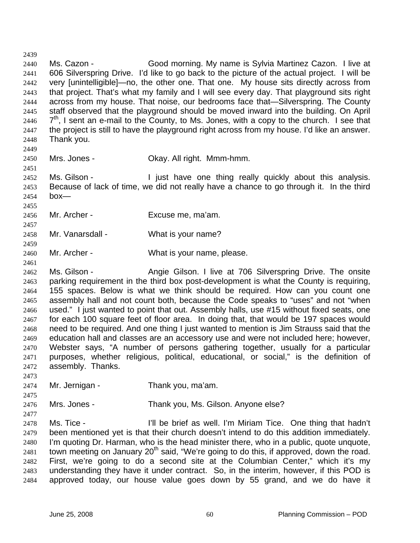2440 2441 2442 2443 2444 2445 2446 2447 2448 Ms. Cazon - Good morning. My name is Sylvia Martinez Cazon. I live at 606 Silverspring Drive. I'd like to go back to the picture of the actual project. I will be very [unintelligible]—no, the other one. That one. My house sits directly across from that project. That's what my family and I will see every day. That playground sits right across from my house. That noise, our bedrooms face that—Silverspring. The County staff observed that the playground should be moved inward into the building. On April  $7<sup>th</sup>$ , I sent an e-mail to the County, to Ms. Jones, with a copy to the church. I see that the project is still to have the playground right across from my house. I'd like an answer. Thank you.

2449 2450

2451

2455

2457

2459

2461

2439

Mrs. Jones - **Okay. All right. Mmm-hmm.** 

2452 2453 2454 Ms. Gilson - I just have one thing really quickly about this analysis. Because of lack of time, we did not really have a chance to go through it. In the third box—

- 2456 Mr. Archer - Excuse me, ma'am.
- 2458 Mr. Vanarsdall - What is your name?
- 2460 Mr. Archer - What is your name, please.
- 2462 2463 2464 2465 2466 2467 2468 2469 2470 2471 2472 Ms. Gilson - The Shangie Gilson. I live at 706 Silverspring Drive. The onsite parking requirement in the third box post-development is what the County is requiring, 155 spaces. Below is what we think should be required. How can you count one assembly hall and not count both, because the Code speaks to "uses" and not "when used." I just wanted to point that out. Assembly halls, use #15 without fixed seats, one for each 100 square feet of floor area. In doing that, that would be 197 spaces would need to be required. And one thing I just wanted to mention is Jim Strauss said that the education hall and classes are an accessory use and were not included here; however, Webster says, "A number of persons gathering together, usually for a particular purposes, whether religious, political, educational, or social," is the definition of assembly. Thanks.
- 2473 2474

2475

2477

- Mr. Jernigan Thank you, ma'am.
- 2476 Mrs. Jones - Thank you, Ms. Gilson. Anyone else?

2478 2479 2480 2481 2482 2483 2484 Ms. Tice - I'll be brief as well. I'm Miriam Tice. One thing that hadn't been mentioned yet is that their church doesn't intend to do this addition immediately. I'm quoting Dr. Harman, who is the head minister there, who in a public, quote unquote, town meeting on January 20<sup>th</sup> said, "We're going to do this, if approved, down the road. First, we're going to do a second site at the Columbian Center," which it's my understanding they have it under contract. So, in the interim, however, if this POD is approved today, our house value goes down by 55 grand, and we do have it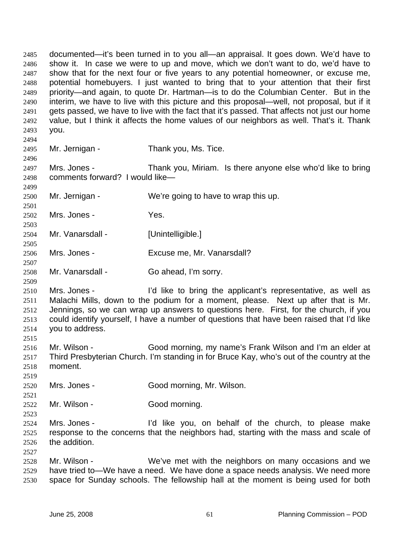documented—it's been turned in to you all—an appraisal. It goes down. We'd have to show it. In case we were to up and move, which we don't want to do, we'd have to show that for the next four or five years to any potential homeowner, or excuse me, potential homebuyers. I just wanted to bring that to your attention that their first priority—and again, to quote Dr. Hartman—is to do the Columbian Center. But in the interim, we have to live with this picture and this proposal—well, not proposal, but if it gets passed, we have to live with the fact that it's passed. That affects not just our home value, but I think it affects the home values of our neighbors as well. That's it. Thank you. 2485 2486 2487 2488 2489 2490 2491 2492 2493 2494 2495 2496 2497 2498 2499 2500 2501 2502 2503 2504 2505 2506 2507 2508 2509 2510 2511 2512 2513 2514 2515 2516 2517 2518 2519 2520 2521 2522 2523 2524 2525 2526 2527 2528 2529 2530 Mr. Jernigan - Thank you, Ms. Tice. Mrs. Jones - Thank you, Miriam. Is there anyone else who'd like to bring comments forward? I would like— Mr. Jernigan - We're going to have to wrap this up. Mrs. Jones - Yes. Mr. Vanarsdall - [Unintelligible.] Mrs. Jones - Excuse me, Mr. Vanarsdall? Mr. Vanarsdall - Go ahead, I'm sorry. Mrs. Jones - I'd like to bring the applicant's representative, as well as Malachi Mills, down to the podium for a moment, please. Next up after that is Mr. Jennings, so we can wrap up answers to questions here. First, for the church, if you could identify yourself, I have a number of questions that have been raised that I'd like you to address. Mr. Wilson - Good morning, my name's Frank Wilson and I'm an elder at Third Presbyterian Church. I'm standing in for Bruce Kay, who's out of the country at the moment. Mrs. Jones - Good morning, Mr. Wilson. Mr. Wilson - Good morning. Mrs. Jones - I'd like you, on behalf of the church, to please make response to the concerns that the neighbors had, starting with the mass and scale of the addition. Mr. Wilson - We've met with the neighbors on many occasions and we have tried to—We have a need. We have done a space needs analysis. We need more space for Sunday schools. The fellowship hall at the moment is being used for both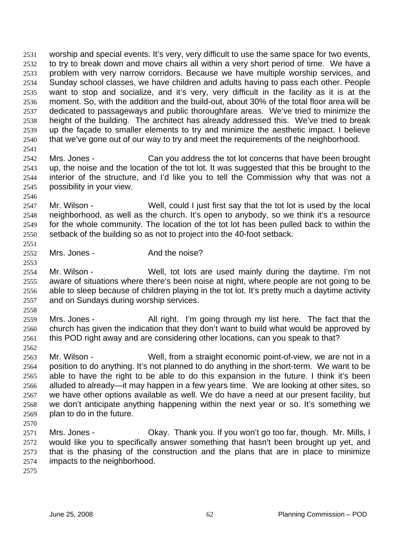worship and special events. It's very, very difficult to use the same space for two events, to try to break down and move chairs all within a very short period of time. We have a problem with very narrow corridors. Because we have multiple worship services, and Sunday school classes, we have children and adults having to pass each other. People want to stop and socialize, and it's very, very difficult in the facility as it is at the moment. So, with the addition and the build-out, about 30% of the total floor area will be dedicated to passageways and public thoroughfare areas. We've tried to minimize the height of the building. The architect has already addressed this. We've tried to break up the façade to smaller elements to try and minimize the aesthetic impact. I believe that we've gone out of our way to try and meet the requirements of the neighborhood. 2531 2532 2533 2534 2535 2536 2537 2538 2539 2540 2541

2542 2543 2544 2545 Mrs. Jones - Can you address the tot lot concerns that have been brought up, the noise and the location of the tot lot. It was suggested that this be brought to the interior of the structure, and I'd like you to tell the Commission why that was not a possibility in your view.

2547 2548 2549 2550 Mr. Wilson - Well, could I just first say that the tot lot is used by the local neighborhood, as well as the church. It's open to anybody, so we think it's a resource for the whole community. The location of the tot lot has been pulled back to within the setback of the building so as not to project into the 40-foot setback.

2552 Mrs. Jones - The And the noise?

2554 2555 2556 2557 Mr. Wilson - Well, tot lots are used mainly during the daytime. I'm not aware of situations where there's been noise at night, where people are not going to be able to sleep because of children playing in the tot lot. It's pretty much a daytime activity and on Sundays during worship services.

2558

2562

2546

2551

2553

2559 2560 2561 Mrs. Jones - All right. I'm going through my list here. The fact that the church has given the indication that they don't want to build what would be approved by this POD right away and are considering other locations, can you speak to that?

- 2563 2564 2565 2566 2567 2568 2569 Mr. Wilson - Well, from a straight economic point-of-view, we are not in a position to do anything. It's not planned to do anything in the short-term. We want to be able to have the right to be able to do this expansion in the future. I think it's been alluded to already—it may happen in a few years time. We are looking at other sites, so we have other options available as well. We do have a need at our present facility, but we don't anticipate anything happening within the next year or so. It's something we plan to do in the future.
- 2570

2571 2572 2573 2574 Mrs. Jones - Ckay. Thank you. If you won't go too far, though. Mr. Mills, I would like you to specifically answer something that hasn't been brought up yet, and that is the phasing of the construction and the plans that are in place to minimize impacts to the neighborhood.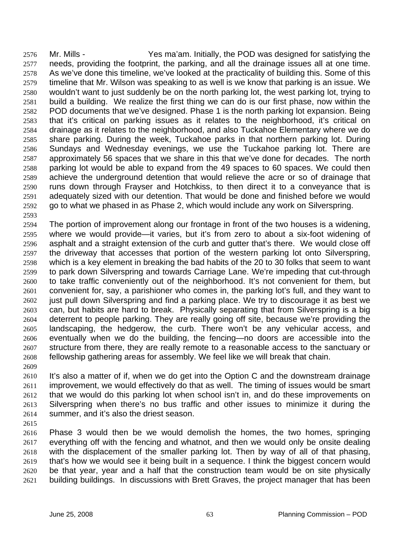Mr. Mills - Yes ma'am. Initially, the POD was designed for satisfying the needs, providing the footprint, the parking, and all the drainage issues all at one time. As we've done this timeline, we've looked at the practicality of building this. Some of this timeline that Mr. Wilson was speaking to as well is we know that parking is an issue. We wouldn't want to just suddenly be on the north parking lot, the west parking lot, trying to build a building. We realize the first thing we can do is our first phase, now within the POD documents that we've designed. Phase 1 is the north parking lot expansion. Being that it's critical on parking issues as it relates to the neighborhood, it's critical on drainage as it relates to the neighborhood, and also Tuckahoe Elementary where we do share parking. During the week, Tuckahoe parks in that northern parking lot. During Sundays and Wednesday evenings, we use the Tuckahoe parking lot. There are approximately 56 spaces that we share in this that we've done for decades. The north parking lot would be able to expand from the 49 spaces to 60 spaces. We could then achieve the underground detention that would relieve the acre or so of drainage that runs down through Frayser and Hotchkiss, to then direct it to a conveyance that is adequately sized with our detention. That would be done and finished before we would go to what we phased in as Phase 2, which would include any work on Silverspring. 2576 2577 2578 2579 2580 2581 2582 2583 2584 2585 2586 2587 2588 2589 2590 2591 2592 2593

2594 2595 2596 2597 2598 2599 2600 2601 2602 2603 2604 2605 2606 2607 2608 The portion of improvement along our frontage in front of the two houses is a widening, where we would provide—it varies, but it's from zero to about a six-foot widening of asphalt and a straight extension of the curb and gutter that's there. We would close off the driveway that accesses that portion of the western parking lot onto Silverspring, which is a key element in breaking the bad habits of the 20 to 30 folks that seem to want to park down Silverspring and towards Carriage Lane. We're impeding that cut-through to take traffic conveniently out of the neighborhood. It's not convenient for them, but convenient for, say, a parishioner who comes in, the parking lot's full, and they want to just pull down Silverspring and find a parking place. We try to discourage it as best we can, but habits are hard to break. Physically separating that from Silverspring is a big deterrent to people parking. They are really going off site, because we're providing the landscaping, the hedgerow, the curb. There won't be any vehicular access, and eventually when we do the building, the fencing—no doors are accessible into the structure from there, they are really remote to a reasonable access to the sanctuary or fellowship gathering areas for assembly. We feel like we will break that chain.

2609

2610 2611 2612 2613 2614 It's also a matter of if, when we do get into the Option C and the downstream drainage improvement, we would effectively do that as well. The timing of issues would be smart that we would do this parking lot when school isn't in, and do these improvements on Silverspring when there's no bus traffic and other issues to minimize it during the summer, and it's also the driest season.

2615

2616 2617 2618 2619 2620 2621 Phase 3 would then be we would demolish the homes, the two homes, springing everything off with the fencing and whatnot, and then we would only be onsite dealing with the displacement of the smaller parking lot. Then by way of all of that phasing, that's how we would see it being built in a sequence. I think the biggest concern would be that year, year and a half that the construction team would be on site physically building buildings. In discussions with Brett Graves, the project manager that has been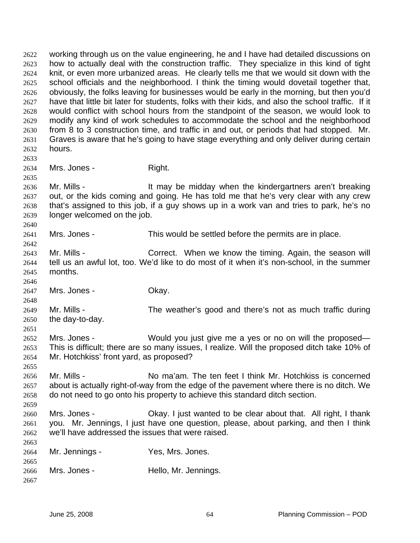working through us on the value engineering, he and I have had detailed discussions on how to actually deal with the construction traffic. They specialize in this kind of tight knit, or even more urbanized areas. He clearly tells me that we would sit down with the school officials and the neighborhood. I think the timing would dovetail together that, obviously, the folks leaving for businesses would be early in the morning, but then you'd have that little bit later for students, folks with their kids, and also the school traffic. If it would conflict with school hours from the standpoint of the season, we would look to modify any kind of work schedules to accommodate the school and the neighborhood from 8 to 3 construction time, and traffic in and out, or periods that had stopped. Mr. Graves is aware that he's going to have stage everything and only deliver during certain hours. 2622 2623 2624 2625 2626 2627 2628 2629 2630 2631 2632 2633 2634 2635 2636 2637 2638 2639 2640 2641 2642 2643 2644 2645 2646 2647 2648 2649 2650 2651 2652 2653 2654 2655 2656 2657 2658 2659 2660 2661 2662 2663 2664 2665 2666 2667 Mrs. Jones - Right. Mr. Mills - The Music of the midday when the kindergartners aren't breaking out, or the kids coming and going. He has told me that he's very clear with any crew that's assigned to this job, if a guy shows up in a work van and tries to park, he's no longer welcomed on the job. Mrs. Jones - This would be settled before the permits are in place. Mr. Mills - Correct. When we know the timing. Again, the season will tell us an awful lot, too. We'd like to do most of it when it's non-school, in the summer months. Mrs. Jones - Ckay. Mr. Mills - The weather's good and there's not as much traffic during the day-to-day. Mrs. Jones - Would you just give me a yes or no on will the proposed— This is difficult; there are so many issues, I realize. Will the proposed ditch take 10% of Mr. Hotchkiss' front yard, as proposed? Mr. Mills - No ma'am. The ten feet I think Mr. Hotchkiss is concerned about is actually right-of-way from the edge of the pavement where there is no ditch. We do not need to go onto his property to achieve this standard ditch section. Mrs. Jones - Okay. I just wanted to be clear about that. All right, I thank you. Mr. Jennings, I just have one question, please, about parking, and then I think we'll have addressed the issues that were raised. Mr. Jennings - Yes, Mrs. Jones. Mrs. Jones - Thello, Mr. Jennings.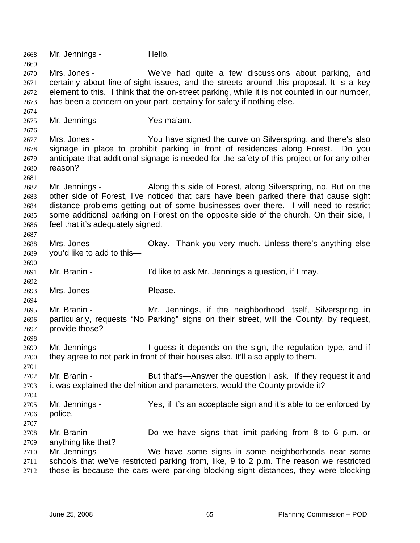2668 Mr. Jennings - Hello. 2669 2670 2671 2672 2673 2674 2675 2676 2677 2678 2679 2680 2681 2682 2683 2684 2685 2686 2687 2688 2689 2690 2691 2692 2693 2694 2695 2696 2697 2698 2699 2700 2701 2702 2703 2704 2705 2706 2707 2708 2709 2710 2711 2712 Mrs. Jones - We've had quite a few discussions about parking, and certainly about line-of-sight issues, and the streets around this proposal. It is a key element to this. I think that the on-street parking, while it is not counted in our number, has been a concern on your part, certainly for safety if nothing else. Mr. Jennings - Yes ma'am. Mrs. Jones - You have signed the curve on Silverspring, and there's also signage in place to prohibit parking in front of residences along Forest. Do you anticipate that additional signage is needed for the safety of this project or for any other reason? Mr. Jennings - Along this side of Forest, along Silverspring, no. But on the other side of Forest, I've noticed that cars have been parked there that cause sight distance problems getting out of some businesses over there. I will need to restrict some additional parking on Forest on the opposite side of the church. On their side, I feel that it's adequately signed. Mrs. Jones - **Okay.** Thank you very much. Unless there's anything else you'd like to add to this— Mr. Branin - I'd like to ask Mr. Jennings a question, if I may. Mrs. Jones - Please. Mr. Branin - The Mr. Jennings, if the neighborhood itself, Silverspring in particularly, requests "No Parking" signs on their street, will the County, by request, provide those? Mr. Jennings - The Unit of the state of the sign, the regulation type, and if they agree to not park in front of their houses also. It'll also apply to them. Mr. Branin - But that's—Answer the question I ask. If they request it and it was explained the definition and parameters, would the County provide it? Mr. Jennings - Yes, if it's an acceptable sign and it's able to be enforced by police. Mr. Branin - **Do** we have signs that limit parking from 8 to 6 p.m. or anything like that? Mr. Jennings - We have some signs in some neighborhoods near some schools that we've restricted parking from, like, 9 to 2 p.m. The reason we restricted those is because the cars were parking blocking sight distances, they were blocking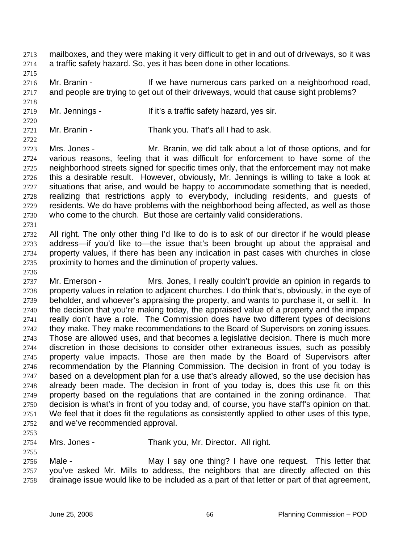- mailboxes, and they were making it very difficult to get in and out of driveways, so it was a traffic safety hazard. So, yes it has been done in other locations. 2713 2714
- 2715

2718

2720

2716 2717 Mr. Branin - If we have numerous cars parked on a neighborhood road, and people are trying to get out of their driveways, would that cause sight problems?

- 2719 Mr. Jennings - The Music of the If it's a traffic safety hazard, yes sir.
- 2721 Mr. Branin - Thank you. That's all I had to ask.
- 2722

2731

2736

2723 2724 2725 2726 2727 2728 2729 2730 Mrs. Jones - Mr. Branin, we did talk about a lot of those options, and for various reasons, feeling that it was difficult for enforcement to have some of the neighborhood streets signed for specific times only, that the enforcement may not make this a desirable result. However, obviously, Mr. Jennings is willing to take a look at situations that arise, and would be happy to accommodate something that is needed, realizing that restrictions apply to everybody, including residents, and guests of residents. We do have problems with the neighborhood being affected, as well as those who come to the church. But those are certainly valid considerations.

2732 2733 2734 2735 All right. The only other thing I'd like to do is to ask of our director if he would please address—if you'd like to—the issue that's been brought up about the appraisal and property values, if there has been any indication in past cases with churches in close proximity to homes and the diminution of property values.

2737 2738 2739 2740 2741 2742 2743 2744 2745 2746 2747 2748 2749 2750 2751 2752 Mr. Emerson - Mrs. Jones, I really couldn't provide an opinion in regards to property values in relation to adjacent churches. I do think that's, obviously, in the eye of beholder, and whoever's appraising the property, and wants to purchase it, or sell it. In the decision that you're making today, the appraised value of a property and the impact really don't have a role. The Commission does have two different types of decisions they make. They make recommendations to the Board of Supervisors on zoning issues. Those are allowed uses, and that becomes a legislative decision. There is much more discretion in those decisions to consider other extraneous issues, such as possibly property value impacts. Those are then made by the Board of Supervisors after recommendation by the Planning Commission. The decision in front of you today is based on a development plan for a use that's already allowed, so the use decision has already been made. The decision in front of you today is, does this use fit on this property based on the regulations that are contained in the zoning ordinance. That decision is what's in front of you today and, of course, you have staff's opinion on that. We feel that it does fit the regulations as consistently applied to other uses of this type, and we've recommended approval.

2753 2754

2755

Mrs. Jones - Thank you, Mr. Director. All right.

2756 2757 2758 Male - May I say one thing? I have one request. This letter that you've asked Mr. Mills to address, the neighbors that are directly affected on this drainage issue would like to be included as a part of that letter or part of that agreement,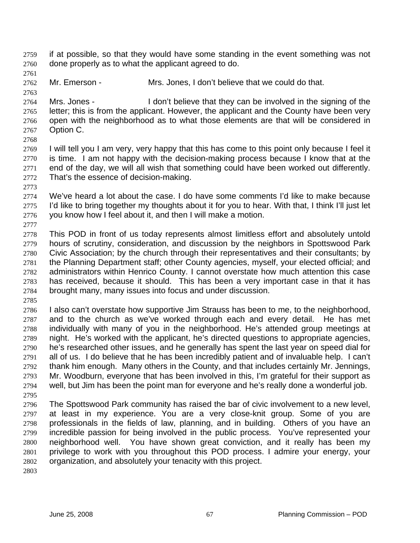if at possible, so that they would have some standing in the event something was not done properly as to what the applicant agreed to do. 2759 2760

2761

2763

2762 Mr. Emerson - Mrs. Jones, I don't believe that we could do that.

2764 2765 2766 2767 Mrs. Jones - I don't believe that they can be involved in the signing of the letter; this is from the applicant. However, the applicant and the County have been very open with the neighborhood as to what those elements are that will be considered in Option C.

2768

2769 2770 2771 2772 I will tell you I am very, very happy that this has come to this point only because I feel it is time. I am not happy with the decision-making process because I know that at the end of the day, we will all wish that something could have been worked out differently. That's the essence of decision-making.

2773

2777

2774 2775 2776 We've heard a lot about the case. I do have some comments I'd like to make because I'd like to bring together my thoughts about it for you to hear. With that, I think I'll just let you know how I feel about it, and then I will make a motion.

2778 2779 2780 2781 2782 2783 2784 This POD in front of us today represents almost limitless effort and absolutely untold hours of scrutiny, consideration, and discussion by the neighbors in Spottswood Park Civic Association; by the church through their representatives and their consultants; by the Planning Department staff; other County agencies, myself, your elected official; and administrators within Henrico County. I cannot overstate how much attention this case has received, because it should. This has been a very important case in that it has brought many, many issues into focus and under discussion.

2785

2786 2787 2788 2789 2790 2791 2792 2793 2794 2795 I also can't overstate how supportive Jim Strauss has been to me, to the neighborhood, and to the church as we've worked through each and every detail. He has met individually with many of you in the neighborhood. He's attended group meetings at night. He's worked with the applicant, he's directed questions to appropriate agencies, he's researched other issues, and he generally has spent the last year on speed dial for all of us. I do believe that he has been incredibly patient and of invaluable help. I can't thank him enough. Many others in the County, and that includes certainly Mr. Jennings, Mr. Woodburn, everyone that has been involved in this, I'm grateful for their support as well, but Jim has been the point man for everyone and he's really done a wonderful job.

2796 2797 2798 2799 2800 2801 2802 The Spottswood Park community has raised the bar of civic involvement to a new level, at least in my experience. You are a very close-knit group. Some of you are professionals in the fields of law, planning, and in building. Others of you have an incredible passion for being involved in the public process. You've represented your neighborhood well. You have shown great conviction, and it really has been my privilege to work with you throughout this POD process. I admire your energy, your organization, and absolutely your tenacity with this project.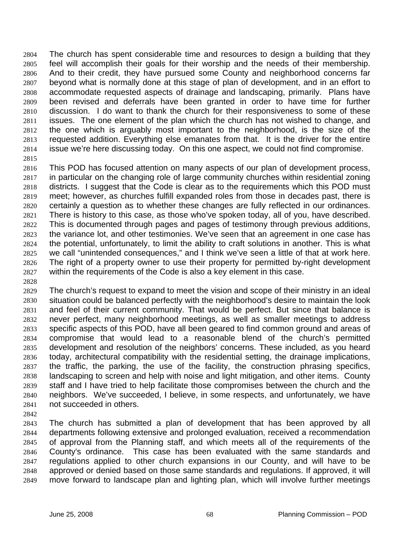The church has spent considerable time and resources to design a building that they feel will accomplish their goals for their worship and the needs of their membership. And to their credit, they have pursued some County and neighborhood concerns far beyond what is normally done at this stage of plan of development, and in an effort to accommodate requested aspects of drainage and landscaping, primarily. Plans have been revised and deferrals have been granted in order to have time for further discussion. I do want to thank the church for their responsiveness to some of these issues. The one element of the plan which the church has not wished to change, and the one which is arguably most important to the neighborhood, is the size of the requested addition. Everything else emanates from that. It is the driver for the entire issue we're here discussing today. On this one aspect, we could not find compromise. 2804 2805 2806 2807 2808 2809 2810 2811 2812 2813 2814 2815

2816 2817 2818 2819 2820 2821 2822 2823 2824 2825 2826 2827 This POD has focused attention on many aspects of our plan of development process, in particular on the changing role of large community churches within residential zoning districts. I suggest that the Code is clear as to the requirements which this POD must meet; however, as churches fulfill expanded roles from those in decades past, there is certainly a question as to whether these changes are fully reflected in our ordinances. There is history to this case, as those who've spoken today, all of you, have described. This is documented through pages and pages of testimony through previous additions, the variance lot, and other testimonies. We've seen that an agreement in one case has the potential, unfortunately, to limit the ability to craft solutions in another. This is what we call "unintended consequences," and I think we've seen a little of that at work here. The right of a property owner to use their property for permitted by-right development within the requirements of the Code is also a key element in this case.

2828

2829 2830 2831 2832 2833 2834 2835 2836 2837 2838 2839 2840 2841 The church's request to expand to meet the vision and scope of their ministry in an ideal situation could be balanced perfectly with the neighborhood's desire to maintain the look and feel of their current community. That would be perfect. But since that balance is never perfect, many neighborhood meetings, as well as smaller meetings to address specific aspects of this POD, have all been geared to find common ground and areas of compromise that would lead to a reasonable blend of the church's permitted development and resolution of the neighbors' concerns. These included, as you heard today, architectural compatibility with the residential setting, the drainage implications, the traffic, the parking, the use of the facility, the construction phrasing specifics, landscaping to screen and help with noise and light mitigation, and other items. County staff and I have tried to help facilitate those compromises between the church and the neighbors. We've succeeded, I believe, in some respects, and unfortunately, we have not succeeded in others.

2842

2843 2844 2845 2846 2847 2848 2849 The church has submitted a plan of development that has been approved by all departments following extensive and prolonged evaluation, received a recommendation of approval from the Planning staff, and which meets all of the requirements of the County's ordinance. This case has been evaluated with the same standards and regulations applied to other church expansions in our County, and will have to be approved or denied based on those same standards and regulations. If approved, it will move forward to landscape plan and lighting plan, which will involve further meetings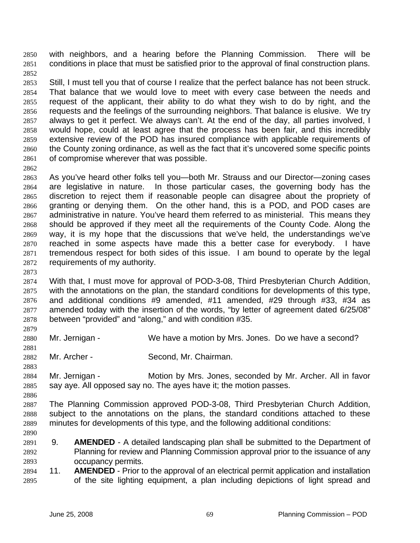with neighbors, and a hearing before the Planning Commission. There will be conditions in place that must be satisfied prior to the approval of final construction plans. 2850 2851 2852

2853 2854 2855 2856 2857 2858 2859 2860 2861 Still, I must tell you that of course I realize that the perfect balance has not been struck. That balance that we would love to meet with every case between the needs and request of the applicant, their ability to do what they wish to do by right, and the requests and the feelings of the surrounding neighbors. That balance is elusive. We try always to get it perfect. We always can't. At the end of the day, all parties involved, I would hope, could at least agree that the process has been fair, and this incredibly extensive review of the POD has insured compliance with applicable requirements of the County zoning ordinance, as well as the fact that it's uncovered some specific points of compromise wherever that was possible.

2863 2864 2865 2866 2867 2868 2869 2870 2871 2872 As you've heard other folks tell you—both Mr. Strauss and our Director—zoning cases are legislative in nature. In those particular cases, the governing body has the discretion to reject them if reasonable people can disagree about the propriety of granting or denying them. On the other hand, this is a POD, and POD cases are administrative in nature. You've heard them referred to as ministerial. This means they should be approved if they meet all the requirements of the County Code. Along the way, it is my hope that the discussions that we've held, the understandings we've reached in some aspects have made this a better case for everybody. I have tremendous respect for both sides of this issue. I am bound to operate by the legal requirements of my authority.

2874 2875 2876 2877 2878 With that, I must move for approval of POD-3-08, Third Presbyterian Church Addition, with the annotations on the plan, the standard conditions for developments of this type, and additional conditions #9 amended, #11 amended, #29 through #33, #34 as amended today with the insertion of the words, "by letter of agreement dated 6/25/08" between "provided" and "along," and with condition #35.

- 2880 Mr. Jernigan - We have a motion by Mrs. Jones. Do we have a second?
- 2882 Mr. Archer - Second, Mr. Chairman.
- 2884 2885 Mr. Jernigan - Motion by Mrs. Jones, seconded by Mr. Archer. All in favor say aye. All opposed say no. The ayes have it; the motion passes.
- 2887 2888 2889 The Planning Commission approved POD-3-08, Third Presbyterian Church Addition, subject to the annotations on the plans, the standard conditions attached to these minutes for developments of this type, and the following additional conditions:
- 2890

2862

2873

2879

2881

2883

- 2891 2892 2893 9. **AMENDED** - A detailed landscaping plan shall be submitted to the Department of Planning for review and Planning Commission approval prior to the issuance of any occupancy permits.
- 2894 2895 11. **AMENDED** - Prior to the approval of an electrical permit application and installation of the site lighting equipment, a plan including depictions of light spread and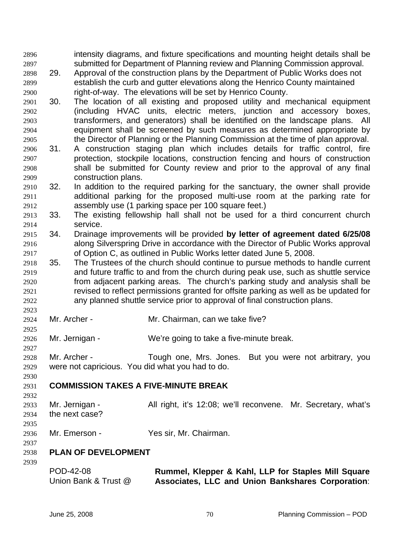intensity diagrams, and fixture specifications and mounting height details shall be submitted for Department of Planning review and Planning Commission approval. 2896 2897

- 2898 2899 2900 29. Approval of the construction plans by the Department of Public Works does not establish the curb and gutter elevations along the Henrico County maintained right-of-way. The elevations will be set by Henrico County.
- 2901 2902 2903 2904 2905 30. The location of all existing and proposed utility and mechanical equipment (including HVAC units, electric meters, junction and accessory boxes, transformers, and generators) shall be identified on the landscape plans. All equipment shall be screened by such measures as determined appropriate by the Director of Planning or the Planning Commission at the time of plan approval.
- 2906 2907 2908 2909 31. A construction staging plan which includes details for traffic control, fire protection, stockpile locations, construction fencing and hours of construction shall be submitted for County review and prior to the approval of any final construction plans.
- 2910 2911 2912 32. In addition to the required parking for the sanctuary, the owner shall provide additional parking for the proposed multi-use room at the parking rate for assembly use (1 parking space per 100 square feet.)
- 2913 2914 33. The existing fellowship hall shall not be used for a third concurrent church service.
- 2915 2916 2917 34. Drainage improvements will be provided **by letter of agreement dated 6/25/08**  along Silverspring Drive in accordance with the Director of Public Works approval of Option C, as outlined in Public Works letter dated June 5, 2008.
- 2918 2919 2920 2921 2922 35. The Trustees of the church should continue to pursue methods to handle current and future traffic to and from the church during peak use, such as shuttle service from adjacent parking areas. The church's parking study and analysis shall be revised to reflect permissions granted for offsite parking as well as be updated for any planned shuttle service prior to approval of final construction plans.
- 2924 Mr. Archer - Mr. Chairman, can we take five?
- 2926 Mr. Jernigan - We're going to take a five-minute break.

2928 2929 Mr. Archer - Tough one, Mrs. Jones. But you were not arbitrary, you were not capricious. You did what you had to do.

- 2931 **COMMISSION TAKES A FIVE-MINUTE BREAK**
- 2932 2933 2934 2935 Mr. Jernigan - All right, it's 12:08; we'll reconvene. Mr. Secretary, what's the next case?
- 2936 Mr. Emerson - Yes sir, Mr. Chairman.
- 2938 **PLAN OF DEVELOPMENT**

| POD-42-08            | Rummel, Klepper & Kahl, LLP for Staples Mill Square |
|----------------------|-----------------------------------------------------|
| Union Bank & Trust @ | Associates, LLC and Union Bankshares Corporation:   |

2923

2925

2927

2930

2937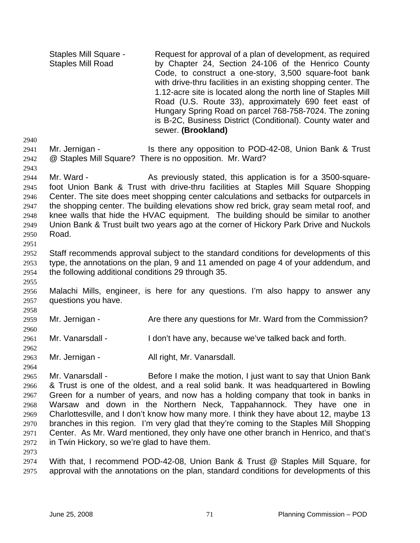Staples Mill Square -Staples Mill Road Request for approval of a plan of development, as required by Chapter 24, Section 24-106 of the Henrico County Code, to construct a one-story, 3,500 square-foot bank with drive-thru facilities in an existing shopping center. The 1.12-acre site is located along the north line of Staples Mill Road (U.S. Route 33), approximately 690 feet east of Hungary Spring Road on parcel 768-758-7024. The zoning is B-2C, Business District (Conditional). County water and sewer. **(Brookland)** 

2940

2943

2951

2955

2958

2960

2962

2964

2973

2941 2942 Mr. Jernigan - Is there any opposition to POD-42-08, Union Bank & Trust @ Staples Mill Square? There is no opposition. Mr. Ward?

2944 2945 2946 2947 2948 2949 2950 Mr. Ward - The As previously stated, this application is for a 3500-squarefoot Union Bank & Trust with drive-thru facilities at Staples Mill Square Shopping Center. The site does meet shopping center calculations and setbacks for outparcels in the shopping center. The building elevations show red brick, gray seam metal roof, and knee walls that hide the HVAC equipment. The building should be similar to another Union Bank & Trust built two years ago at the corner of Hickory Park Drive and Nuckols Road.

2952 2953 2954 Staff recommends approval subject to the standard conditions for developments of this type, the annotations on the plan, 9 and 11 amended on page 4 of your addendum, and the following additional conditions 29 through 35.

2956 2957 Malachi Mills, engineer, is here for any questions. I'm also happy to answer any questions you have.

2959 Mr. Jernigan - Are there any questions for Mr. Ward from the Commission?

2961 Mr. Vanarsdall - I don't have any, because we've talked back and forth.

2963 Mr. Jernigan - All right, Mr. Vanarsdall.

2965 2966 2967 2968 2969 2970 2971 2972 Mr. Vanarsdall - Before I make the motion, I just want to say that Union Bank & Trust is one of the oldest, and a real solid bank. It was headquartered in Bowling Green for a number of years, and now has a holding company that took in banks in Warsaw and down in the Northern Neck, Tappahannock. They have one in Charlottesville, and I don't know how many more. I think they have about 12, maybe 13 branches in this region. I'm very glad that they're coming to the Staples Mill Shopping Center. As Mr. Ward mentioned, they only have one other branch in Henrico, and that's in Twin Hickory, so we're glad to have them.

2974 2975 With that, I recommend POD-42-08, Union Bank & Trust @ Staples Mill Square, for approval with the annotations on the plan, standard conditions for developments of this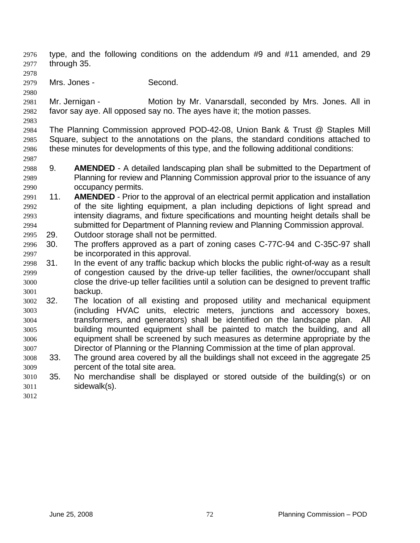- type, and the following conditions on the addendum #9 and #11 amended, and 29 through 35. 2976 2977
- 2978

2980

2983

2987

2979 Mrs. Jones - Second.

2981 2982 Mr. Jernigan - **Motion by Mr. Vanarsdall, seconded by Mrs. Jones. All in** favor say aye. All opposed say no. The ayes have it; the motion passes.

2984 2985 2986 The Planning Commission approved POD-42-08, Union Bank & Trust @ Staples Mill Square, subject to the annotations on the plans, the standard conditions attached to these minutes for developments of this type, and the following additional conditions:

- 2988 2989 2990 9. **AMENDED** - A detailed landscaping plan shall be submitted to the Department of Planning for review and Planning Commission approval prior to the issuance of any occupancy permits.
- 2991 2992 2993 2994 11. **AMENDED** - Prior to the approval of an electrical permit application and installation of the site lighting equipment, a plan including depictions of light spread and intensity diagrams, and fixture specifications and mounting height details shall be submitted for Department of Planning review and Planning Commission approval.
- 2995 29. Outdoor storage shall not be permitted.
- 2996 2997 30. The proffers approved as a part of zoning cases C-77C-94 and C-35C-97 shall be incorporated in this approval.
- 2998 2999 3000 3001 31. In the event of any traffic backup which blocks the public right-of-way as a result of congestion caused by the drive-up teller facilities, the owner/occupant shall close the drive-up teller facilities until a solution can be designed to prevent traffic backup.
- 3002 3003 3004 3005 3006 3007 32. The location of all existing and proposed utility and mechanical equipment (including HVAC units, electric meters, junctions and accessory boxes, transformers, and generators) shall be identified on the landscape plan. All building mounted equipment shall be painted to match the building, and all equipment shall be screened by such measures as determine appropriate by the Director of Planning or the Planning Commission at the time of plan approval.
- 3008 3009 33. The ground area covered by all the buildings shall not exceed in the aggregate 25 percent of the total site area.
- 3010 3011 35. No merchandise shall be displayed or stored outside of the building(s) or on sidewalk(s).
- 3012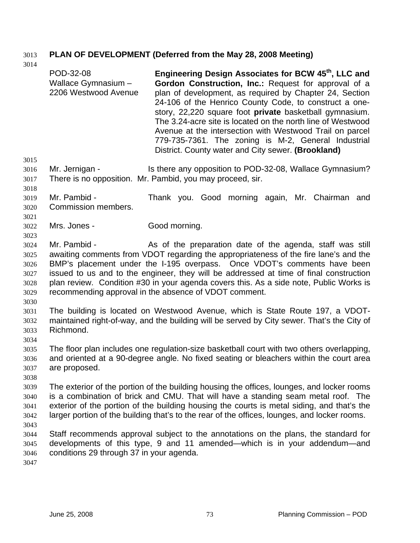## 3013 **PLAN OF DEVELOPMENT (Deferred from the May 28, 2008 Meeting)**

|                                                              | POD-32-08<br>Wallace Gymnasium -<br>2206 Westwood Avenue                                                                                                                                                                                                                                                                                                                                                                                                                                   | Engineering Design Associates for BCW 45 <sup>th</sup> , LLC and<br>Gordon Construction, Inc.: Request for approval of a<br>plan of development, as required by Chapter 24, Section<br>24-106 of the Henrico County Code, to construct a one-<br>story, 22,220 square foot private basketball gymnasium.<br>The 3.24-acre site is located on the north line of Westwood<br>Avenue at the intersection with Westwood Trail on parcel<br>779-735-7361. The zoning is M-2, General Industrial<br>District. County water and City sewer. (Brookland) |  |  |  |
|--------------------------------------------------------------|--------------------------------------------------------------------------------------------------------------------------------------------------------------------------------------------------------------------------------------------------------------------------------------------------------------------------------------------------------------------------------------------------------------------------------------------------------------------------------------------|--------------------------------------------------------------------------------------------------------------------------------------------------------------------------------------------------------------------------------------------------------------------------------------------------------------------------------------------------------------------------------------------------------------------------------------------------------------------------------------------------------------------------------------------------|--|--|--|
| 3015<br>3016                                                 | Mr. Jernigan -                                                                                                                                                                                                                                                                                                                                                                                                                                                                             | Is there any opposition to POD-32-08, Wallace Gymnasium?                                                                                                                                                                                                                                                                                                                                                                                                                                                                                         |  |  |  |
| 3017<br>3018                                                 |                                                                                                                                                                                                                                                                                                                                                                                                                                                                                            | There is no opposition. Mr. Pambid, you may proceed, sir.                                                                                                                                                                                                                                                                                                                                                                                                                                                                                        |  |  |  |
| 3019<br>3020<br>3021                                         | Mr. Pambid -<br>Commission members.                                                                                                                                                                                                                                                                                                                                                                                                                                                        | Thank you. Good morning again, Mr. Chairman and                                                                                                                                                                                                                                                                                                                                                                                                                                                                                                  |  |  |  |
| 3022                                                         | Mrs. Jones -                                                                                                                                                                                                                                                                                                                                                                                                                                                                               | Good morning.                                                                                                                                                                                                                                                                                                                                                                                                                                                                                                                                    |  |  |  |
| 3023<br>3024<br>3025<br>3026<br>3027<br>3028<br>3029<br>3030 | Mr. Pambid -<br>As of the preparation date of the agenda, staff was still<br>awaiting comments from VDOT regarding the appropriateness of the fire lane's and the<br>BMP's placement under the I-195 overpass. Once VDOT's comments have been<br>issued to us and to the engineer, they will be addressed at time of final construction<br>plan review. Condition #30 in your agenda covers this. As a side note, Public Works is<br>recommending approval in the absence of VDOT comment. |                                                                                                                                                                                                                                                                                                                                                                                                                                                                                                                                                  |  |  |  |
| 3031<br>3032<br>3033<br>3034                                 | The building is located on Westwood Avenue, which is State Route 197, a VDOT-<br>maintained right-of-way, and the building will be served by City sewer. That's the City of<br>Richmond.<br>The floor plan includes one regulation-size basketball court with two others overlapping,<br>and oriented at a 90-degree angle. No fixed seating or bleachers within the court area<br>are proposed.                                                                                           |                                                                                                                                                                                                                                                                                                                                                                                                                                                                                                                                                  |  |  |  |
| 3035<br>3036<br>3037<br>3038                                 |                                                                                                                                                                                                                                                                                                                                                                                                                                                                                            |                                                                                                                                                                                                                                                                                                                                                                                                                                                                                                                                                  |  |  |  |
| 3039<br>3040<br>3041<br>3042<br>3043                         | The exterior of the portion of the building housing the offices, lounges, and locker rooms<br>is a combination of brick and CMU. That will have a standing seam metal roof. The<br>exterior of the portion of the building housing the courts is metal siding, and that's the<br>larger portion of the building that's to the rear of the offices, lounges, and locker rooms.                                                                                                              |                                                                                                                                                                                                                                                                                                                                                                                                                                                                                                                                                  |  |  |  |
| 3044<br>3045<br>3046<br>3047                                 | Staff recommends approval subject to the annotations on the plans, the standard for<br>developments of this type, 9 and 11 amended—which is in your addendum—and<br>conditions 29 through 37 in your agenda.                                                                                                                                                                                                                                                                               |                                                                                                                                                                                                                                                                                                                                                                                                                                                                                                                                                  |  |  |  |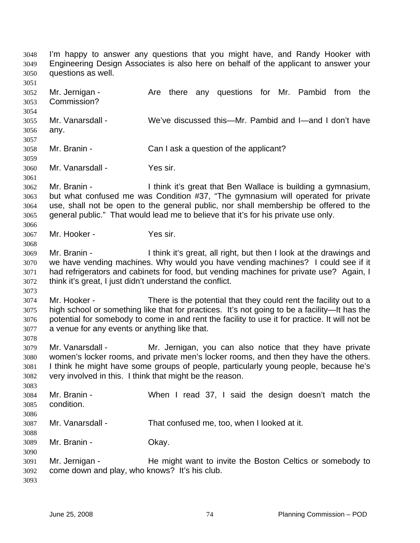I'm happy to answer any questions that you might have, and Randy Hooker with Engineering Design Associates is also here on behalf of the applicant to answer your questions as well. 3048 3049 3050 3051 3052 3053 3054 3055 3056 3057 3058 3059 3060 3061 3062 3063 3064 3065 3066 3067 3068 3069 3070 3071 3072 3073 3074 3075 3076 3077 3078 3079 3080 3081 3082 3083 3084 3085 3086 3087 3088 3089 3090 3091 3092 3093 Mr. Jernigan - The Are there any questions for Mr. Pambid from the Commission? Mr. Vanarsdall - We've discussed this—Mr. Pambid and I—and I don't have any. Mr. Branin - Can I ask a question of the applicant? Mr. Vanarsdall - Yes sir. Mr. Branin - Think it's great that Ben Wallace is building a gymnasium, but what confused me was Condition #37, "The gymnasium will operated for private use, shall not be open to the general public, nor shall membership be offered to the general public." That would lead me to believe that it's for his private use only. Mr. Hooker - Yes sir. Mr. Branin - Ithink it's great, all right, but then I look at the drawings and we have vending machines. Why would you have vending machines? I could see if it had refrigerators and cabinets for food, but vending machines for private use? Again, I think it's great, I just didn't understand the conflict. Mr. Hooker - There is the potential that they could rent the facility out to a high school or something like that for practices. It's not going to be a facility—It has the potential for somebody to come in and rent the facility to use it for practice. It will not be a venue for any events or anything like that. Mr. Vanarsdall - Mr. Jernigan, you can also notice that they have private women's locker rooms, and private men's locker rooms, and then they have the others. I think he might have some groups of people, particularly young people, because he's very involved in this. I think that might be the reason. Mr. Branin - When I read 37, I said the design doesn't match the condition. Mr. Vanarsdall - That confused me, too, when I looked at it. Mr. Branin - Chay. Mr. Jernigan - The might want to invite the Boston Celtics or somebody to come down and play, who knows? It's his club.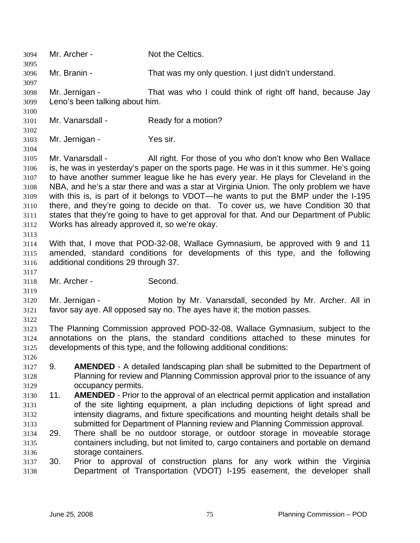| 3094<br>3095 | Mr. Archer -                                                                                                                                           |                                               | Not the Celtics.                                                                                                                                                               |  |  |
|--------------|--------------------------------------------------------------------------------------------------------------------------------------------------------|-----------------------------------------------|--------------------------------------------------------------------------------------------------------------------------------------------------------------------------------|--|--|
| 3096         | Mr. Branin -                                                                                                                                           |                                               | That was my only question. I just didn't understand.                                                                                                                           |  |  |
| 3097<br>3098 |                                                                                                                                                        | Mr. Jernigan -                                | That was who I could think of right off hand, because Jay                                                                                                                      |  |  |
| 3099         |                                                                                                                                                        | Leno's been talking about him.                |                                                                                                                                                                                |  |  |
| 3100         |                                                                                                                                                        |                                               |                                                                                                                                                                                |  |  |
| 3101         |                                                                                                                                                        | Mr. Vanarsdall -                              | Ready for a motion?                                                                                                                                                            |  |  |
| 3102         |                                                                                                                                                        |                                               |                                                                                                                                                                                |  |  |
| 3103         |                                                                                                                                                        | Mr. Jernigan -                                | Yes sir.                                                                                                                                                                       |  |  |
| 3104         |                                                                                                                                                        |                                               |                                                                                                                                                                                |  |  |
| 3105         |                                                                                                                                                        | Mr. Vanarsdall -                              | All right. For those of you who don't know who Ben Wallace                                                                                                                     |  |  |
| 3106         |                                                                                                                                                        |                                               | is, he was in yesterday's paper on the sports page. He was in it this summer. He's going                                                                                       |  |  |
| 3107         |                                                                                                                                                        |                                               | to have another summer league like he has every year. He plays for Cleveland in the                                                                                            |  |  |
| 3108         | NBA, and he's a star there and was a star at Virginia Union. The only problem we have                                                                  |                                               |                                                                                                                                                                                |  |  |
| 3109         |                                                                                                                                                        |                                               | with this is, is part of it belongs to VDOT—he wants to put the BMP under the I-195                                                                                            |  |  |
| 3110         |                                                                                                                                                        |                                               | there, and they're going to decide on that. To cover us, we have Condition 30 that<br>states that they're going to have to get approval for that. And our Department of Public |  |  |
| 3111<br>3112 |                                                                                                                                                        | Works has already approved it, so we're okay. |                                                                                                                                                                                |  |  |
| 3113         |                                                                                                                                                        |                                               |                                                                                                                                                                                |  |  |
| 3114         |                                                                                                                                                        |                                               | With that, I move that POD-32-08, Wallace Gymnasium, be approved with 9 and 11                                                                                                 |  |  |
| 3115         |                                                                                                                                                        |                                               | amended, standard conditions for developments of this type, and the following                                                                                                  |  |  |
| 3116         |                                                                                                                                                        | additional conditions 29 through 37.          |                                                                                                                                                                                |  |  |
| 3117         |                                                                                                                                                        |                                               |                                                                                                                                                                                |  |  |
| 3118         | Mr. Archer -                                                                                                                                           |                                               | Second.                                                                                                                                                                        |  |  |
| 3119         |                                                                                                                                                        |                                               |                                                                                                                                                                                |  |  |
| 3120         |                                                                                                                                                        | Mr. Jernigan -                                | Motion by Mr. Vanarsdall, seconded by Mr. Archer. All in                                                                                                                       |  |  |
| 3121         |                                                                                                                                                        |                                               | favor say aye. All opposed say no. The ayes have it; the motion passes.                                                                                                        |  |  |
| 3122         |                                                                                                                                                        |                                               |                                                                                                                                                                                |  |  |
| 3123         | The Planning Commission approved POD-32-08, Wallace Gymnasium, subject to the                                                                          |                                               |                                                                                                                                                                                |  |  |
| 3124<br>3125 | annotations on the plans, the standard conditions attached to these minutes for<br>developments of this type, and the following additional conditions: |                                               |                                                                                                                                                                                |  |  |
| 3126         |                                                                                                                                                        |                                               |                                                                                                                                                                                |  |  |
| 3127         | 9.                                                                                                                                                     |                                               | <b>AMENDED</b> - A detailed landscaping plan shall be submitted to the Department of                                                                                           |  |  |
| 3128         |                                                                                                                                                        |                                               | Planning for review and Planning Commission approval prior to the issuance of any                                                                                              |  |  |
| 3129         |                                                                                                                                                        | occupancy permits.                            |                                                                                                                                                                                |  |  |
| 3130         | 11.                                                                                                                                                    |                                               | <b>AMENDED</b> - Prior to the approval of an electrical permit application and installation                                                                                    |  |  |
| 3131         |                                                                                                                                                        |                                               | of the site lighting equipment, a plan including depictions of light spread and                                                                                                |  |  |
| 3132         |                                                                                                                                                        |                                               | intensity diagrams, and fixture specifications and mounting height details shall be                                                                                            |  |  |
| 3133         |                                                                                                                                                        |                                               | submitted for Department of Planning review and Planning Commission approval.                                                                                                  |  |  |
| 3134         | 29.                                                                                                                                                    |                                               | There shall be no outdoor storage, or outdoor storage in moveable storage                                                                                                      |  |  |
| 3135         |                                                                                                                                                        |                                               | containers including, but not limited to, cargo containers and portable on demand                                                                                              |  |  |
| 3136         |                                                                                                                                                        | storage containers.                           |                                                                                                                                                                                |  |  |
| 3137         | 30.                                                                                                                                                    |                                               | Prior to approval of construction plans for any work within the Virginia                                                                                                       |  |  |
| 3138         |                                                                                                                                                        |                                               | Department of Transportation (VDOT) I-195 easement, the developer shall                                                                                                        |  |  |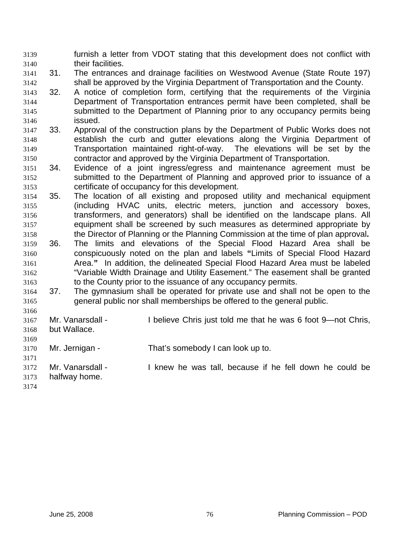furnish a letter from VDOT stating that this development does not conflict with their facilities. 3139 3140

- 3141 3142 31. The entrances and drainage facilities on Westwood Avenue (State Route 197) shall be approved by the Virginia Department of Transportation and the County.
- 3143 3144 3145 3146 32. A notice of completion form, certifying that the requirements of the Virginia Department of Transportation entrances permit have been completed, shall be submitted to the Department of Planning prior to any occupancy permits being issued.
- 3147 3148 3149 3150 33. Approval of the construction plans by the Department of Public Works does not establish the curb and gutter elevations along the Virginia Department of Transportation maintained right-of-way. The elevations will be set by the contractor and approved by the Virginia Department of Transportation.
- 3151 3152 3153 34. Evidence of a joint ingress/egress and maintenance agreement must be submitted to the Department of Planning and approved prior to issuance of a certificate of occupancy for this development.
- 3154 3155 3156 3157 3158 35. The location of all existing and proposed utility and mechanical equipment (including HVAC units, electric meters, junction and accessory boxes, transformers, and generators) shall be identified on the landscape plans. All equipment shall be screened by such measures as determined appropriate by the Director of Planning or the Planning Commission at the time of plan approval**.**
- 3159 3160 3161 3162 3163 36. The limits and elevations of the Special Flood Hazard Area shall be conspicuously noted on the plan and labels **"**Limits of Special Flood Hazard Area.**"** In addition, the delineated Special Flood Hazard Area must be labeled "Variable Width Drainage and Utility Easement." The easement shall be granted to the County prior to the issuance of any occupancy permits.
- 3164 3165 37. The gymnasium shall be operated for private use and shall not be open to the general public nor shall memberships be offered to the general public.
- 3166 3167 3168 3169 3170 3171 3172 Mr. Vanarsdall - I believe Chris just told me that he was 6 foot 9—not Chris, but Wallace. Mr. Jernigan - That's somebody I can look up to. Mr. Vanarsdall - The Readler was tall, because if he fell down he could be
- 3173 halfway home.
- 3174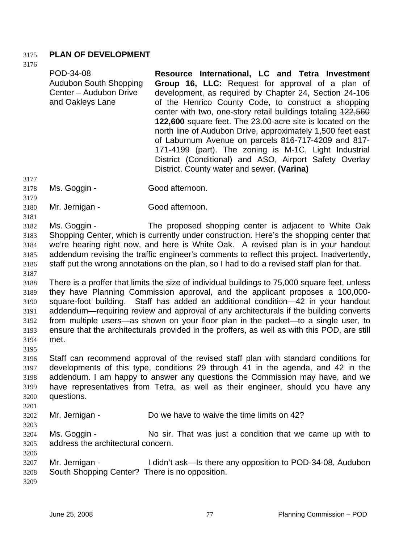## 3175 **PLAN OF DEVELOPMENT**

| v | ٠ |
|---|---|
|   | × |
| × |   |
|   |   |

| 3176 |                                                                                               |                                                                                                                                                                                                                                                                                                                                                                                                                                                                                                                                                                                                                                          |  |  |  |
|------|-----------------------------------------------------------------------------------------------|------------------------------------------------------------------------------------------------------------------------------------------------------------------------------------------------------------------------------------------------------------------------------------------------------------------------------------------------------------------------------------------------------------------------------------------------------------------------------------------------------------------------------------------------------------------------------------------------------------------------------------------|--|--|--|
|      | POD-34-08<br>Audubon South Shopping<br>Center - Audubon Drive<br>and Oakleys Lane             | Resource International, LC and Tetra Investment<br>Group 16, LLC: Request for approval of a plan of<br>development, as required by Chapter 24, Section 24-106<br>of the Henrico County Code, to construct a shopping<br>center with two, one-story retail buildings totaling 422,560<br>122,600 square feet. The 23.00-acre site is located on the<br>north line of Audubon Drive, approximately 1,500 feet east<br>of Laburnum Avenue on parcels 816-717-4209 and 817-<br>171-4199 (part). The zoning is M-1C, Light Industrial<br>District (Conditional) and ASO, Airport Safety Overlay<br>District. County water and sewer. (Varina) |  |  |  |
| 3177 |                                                                                               |                                                                                                                                                                                                                                                                                                                                                                                                                                                                                                                                                                                                                                          |  |  |  |
| 3178 | Ms. Goggin -                                                                                  | Good afternoon.                                                                                                                                                                                                                                                                                                                                                                                                                                                                                                                                                                                                                          |  |  |  |
| 3179 |                                                                                               |                                                                                                                                                                                                                                                                                                                                                                                                                                                                                                                                                                                                                                          |  |  |  |
| 3180 | Mr. Jernigan -                                                                                | Good afternoon.                                                                                                                                                                                                                                                                                                                                                                                                                                                                                                                                                                                                                          |  |  |  |
| 3181 |                                                                                               |                                                                                                                                                                                                                                                                                                                                                                                                                                                                                                                                                                                                                                          |  |  |  |
| 3182 | Ms. Goggin -                                                                                  | The proposed shopping center is adjacent to White Oak                                                                                                                                                                                                                                                                                                                                                                                                                                                                                                                                                                                    |  |  |  |
| 3183 | Shopping Center, which is currently under construction. Here's the shopping center that       |                                                                                                                                                                                                                                                                                                                                                                                                                                                                                                                                                                                                                                          |  |  |  |
| 3184 | we're hearing right now, and here is White Oak. A revised plan is in your handout             |                                                                                                                                                                                                                                                                                                                                                                                                                                                                                                                                                                                                                                          |  |  |  |
| 3185 | addendum revising the traffic engineer's comments to reflect this project. Inadvertently,     |                                                                                                                                                                                                                                                                                                                                                                                                                                                                                                                                                                                                                                          |  |  |  |
| 3186 | staff put the wrong annotations on the plan, so I had to do a revised staff plan for that.    |                                                                                                                                                                                                                                                                                                                                                                                                                                                                                                                                                                                                                                          |  |  |  |
| 3187 |                                                                                               |                                                                                                                                                                                                                                                                                                                                                                                                                                                                                                                                                                                                                                          |  |  |  |
| 3188 | There is a proffer that limits the size of individual buildings to 75,000 square feet, unless |                                                                                                                                                                                                                                                                                                                                                                                                                                                                                                                                                                                                                                          |  |  |  |
| 3189 | they have Planning Commission approval, and the applicant proposes a 100,000-                 |                                                                                                                                                                                                                                                                                                                                                                                                                                                                                                                                                                                                                                          |  |  |  |
| 3190 | square-foot building. Staff has added an additional condition-42 in your handout              |                                                                                                                                                                                                                                                                                                                                                                                                                                                                                                                                                                                                                                          |  |  |  |
| 3191 | addendum—requiring review and approval of any architecturals if the building converts         |                                                                                                                                                                                                                                                                                                                                                                                                                                                                                                                                                                                                                                          |  |  |  |
| 3192 | from multiple users—as shown on your floor plan in the packet—to a single user, to            |                                                                                                                                                                                                                                                                                                                                                                                                                                                                                                                                                                                                                                          |  |  |  |
| 3193 |                                                                                               | ensure that the architecturals provided in the proffers, as well as with this POD, are still                                                                                                                                                                                                                                                                                                                                                                                                                                                                                                                                             |  |  |  |
| 3194 | met.                                                                                          |                                                                                                                                                                                                                                                                                                                                                                                                                                                                                                                                                                                                                                          |  |  |  |
| 3195 |                                                                                               | $\alpha$ , and the second control of all controls to the second control of the second control of the second control of $\alpha$                                                                                                                                                                                                                                                                                                                                                                                                                                                                                                          |  |  |  |

3196 3197 3198 3199 3200 3201 Staff can recommend approval of the revised staff plan with standard conditions for developments of this type, conditions 29 through 41 in the agenda, and 42 in the addendum. I am happy to answer any questions the Commission may have, and we have representatives from Tetra, as well as their engineer, should you have any questions.

3202 Mr. Jernigan - Do we have to waive the time limits on 42?

3204 3205 3206 Ms. Goggin - No sir. That was just a condition that we came up with to address the architectural concern.

3207 3208 3209 Mr. Jernigan - I didn't ask—Is there any opposition to POD-34-08, Audubon South Shopping Center? There is no opposition.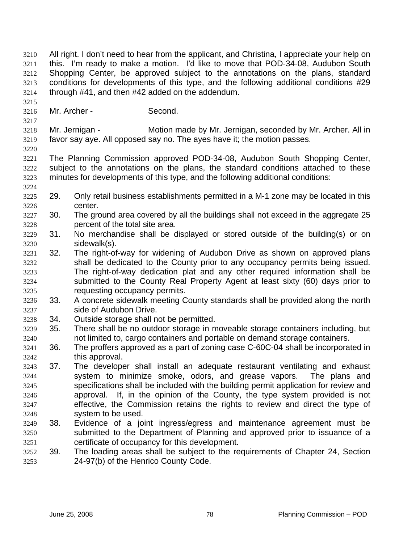All right. I don't need to hear from the applicant, and Christina, I appreciate your help on this. I'm ready to make a motion. I'd like to move that POD-34-08, Audubon South Shopping Center, be approved subject to the annotations on the plans, standard conditions for developments of this type, and the following additional conditions #29 through #41, and then #42 added on the addendum. 3210 3211 3212 3213 3214

- 3216 Mr. Archer - Second.
- 3218 3219 Mr. Jernigan - Motion made by Mr. Jernigan, seconded by Mr. Archer. All in favor say aye. All opposed say no. The ayes have it; the motion passes.
- 3220

3224

3215

- 3221 3222 3223 The Planning Commission approved POD-34-08, Audubon South Shopping Center, subject to the annotations on the plans, the standard conditions attached to these minutes for developments of this type, and the following additional conditions:
- 3225 3226 29. Only retail business establishments permitted in a M-1 zone may be located in this center.
- 3227 3228 30. The ground area covered by all the buildings shall not exceed in the aggregate 25 percent of the total site area.
- 3229 3230 31. No merchandise shall be displayed or stored outside of the building(s) or on sidewalk(s).
- 3231 3232 3233 3234 3235 32. The right-of-way for widening of Audubon Drive as shown on approved plans shall be dedicated to the County prior to any occupancy permits being issued. The right-of-way dedication plat and any other required information shall be submitted to the County Real Property Agent at least sixty (60) days prior to requesting occupancy permits.
- 3236 3237 33. A concrete sidewalk meeting County standards shall be provided along the north side of Audubon Drive.
- 3238 34. Outside storage shall not be permitted.
- 3239 3240 35. There shall be no outdoor storage in moveable storage containers including, but not limited to, cargo containers and portable on demand storage containers.
- 3241 3242 36. The proffers approved as a part of zoning case C-60C-04 shall be incorporated in this approval.
- 3243 3244 3245 3246 3247 3248 37. The developer shall install an adequate restaurant ventilating and exhaust system to minimize smoke, odors, and grease vapors. The plans and specifications shall be included with the building permit application for review and approval. If, in the opinion of the County, the type system provided is not effective, the Commission retains the rights to review and direct the type of system to be used.
- 3249 3250 3251 38. Evidence of a joint ingress/egress and maintenance agreement must be submitted to the Department of Planning and approved prior to issuance of a certificate of occupancy for this development.
- 3252 3253 39. The loading areas shall be subject to the requirements of Chapter 24, Section 24-97(b) of the Henrico County Code.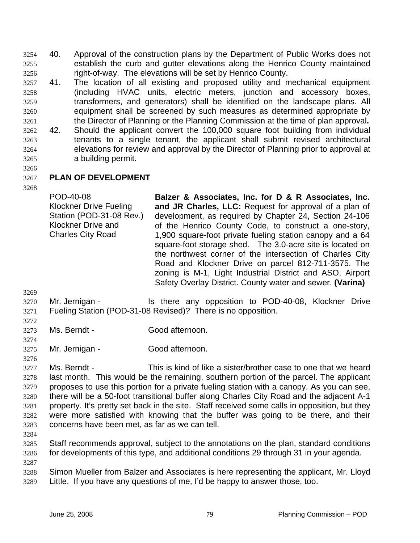40. Approval of the construction plans by the Department of Public Works does not establish the curb and gutter elevations along the Henrico County maintained right-of-way. The elevations will be set by Henrico County. 3254 3255 3256

- 3257 3258 3259 3260 3261 3262 41. The location of all existing and proposed utility and mechanical equipment (including HVAC units, electric meters, junction and accessory boxes, transformers, and generators) shall be identified on the landscape plans. All equipment shall be screened by such measures as determined appropriate by the Director of Planning or the Planning Commission at the time of plan approval**.** 42. Should the applicant convert the 100,000 square foot building from individual
- 3263 3264 3265 3266 tenants to a single tenant, the applicant shall submit revised architectural elevations for review and approval by the Director of Planning prior to approval at a building permit.
- 3267 **PLAN OF DEVELOPMENT**

3268

POD-40-08 Klockner Drive Fueling Station (POD-31-08 Rev.) Klockner Drive and Charles City Road **Balzer & Associates, Inc. for D & R Associates, Inc. and JR Charles, LLC:** Request for approval of a plan of development, as required by Chapter 24, Section 24-106 of the Henrico County Code, to construct a one-story, 1,900 square-foot private fueling station canopy and a 64 square-foot storage shed. The 3.0-acre site is located on the northwest corner of the intersection of Charles City Road and Klockner Drive on parcel 812-711-3575. The zoning is M-1, Light Industrial District and ASO, Airport Safety Overlay District. County water and sewer. **(Varina)** 

- 3270 3271 Mr. Jernigan - Is there any opposition to POD-40-08, Klockner Drive Fueling Station (POD-31-08 Revised)? There is no opposition.
- 3272

3269

- 3273 Ms. Berndt - Good afternoon.
- 3274
- 
- 3275 3276 Mr. Jernigan - Good afternoon.

3277 3278 3279 3280 3281 3282 3283 Ms. Berndt - This is kind of like a sister/brother case to one that we heard last month. This would be the remaining, southern portion of the parcel. The applicant proposes to use this portion for a private fueling station with a canopy. As you can see, there will be a 50-foot transitional buffer along Charles City Road and the adjacent A-1 property. It's pretty set back in the site. Staff received some calls in opposition, but they were more satisfied with knowing that the buffer was going to be there, and their concerns have been met, as far as we can tell.

- 3284
- 3285 3286 3287 Staff recommends approval, subject to the annotations on the plan, standard conditions for developments of this type, and additional conditions 29 through 31 in your agenda.

3288 3289 Simon Mueller from Balzer and Associates is here representing the applicant, Mr. Lloyd Little. If you have any questions of me, I'd be happy to answer those, too.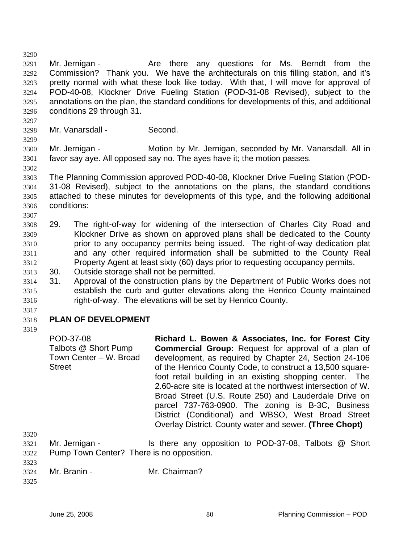3290 3291 3292 3293 3294 3295 3296 Mr. Jernigan - The Are there any questions for Ms. Berndt from the Commission? Thank you. We have the architecturals on this filling station, and it's pretty normal with what these look like today. With that, I will move for approval of POD-40-08, Klockner Drive Fueling Station (POD-31-08 Revised), subject to the annotations on the plan, the standard conditions for developments of this, and additional conditions 29 through 31.

3297 3298

3299

3302

3307

Mr. Vanarsdall - Second.

3300 3301 Mr. Jernigan - Motion by Mr. Jernigan, seconded by Mr. Vanarsdall. All in favor say aye. All opposed say no. The ayes have it; the motion passes.

3303 3304 3305 3306 The Planning Commission approved POD-40-08, Klockner Drive Fueling Station (POD-31-08 Revised), subject to the annotations on the plans, the standard conditions attached to these minutes for developments of this type, and the following additional conditions:

- 3308 3309 3310 3311 3312 29. The right-of-way for widening of the intersection of Charles City Road and Klockner Drive as shown on approved plans shall be dedicated to the County prior to any occupancy permits being issued. The right-of-way dedication plat and any other required information shall be submitted to the County Real Property Agent at least sixty (60) days prior to requesting occupancy permits.
- 3313 30. Outside storage shall not be permitted.
- 3314 3315 3316 31. Approval of the construction plans by the Department of Public Works does not establish the curb and gutter elevations along the Henrico County maintained right-of-way. The elevations will be set by Henrico County.
- 3317

## 3318 **PLAN OF DEVELOPMENT**

3319

POD-37-08 Talbots @ Short Pump Town Center – W. Broad **Street Richard L. Bowen & Associates, Inc. for Forest City Commercial Group:** Request for approval of a plan of development, as required by Chapter 24, Section 24-106 of the Henrico County Code, to construct a 13,500 squarefoot retail building in an existing shopping center. The 2.60-acre site is located at the northwest intersection of W. Broad Street (U.S. Route 250) and Lauderdale Drive on parcel 737-763-0900. The zoning is B-3C, Business District (Conditional) and WBSO, West Broad Street Overlay District. County water and sewer. **(Three Chopt)** 

3320

|      | $3321$ Mr. Jernigan -                     | Is there any opposition to POD-37-08, Talbots @ Short |  |  |  |
|------|-------------------------------------------|-------------------------------------------------------|--|--|--|
| 3322 | Pump Town Center? There is no opposition. |                                                       |  |  |  |

| 3324 | Mr. Branin - | Mr. Chairman? |
|------|--------------|---------------|
|      |              |               |

3325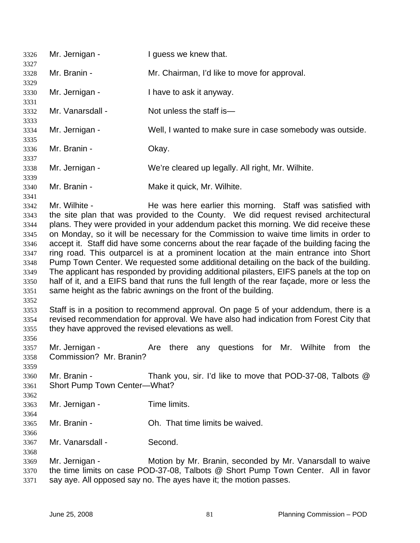3326 Mr. Jernigan - I guess we knew that. 3327 3328 3329 3330 3331 3332 3333 3334 3335 3336 3337 3338 3339 3340 3341 3342 3343 3344 3345 3346 3347 3348 3349 3350 3351 3352 3353 3354 3355 3356 3357 3358 3359 3360 3361 3362 3363 3364 3365 3366 3367 3368 3369 3370 3371 Mr. Branin - Mr. Chairman, I'd like to move for approval. Mr. Jernigan - Thave to ask it anyway. Mr. Vanarsdall - Not unless the staff is— Mr. Jernigan - Well, I wanted to make sure in case somebody was outside. Mr. Branin - Ckay. Mr. Jernigan - We're cleared up legally. All right, Mr. Wilhite. Mr. Branin - **Make it quick, Mr. Wilhite.** Mr. Wilhite - The was here earlier this morning. Staff was satisfied with the site plan that was provided to the County. We did request revised architectural plans. They were provided in your addendum packet this morning. We did receive these on Monday, so it will be necessary for the Commission to waive time limits in order to accept it. Staff did have some concerns about the rear façade of the building facing the ring road. This outparcel is at a prominent location at the main entrance into Short Pump Town Center. We requested some additional detailing on the back of the building. The applicant has responded by providing additional pilasters, EIFS panels at the top on half of it, and a EIFS band that runs the full length of the rear façade, more or less the same height as the fabric awnings on the front of the building. Staff is in a position to recommend approval. On page 5 of your addendum, there is a revised recommendation for approval. We have also had indication from Forest City that they have approved the revised elevations as well. Mr. Jernigan - Are there any questions for Mr. Wilhite from the Commission? Mr. Branin? Mr. Branin - Thank you, sir. I'd like to move that POD-37-08, Talbots @ Short Pump Town Center—What? Mr. Jernigan - Time limits. Mr. Branin - **Oh.** That time limits be waived. Mr. Vanarsdall - Second. Mr. Jernigan - Motion by Mr. Branin, seconded by Mr. Vanarsdall to waive the time limits on case POD-37-08, Talbots @ Short Pump Town Center. All in favor say aye. All opposed say no. The ayes have it; the motion passes.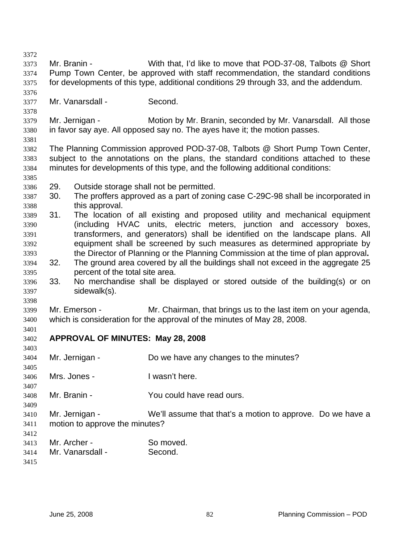Mr. Branin - With that, I'd like to move that POD-37-08, Talbots @ Short Pump Town Center, be approved with staff recommendation, the standard conditions for developments of this type, additional conditions 29 through 33, and the addendum. Mr. Vanarsdall - Second. Mr. Jernigan - Motion by Mr. Branin, seconded by Mr. Vanarsdall. All those in favor say aye. All opposed say no. The ayes have it; the motion passes. The Planning Commission approved POD-37-08, Talbots @ Short Pump Town Center, subject to the annotations on the plans, the standard conditions attached to these minutes for developments of this type, and the following additional conditions: 29. Outside storage shall not be permitted. 30. The proffers approved as a part of zoning case C-29C-98 shall be incorporated in this approval. 31. The location of all existing and proposed utility and mechanical equipment (including HVAC units, electric meters, junction and accessory boxes, transformers, and generators) shall be identified on the landscape plans. All equipment shall be screened by such measures as determined appropriate by the Director of Planning or the Planning Commission at the time of plan approval**.** 32. The ground area covered by all the buildings shall not exceed in the aggregate 25 percent of the total site area. 33. No merchandise shall be displayed or stored outside of the building(s) or on sidewalk(s). Mr. Emerson - The Mr. Chairman, that brings us to the last item on your agenda, which is consideration for the approval of the minutes of May 28, 2008. **APPROVAL OF MINUTES: May 28, 2008**  Mr. Jernigan - Do we have any changes to the minutes? Mrs. Jones - I wasn't here. Mr. Branin - The You could have read ours. Mr. Jernigan - We'll assume that that's a motion to approve. Do we have a motion to approve the minutes? Mr. Archer - So moved. Mr. Vanarsdall - Second.